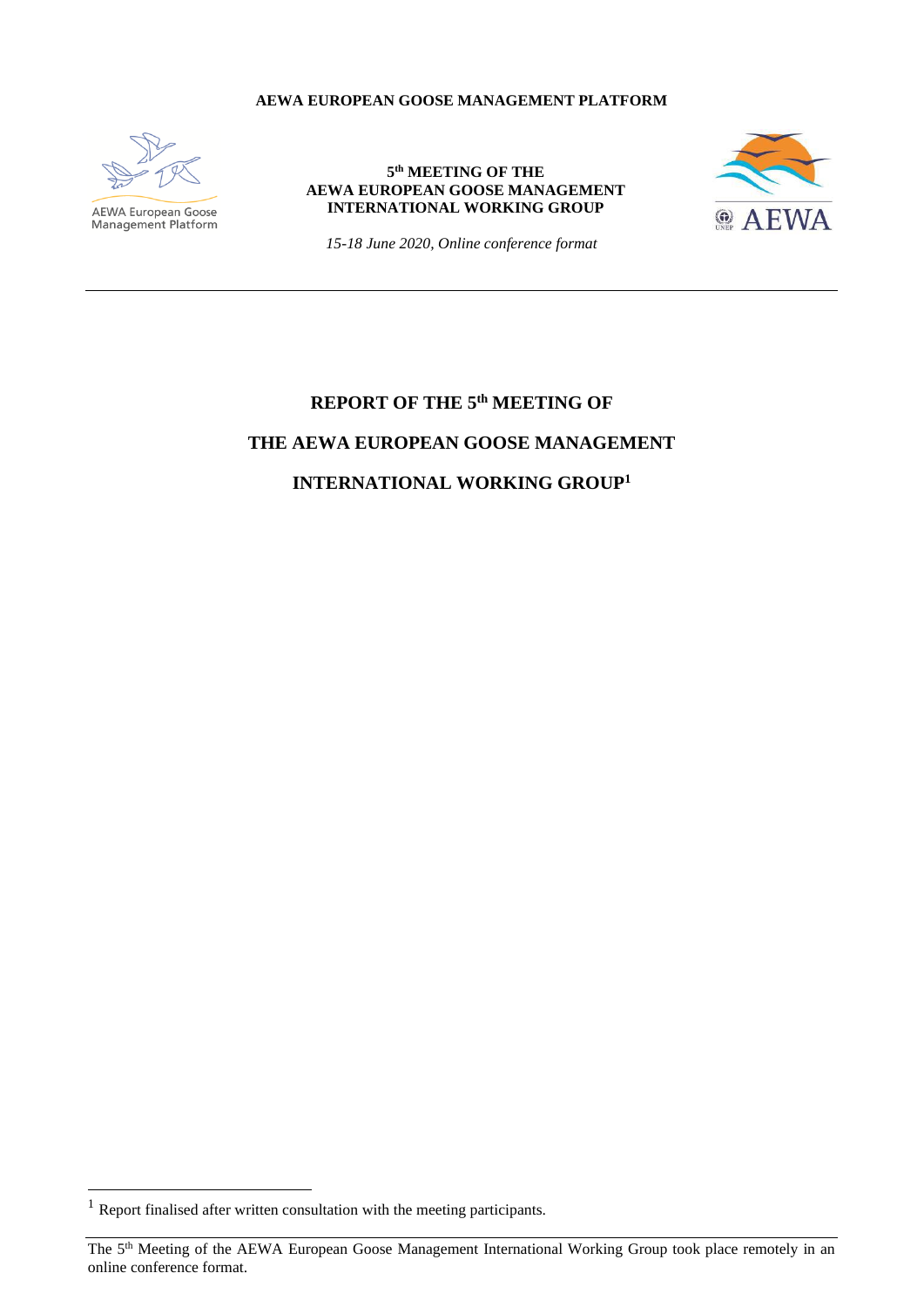#### **AEWA EUROPEAN GOOSE MANAGEMENT PLATFORM**



**AEWA European Goose**<br>Management Platform

#### **5 th MEETING OF THE AEWA EUROPEAN GOOSE MANAGEMENT INTERNATIONAL WORKING GROUP**



*15-18 June 2020, Online conference format*

# **REPORT OF THE 5 th MEETING OF THE AEWA EUROPEAN GOOSE MANAGEMENT INTERNATIONAL WORKING GROUP<sup>1</sup>**

 $<sup>1</sup>$  Report finalised after written consultation with the meeting participants.</sup>

The 5<sup>th</sup> Meeting of the AEWA European Goose Management International Working Group took place remotely in an online conference format.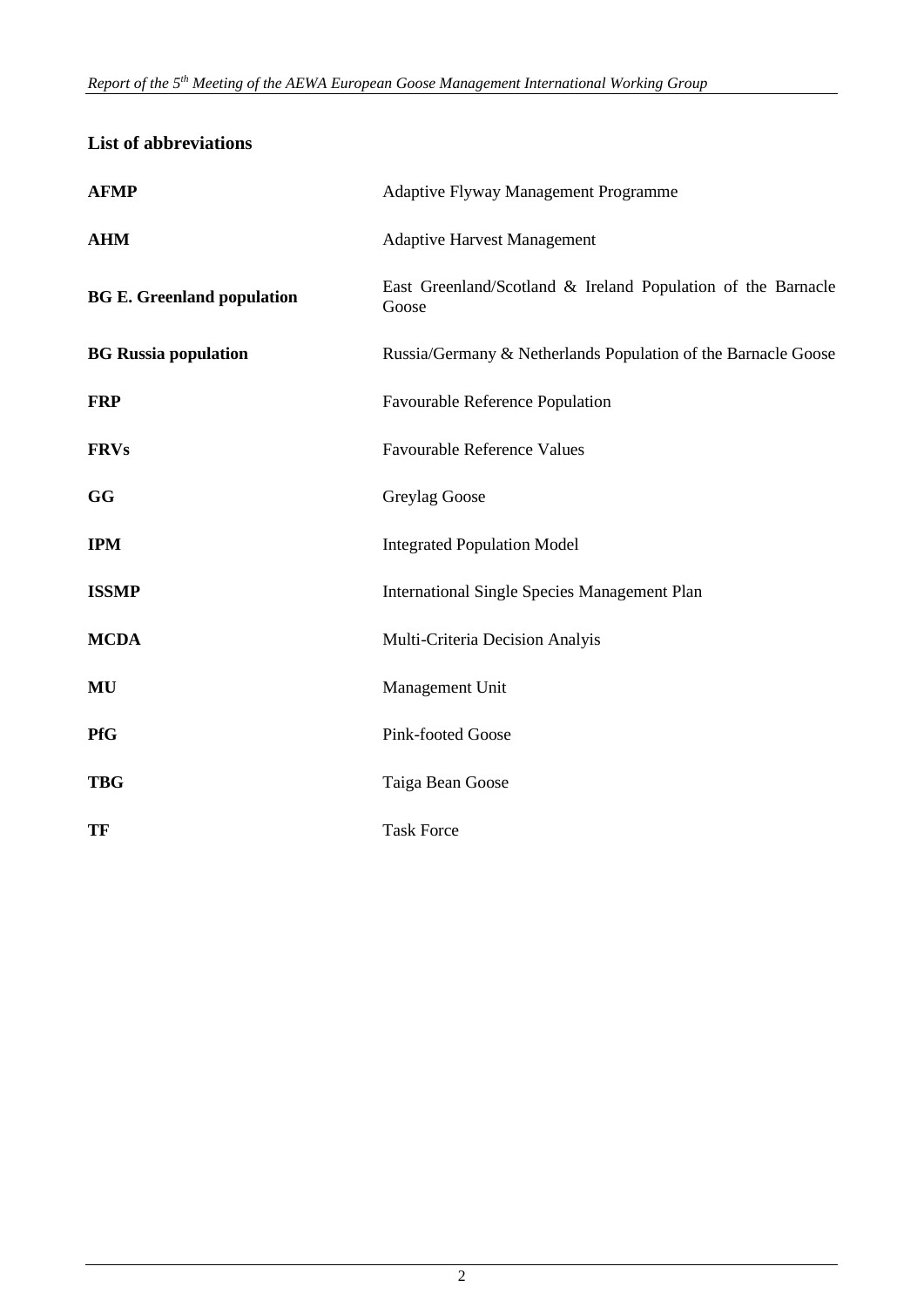# **List of abbreviations**

| <b>AFMP</b>                       | Adaptive Flyway Management Programme                                  |  |  |
|-----------------------------------|-----------------------------------------------------------------------|--|--|
| <b>AHM</b>                        | <b>Adaptive Harvest Management</b>                                    |  |  |
| <b>BG E. Greenland population</b> | East Greenland/Scotland & Ireland Population of the Barnacle<br>Goose |  |  |
| <b>BG Russia population</b>       | Russia/Germany & Netherlands Population of the Barnacle Goose         |  |  |
| <b>FRP</b>                        | Favourable Reference Population                                       |  |  |
| <b>FRVs</b>                       | <b>Favourable Reference Values</b>                                    |  |  |
| GG                                | Greylag Goose                                                         |  |  |
| <b>IPM</b>                        | <b>Integrated Population Model</b>                                    |  |  |
| <b>ISSMP</b>                      | <b>International Single Species Management Plan</b>                   |  |  |
| <b>MCDA</b>                       | Multi-Criteria Decision Analyis                                       |  |  |
| MU                                | Management Unit                                                       |  |  |
| <b>PfG</b>                        | Pink-footed Goose                                                     |  |  |
| <b>TBG</b>                        | Taiga Bean Goose                                                      |  |  |
| <b>TF</b>                         | <b>Task Force</b>                                                     |  |  |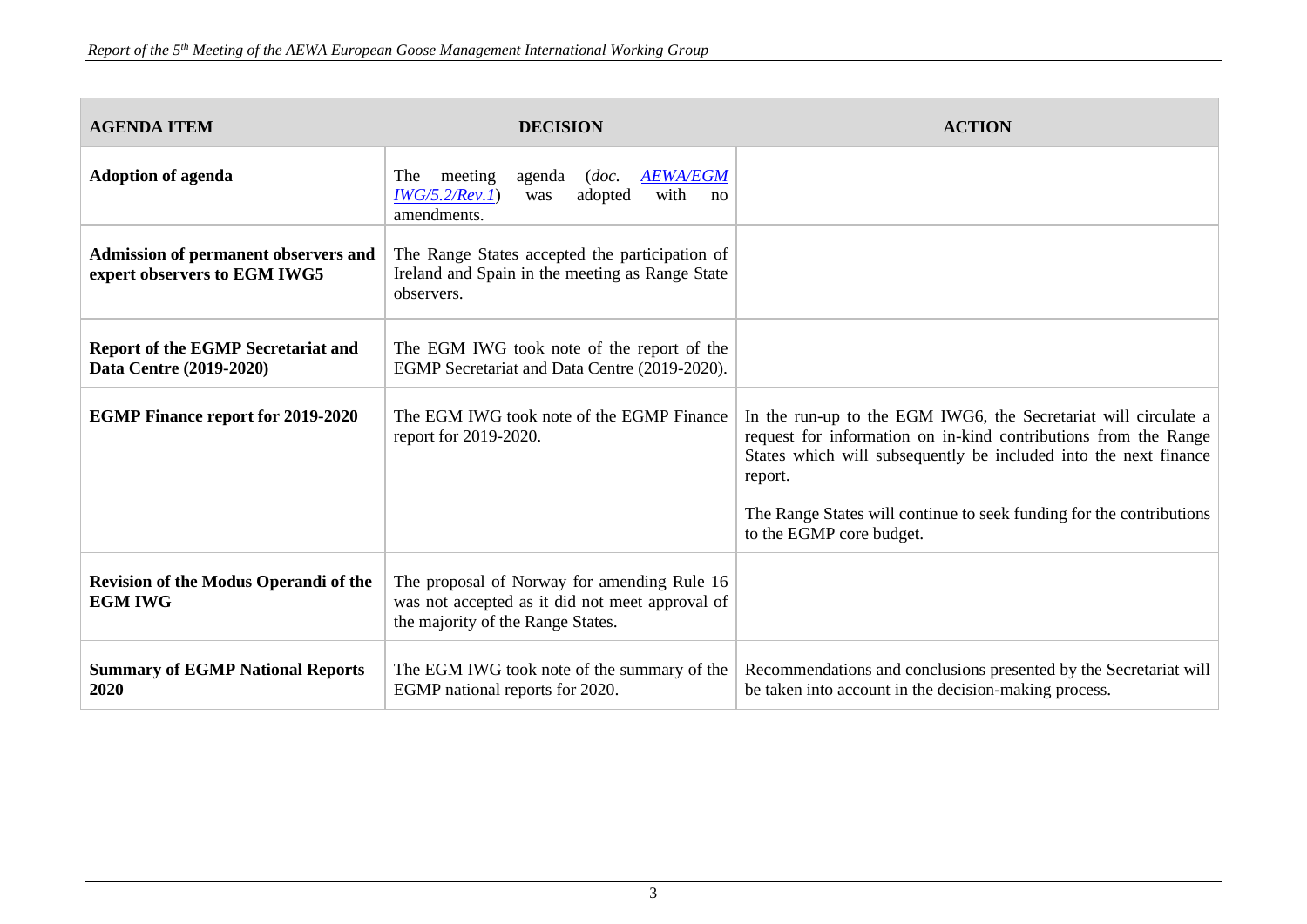| <b>AGENDA ITEM</b>                                                   | <b>DECISION</b>                                                                                                                     | <b>ACTION</b>                                                                                                                                                                                                                                                                                                         |
|----------------------------------------------------------------------|-------------------------------------------------------------------------------------------------------------------------------------|-----------------------------------------------------------------------------------------------------------------------------------------------------------------------------------------------------------------------------------------------------------------------------------------------------------------------|
| <b>Adoption of agenda</b>                                            | <b>AEWA/EGM</b><br>meeting<br>The<br>agenda<br>doc.<br>IWG/5.2/Rev.1)<br>adopted<br>with<br>was<br>no<br>amendments.                |                                                                                                                                                                                                                                                                                                                       |
| Admission of permanent observers and<br>expert observers to EGM IWG5 | The Range States accepted the participation of<br>Ireland and Spain in the meeting as Range State<br>observers.                     |                                                                                                                                                                                                                                                                                                                       |
| <b>Report of the EGMP Secretariat and</b><br>Data Centre (2019-2020) | The EGM IWG took note of the report of the<br>EGMP Secretariat and Data Centre (2019-2020).                                         |                                                                                                                                                                                                                                                                                                                       |
| <b>EGMP Finance report for 2019-2020</b>                             | The EGM IWG took note of the EGMP Finance<br>report for 2019-2020.                                                                  | In the run-up to the EGM IWG6, the Secretariat will circulate a<br>request for information on in-kind contributions from the Range<br>States which will subsequently be included into the next finance<br>report.<br>The Range States will continue to seek funding for the contributions<br>to the EGMP core budget. |
| Revision of the Modus Operandi of the<br><b>EGM IWG</b>              | The proposal of Norway for amending Rule 16<br>was not accepted as it did not meet approval of<br>the majority of the Range States. |                                                                                                                                                                                                                                                                                                                       |
| <b>Summary of EGMP National Reports</b><br>2020                      | The EGM IWG took note of the summary of the<br>EGMP national reports for 2020.                                                      | Recommendations and conclusions presented by the Secretariat will<br>be taken into account in the decision-making process.                                                                                                                                                                                            |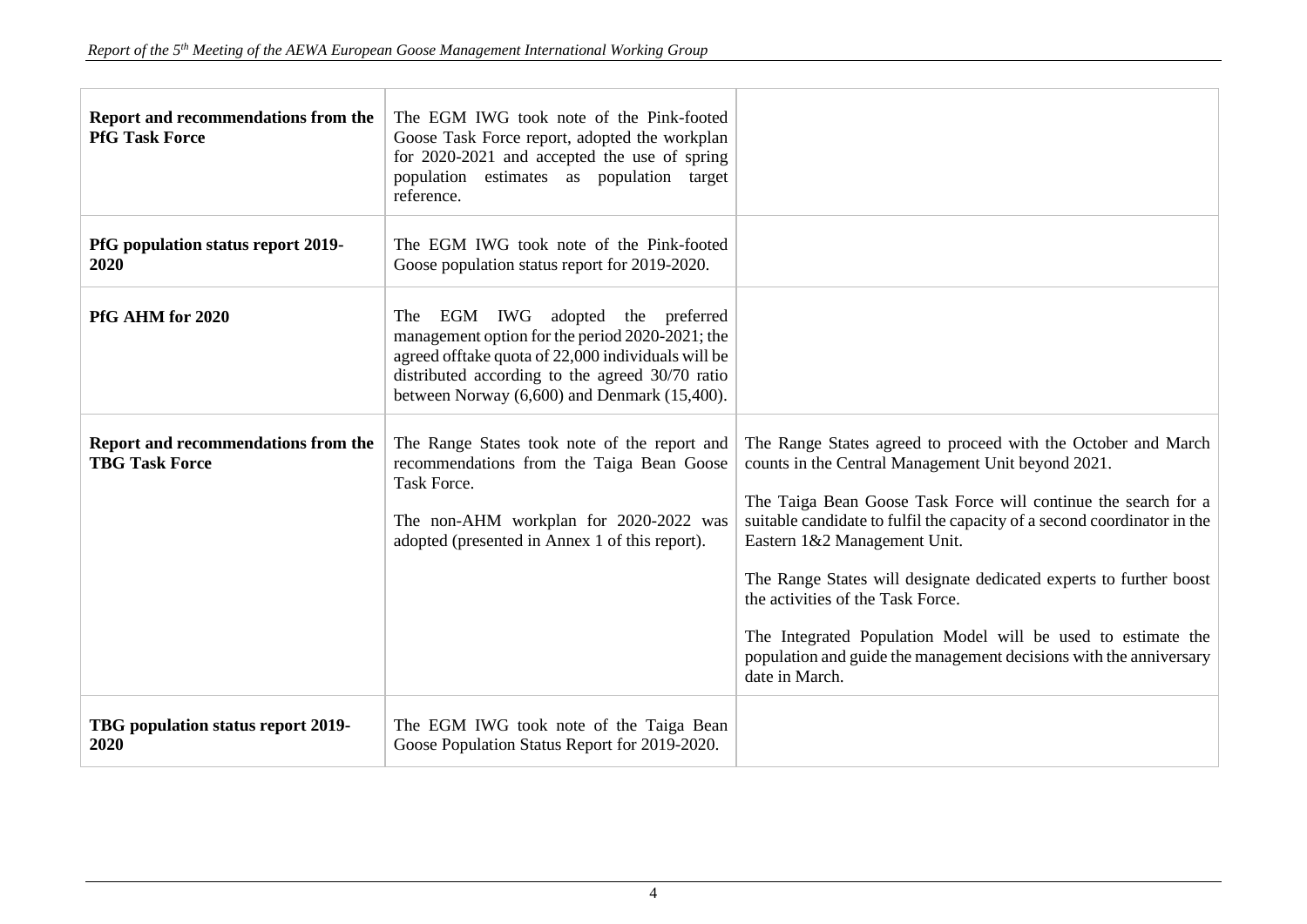| Report and recommendations from the<br><b>PfG Task Force</b> | The EGM IWG took note of the Pink-footed<br>Goose Task Force report, adopted the workplan<br>for 2020-2021 and accepted the use of spring<br>population estimates as population target<br>reference.                                               |                                                                                                                                                                                                                                                                                                                                                                                                                                                                                                                                                                      |
|--------------------------------------------------------------|----------------------------------------------------------------------------------------------------------------------------------------------------------------------------------------------------------------------------------------------------|----------------------------------------------------------------------------------------------------------------------------------------------------------------------------------------------------------------------------------------------------------------------------------------------------------------------------------------------------------------------------------------------------------------------------------------------------------------------------------------------------------------------------------------------------------------------|
| PfG population status report 2019-<br>2020                   | The EGM IWG took note of the Pink-footed<br>Goose population status report for 2019-2020.                                                                                                                                                          |                                                                                                                                                                                                                                                                                                                                                                                                                                                                                                                                                                      |
| PfG AHM for 2020                                             | The EGM IWG adopted the preferred<br>management option for the period 2020-2021; the<br>agreed offtake quota of 22,000 individuals will be<br>distributed according to the agreed 30/70 ratio<br>between Norway $(6,600)$ and Denmark $(15,400)$ . |                                                                                                                                                                                                                                                                                                                                                                                                                                                                                                                                                                      |
| Report and recommendations from the<br><b>TBG Task Force</b> | The Range States took note of the report and<br>recommendations from the Taiga Bean Goose<br>Task Force.<br>The non-AHM workplan for 2020-2022 was<br>adopted (presented in Annex 1 of this report).                                               | The Range States agreed to proceed with the October and March<br>counts in the Central Management Unit beyond 2021.<br>The Taiga Bean Goose Task Force will continue the search for a<br>suitable candidate to fulfil the capacity of a second coordinator in the<br>Eastern 1&2 Management Unit.<br>The Range States will designate dedicated experts to further boost<br>the activities of the Task Force.<br>The Integrated Population Model will be used to estimate the<br>population and guide the management decisions with the anniversary<br>date in March. |
| TBG population status report 2019-<br>2020                   | The EGM IWG took note of the Taiga Bean<br>Goose Population Status Report for 2019-2020.                                                                                                                                                           |                                                                                                                                                                                                                                                                                                                                                                                                                                                                                                                                                                      |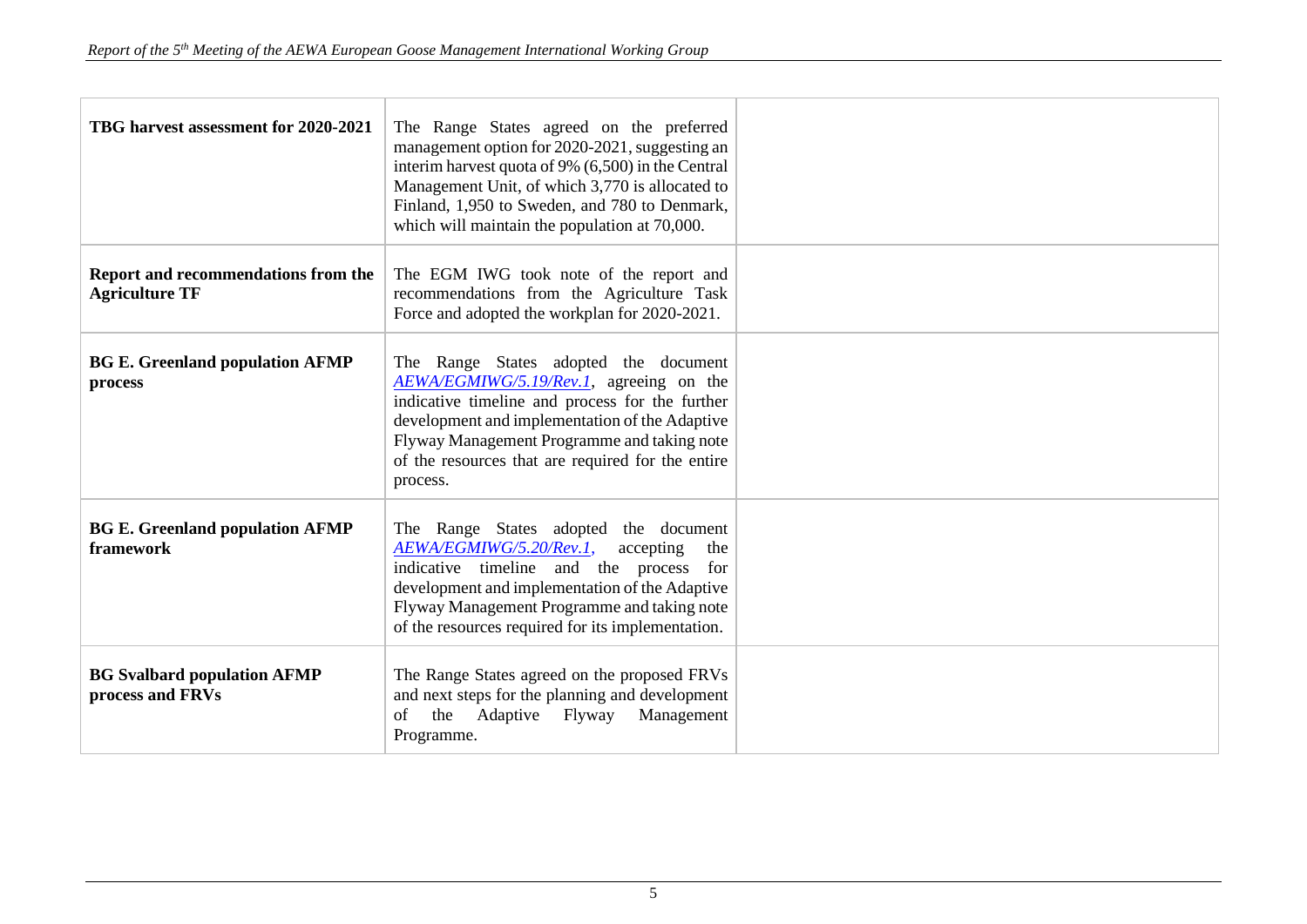| TBG harvest assessment for 2020-2021                         | The Range States agreed on the preferred<br>management option for 2020-2021, suggesting an<br>interim harvest quota of 9% (6,500) in the Central<br>Management Unit, of which 3,770 is allocated to<br>Finland, 1,950 to Sweden, and 780 to Denmark,<br>which will maintain the population at 70,000. |  |
|--------------------------------------------------------------|-------------------------------------------------------------------------------------------------------------------------------------------------------------------------------------------------------------------------------------------------------------------------------------------------------|--|
| Report and recommendations from the<br><b>Agriculture TF</b> | The EGM IWG took note of the report and<br>recommendations from the Agriculture Task<br>Force and adopted the workplan for 2020-2021.                                                                                                                                                                 |  |
| <b>BG E. Greenland population AFMP</b><br>process            | The Range States adopted the document<br>AEWA/EGMIWG/5.19/Rev.1, agreeing on the<br>indicative timeline and process for the further<br>development and implementation of the Adaptive<br>Flyway Management Programme and taking note<br>of the resources that are required for the entire<br>process. |  |
| <b>BG E. Greenland population AFMP</b><br>framework          | The Range States adopted the document<br>AEWA/EGMIWG/5.20/Rev.1,<br>accepting<br>the<br>indicative timeline and the process<br>for<br>development and implementation of the Adaptive<br>Flyway Management Programme and taking note<br>of the resources required for its implementation.              |  |
| <b>BG Svalbard population AFMP</b><br>process and FRVs       | The Range States agreed on the proposed FRVs<br>and next steps for the planning and development<br>Adaptive<br>Flyway<br>the<br>Management<br>of<br>Programme.                                                                                                                                        |  |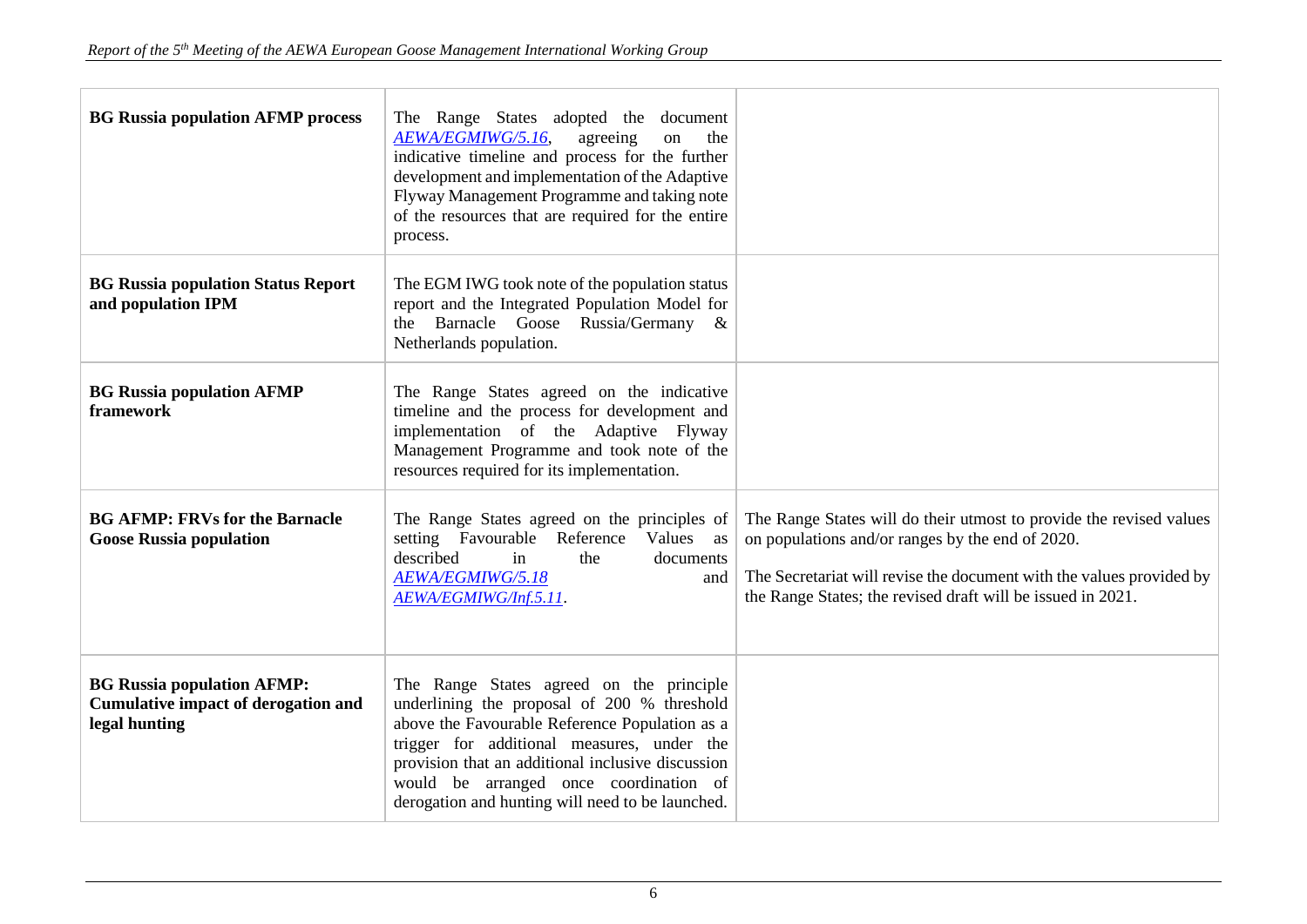| <b>BG Russia population AFMP process</b>                                                         | The Range States adopted the document<br>AEWA/EGMIWG/5.16,<br>agreeing<br>on<br>the<br>indicative timeline and process for the further<br>development and implementation of the Adaptive<br>Flyway Management Programme and taking note<br>of the resources that are required for the entire<br>process.                                   |                                                                                                                                                                                                                                                                |
|--------------------------------------------------------------------------------------------------|--------------------------------------------------------------------------------------------------------------------------------------------------------------------------------------------------------------------------------------------------------------------------------------------------------------------------------------------|----------------------------------------------------------------------------------------------------------------------------------------------------------------------------------------------------------------------------------------------------------------|
| <b>BG Russia population Status Report</b><br>and population IPM                                  | The EGM IWG took note of the population status<br>report and the Integrated Population Model for<br>the Barnacle Goose Russia/Germany &<br>Netherlands population.                                                                                                                                                                         |                                                                                                                                                                                                                                                                |
| <b>BG Russia population AFMP</b><br>framework                                                    | The Range States agreed on the indicative<br>timeline and the process for development and<br>implementation of the Adaptive Flyway<br>Management Programme and took note of the<br>resources required for its implementation.                                                                                                              |                                                                                                                                                                                                                                                                |
| <b>BG AFMP: FRVs for the Barnacle</b><br><b>Goose Russia population</b>                          | The Range States agreed on the principles of<br>setting Favourable Reference<br>Values as<br>described<br>the<br>in<br>documents<br>AEWA/EGMIWG/5.18<br>and<br>AEWA/EGMIWG/Inf.5.11.                                                                                                                                                       | The Range States will do their utmost to provide the revised values<br>on populations and/or ranges by the end of 2020.<br>The Secretariat will revise the document with the values provided by<br>the Range States; the revised draft will be issued in 2021. |
| <b>BG Russia population AFMP:</b><br><b>Cumulative impact of derogation and</b><br>legal hunting | The Range States agreed on the principle<br>underlining the proposal of 200 % threshold<br>above the Favourable Reference Population as a<br>trigger for additional measures, under the<br>provision that an additional inclusive discussion<br>would be arranged once coordination of<br>derogation and hunting will need to be launched. |                                                                                                                                                                                                                                                                |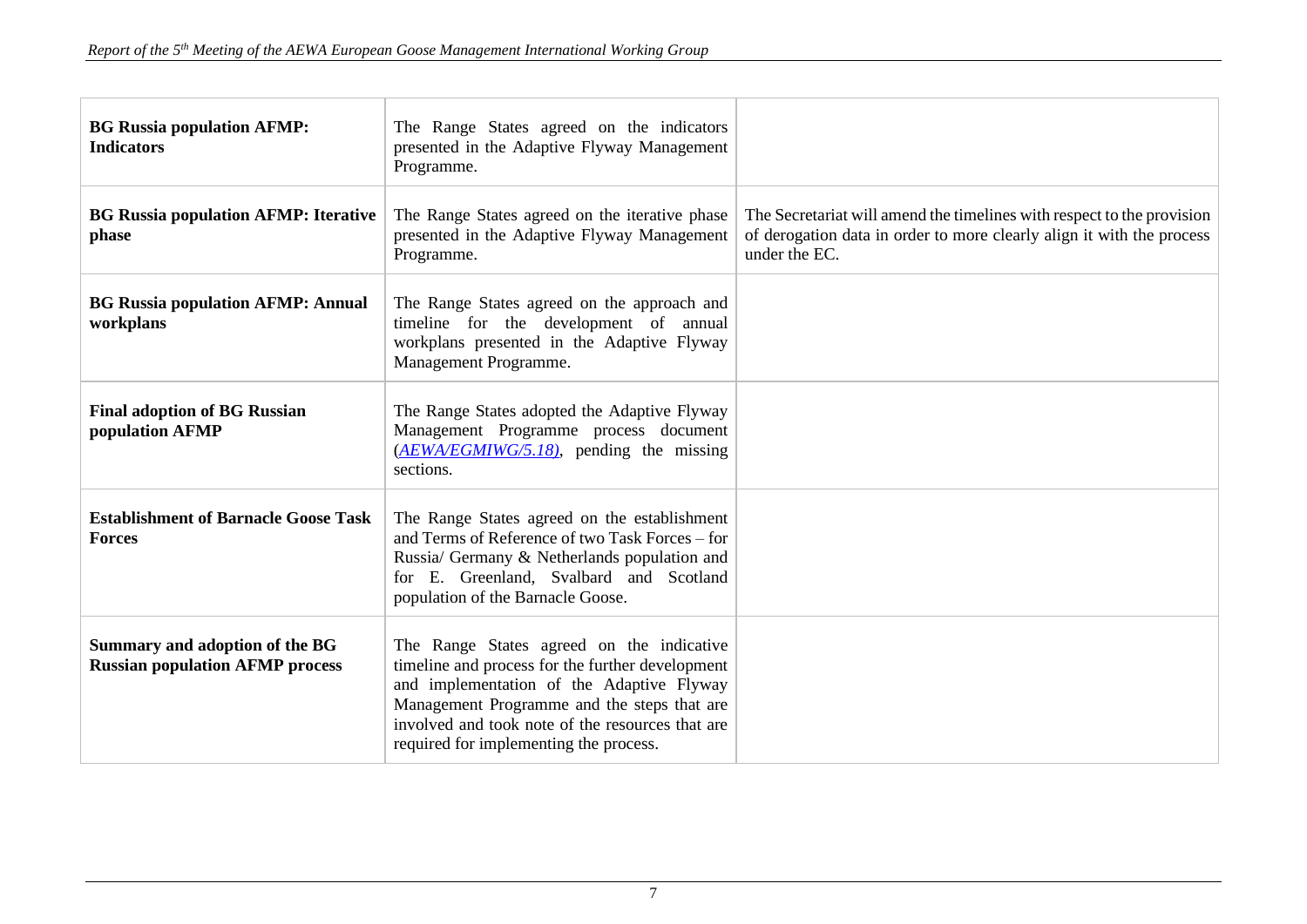| <b>BG Russia population AFMP:</b><br><b>Indicators</b>                   | The Range States agreed on the indicators<br>presented in the Adaptive Flyway Management<br>Programme.                                                                                                                                                                                  |                                                                                                                                                                  |
|--------------------------------------------------------------------------|-----------------------------------------------------------------------------------------------------------------------------------------------------------------------------------------------------------------------------------------------------------------------------------------|------------------------------------------------------------------------------------------------------------------------------------------------------------------|
| <b>BG Russia population AFMP: Iterative</b><br>phase                     | The Range States agreed on the iterative phase<br>presented in the Adaptive Flyway Management<br>Programme.                                                                                                                                                                             | The Secretariat will amend the timelines with respect to the provision<br>of derogation data in order to more clearly align it with the process<br>under the EC. |
| <b>BG Russia population AFMP: Annual</b><br>workplans                    | The Range States agreed on the approach and<br>timeline for the development of annual<br>workplans presented in the Adaptive Flyway<br>Management Programme.                                                                                                                            |                                                                                                                                                                  |
| <b>Final adoption of BG Russian</b><br>population AFMP                   | The Range States adopted the Adaptive Flyway<br>Management Programme process document<br>$(\underline{A EWA/EGMIWG/5.18})$ , pending the missing<br>sections.                                                                                                                           |                                                                                                                                                                  |
| <b>Establishment of Barnacle Goose Task</b><br><b>Forces</b>             | The Range States agreed on the establishment<br>and Terms of Reference of two Task Forces – for<br>Russia/ Germany & Netherlands population and<br>for E. Greenland, Svalbard and Scotland<br>population of the Barnacle Goose.                                                         |                                                                                                                                                                  |
| Summary and adoption of the BG<br><b>Russian population AFMP process</b> | The Range States agreed on the indicative<br>timeline and process for the further development<br>and implementation of the Adaptive Flyway<br>Management Programme and the steps that are<br>involved and took note of the resources that are<br>required for implementing the process. |                                                                                                                                                                  |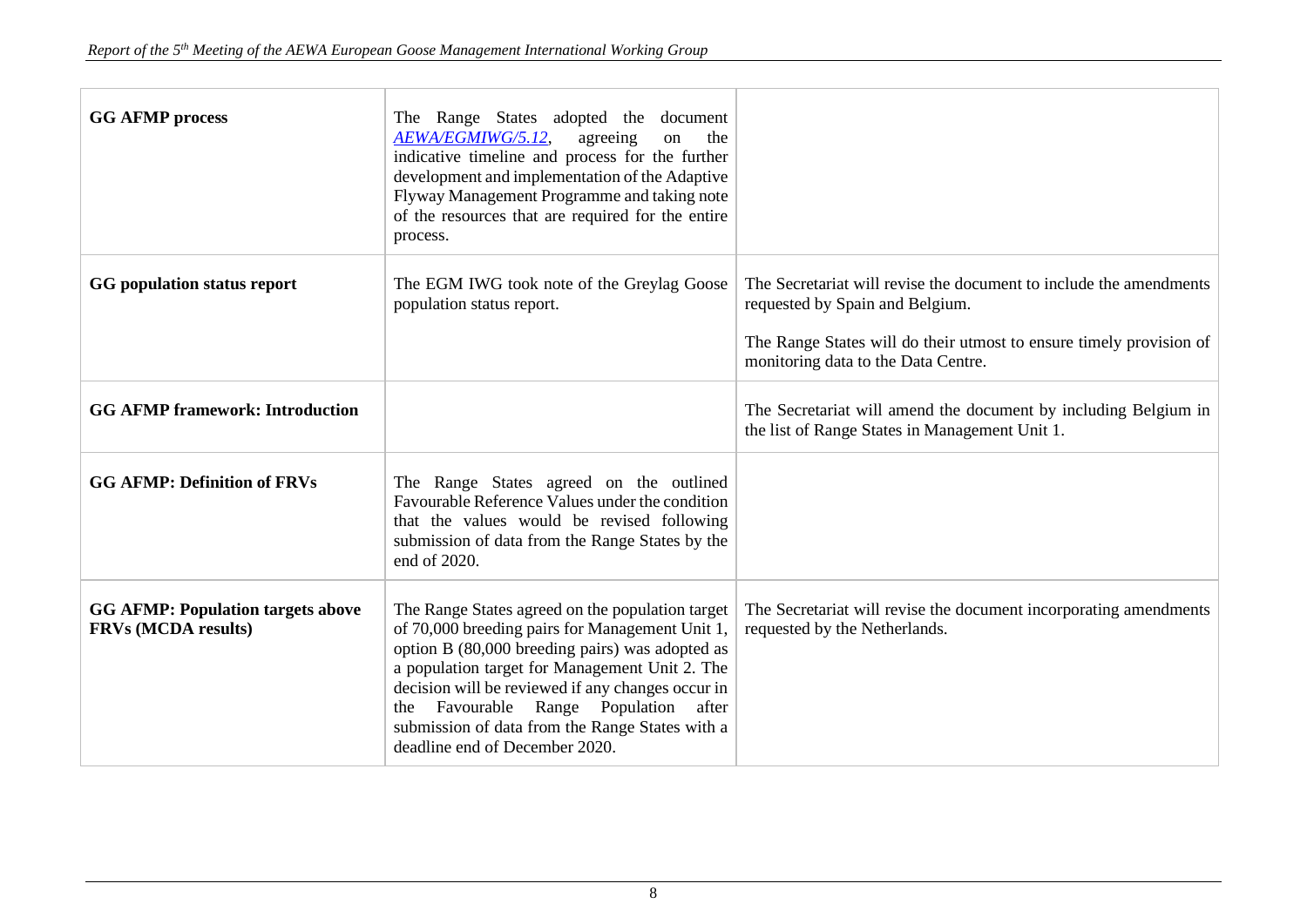| <b>GG AFMP process</b>                                                 | The Range States adopted the document<br>AEWA/EGMIWG/5.12,<br>agreeing<br>the<br>on<br>indicative timeline and process for the further<br>development and implementation of the Adaptive<br>Flyway Management Programme and taking note<br>of the resources that are required for the entire<br>process.                                                                                       |                                                                                                                   |
|------------------------------------------------------------------------|------------------------------------------------------------------------------------------------------------------------------------------------------------------------------------------------------------------------------------------------------------------------------------------------------------------------------------------------------------------------------------------------|-------------------------------------------------------------------------------------------------------------------|
| GG population status report                                            | The EGM IWG took note of the Greylag Goose<br>population status report.                                                                                                                                                                                                                                                                                                                        | The Secretariat will revise the document to include the amendments<br>requested by Spain and Belgium.             |
|                                                                        |                                                                                                                                                                                                                                                                                                                                                                                                | The Range States will do their utmost to ensure timely provision of<br>monitoring data to the Data Centre.        |
| <b>GG AFMP framework: Introduction</b>                                 |                                                                                                                                                                                                                                                                                                                                                                                                | The Secretariat will amend the document by including Belgium in<br>the list of Range States in Management Unit 1. |
| <b>GG AFMP: Definition of FRVs</b>                                     | The Range States agreed on the outlined<br>Favourable Reference Values under the condition<br>that the values would be revised following<br>submission of data from the Range States by the<br>end of 2020.                                                                                                                                                                                    |                                                                                                                   |
| <b>GG AFMP: Population targets above</b><br><b>FRVs (MCDA results)</b> | The Range States agreed on the population target<br>of 70,000 breeding pairs for Management Unit 1,<br>option B (80,000 breeding pairs) was adopted as<br>a population target for Management Unit 2. The<br>decision will be reviewed if any changes occur in<br>the Favourable Range Population<br>after<br>submission of data from the Range States with a<br>deadline end of December 2020. | The Secretariat will revise the document incorporating amendments<br>requested by the Netherlands.                |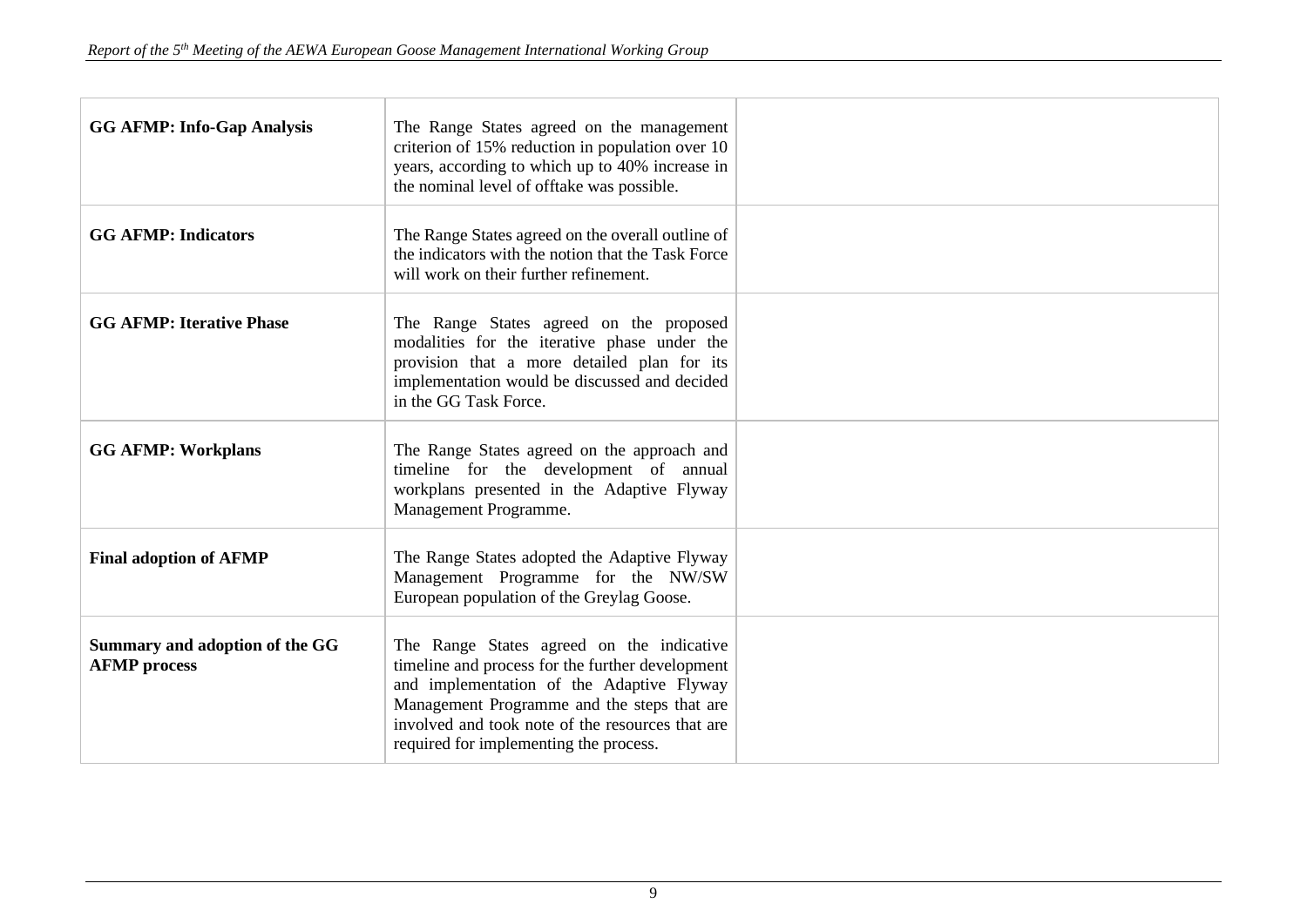| <b>GG AFMP: Info-Gap Analysis</b>                     | The Range States agreed on the management<br>criterion of 15% reduction in population over 10<br>years, according to which up to 40% increase in<br>the nominal level of offtake was possible.                                                                                          |  |
|-------------------------------------------------------|-----------------------------------------------------------------------------------------------------------------------------------------------------------------------------------------------------------------------------------------------------------------------------------------|--|
| <b>GG AFMP: Indicators</b>                            | The Range States agreed on the overall outline of<br>the indicators with the notion that the Task Force<br>will work on their further refinement.                                                                                                                                       |  |
| <b>GG AFMP: Iterative Phase</b>                       | The Range States agreed on the proposed<br>modalities for the iterative phase under the<br>provision that a more detailed plan for its<br>implementation would be discussed and decided<br>in the GG Task Force.                                                                        |  |
| <b>GG AFMP: Workplans</b>                             | The Range States agreed on the approach and<br>timeline for the development of annual<br>workplans presented in the Adaptive Flyway<br>Management Programme.                                                                                                                            |  |
| <b>Final adoption of AFMP</b>                         | The Range States adopted the Adaptive Flyway<br>Management Programme for the NW/SW<br>European population of the Greylag Goose.                                                                                                                                                         |  |
| Summary and adoption of the GG<br><b>AFMP</b> process | The Range States agreed on the indicative<br>timeline and process for the further development<br>and implementation of the Adaptive Flyway<br>Management Programme and the steps that are<br>involved and took note of the resources that are<br>required for implementing the process. |  |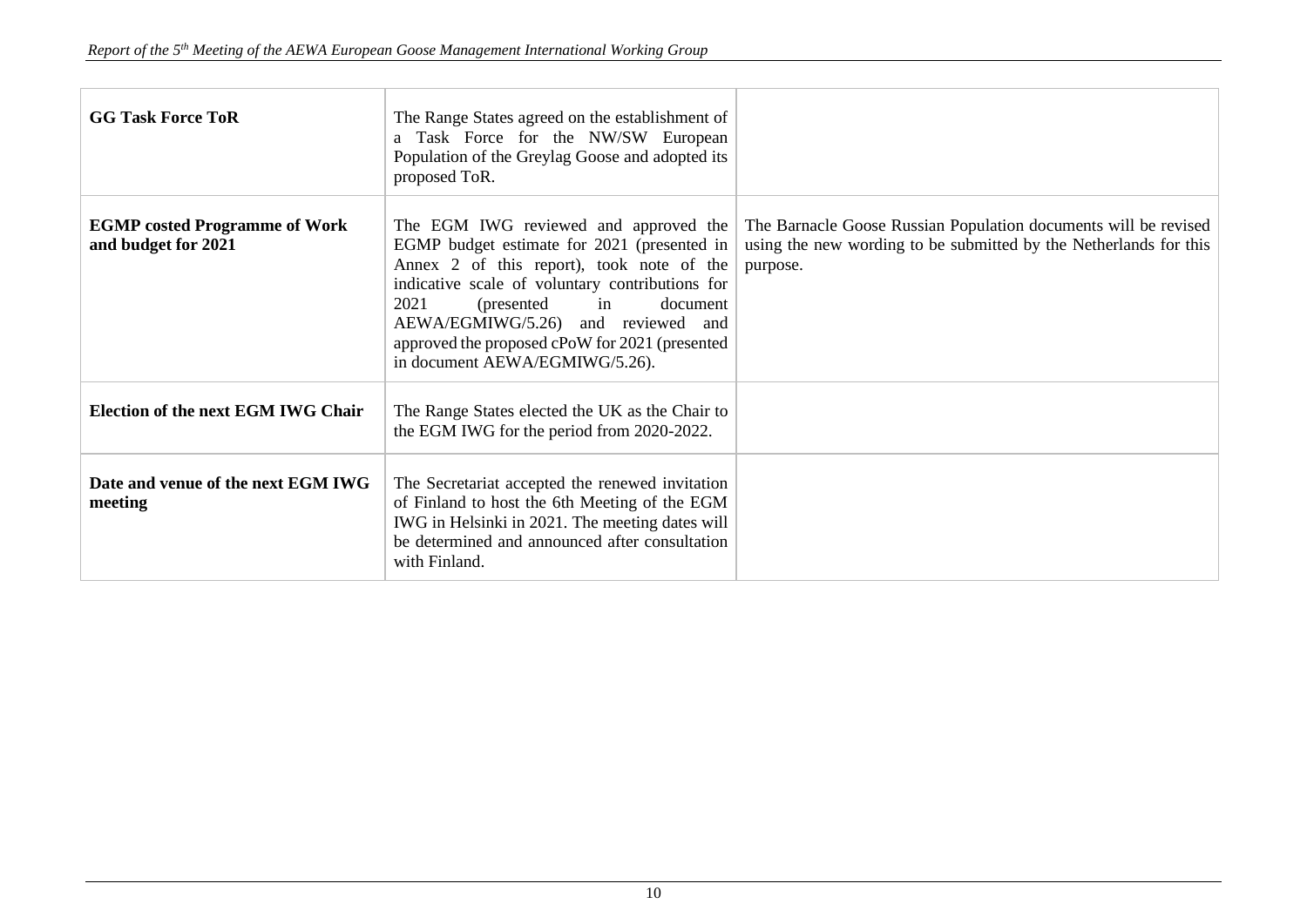| <b>GG Task Force ToR</b>                                    | The Range States agreed on the establishment of<br>a Task Force for the NW/SW European<br>Population of the Greylag Goose and adopted its<br>proposed ToR.                                                                                                                                                                                              |                                                                                                                                                  |
|-------------------------------------------------------------|---------------------------------------------------------------------------------------------------------------------------------------------------------------------------------------------------------------------------------------------------------------------------------------------------------------------------------------------------------|--------------------------------------------------------------------------------------------------------------------------------------------------|
| <b>EGMP</b> costed Programme of Work<br>and budget for 2021 | The EGM IWG reviewed and approved the<br>EGMP budget estimate for 2021 (presented in<br>Annex 2 of this report), took note of the<br>indicative scale of voluntary contributions for<br>2021<br>(presented)<br>in<br>document<br>AEWA/EGMIWG/5.26) and reviewed and<br>approved the proposed cPoW for 2021 (presented<br>in document AEWA/EGMIWG/5.26). | The Barnacle Goose Russian Population documents will be revised<br>using the new wording to be submitted by the Netherlands for this<br>purpose. |
| <b>Election of the next EGM IWG Chair</b>                   | The Range States elected the UK as the Chair to<br>the EGM IWG for the period from 2020-2022.                                                                                                                                                                                                                                                           |                                                                                                                                                  |
| Date and venue of the next EGM IWG<br>meeting               | The Secretariat accepted the renewed invitation<br>of Finland to host the 6th Meeting of the EGM<br>IWG in Helsinki in 2021. The meeting dates will<br>be determined and announced after consultation<br>with Finland.                                                                                                                                  |                                                                                                                                                  |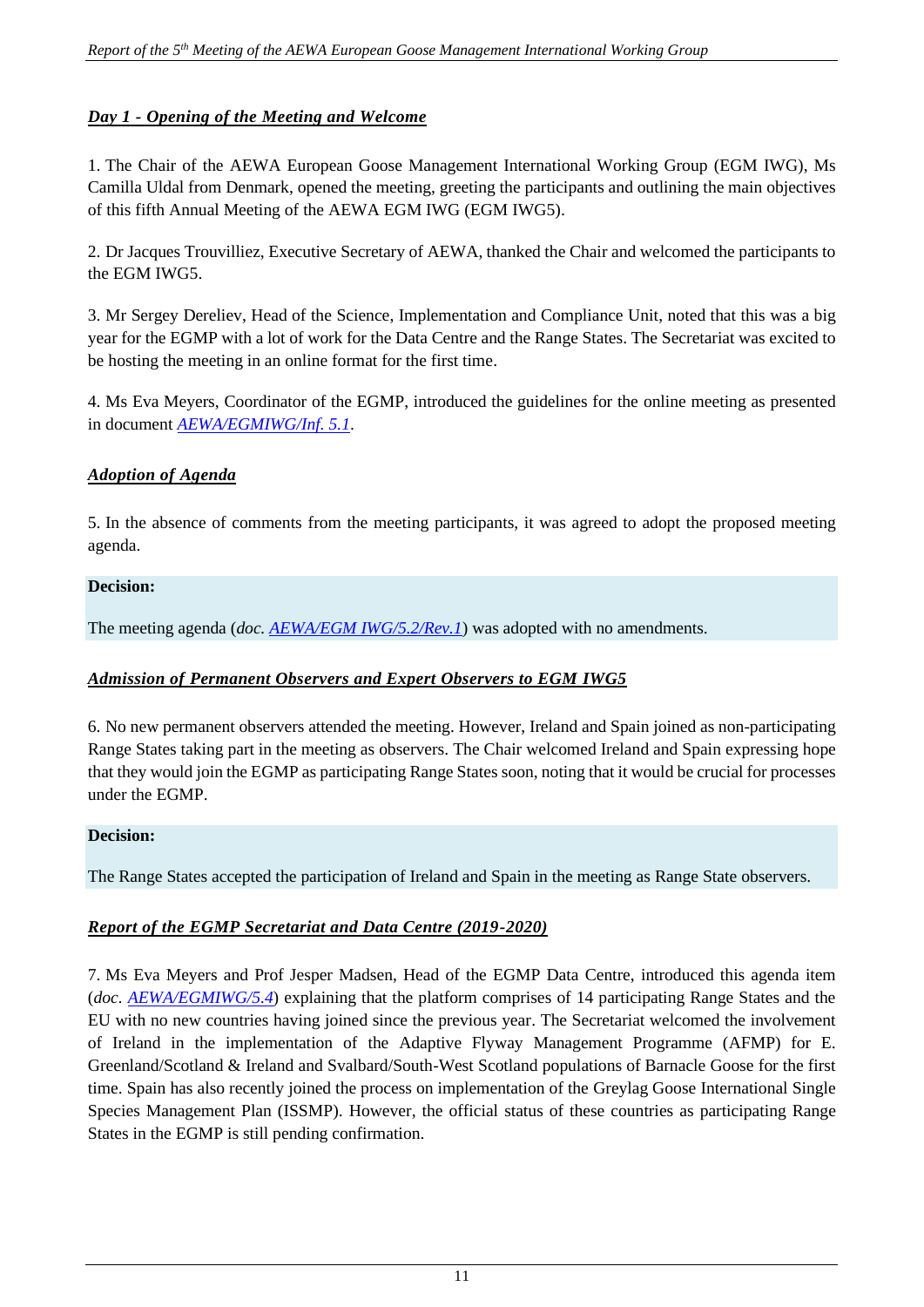# *Day 1 - Opening of the Meeting and Welcome*

1. The Chair of the AEWA European Goose Management International Working Group (EGM IWG), Ms Camilla Uldal from Denmark, opened the meeting, greeting the participants and outlining the main objectives of this fifth Annual Meeting of the AEWA EGM IWG (EGM IWG5).

2. Dr Jacques Trouvilliez, Executive Secretary of AEWA, thanked the Chair and welcomed the participants to the EGM IWG5.

3. Mr Sergey Dereliev, Head of the Science, Implementation and Compliance Unit, noted that this was a big year for the EGMP with a lot of work for the Data Centre and the Range States. The Secretariat was excited to be hosting the meeting in an online format for the first time.

4. Ms Eva Meyers, Coordinator of the EGMP, introduced the guidelines for the online meeting as presented in document *[AEWA/EGMIWG/Inf. 5.1](https://egmp.aewa.info/sites/default/files/meeting_files/information_documents/AEWA_EGM_IWG5_Inf_5_1_Protocol_for_EGM_IWG5.pdf)*.

#### *Adoption of Agenda*

5. In the absence of comments from the meeting participants, it was agreed to adopt the proposed meeting agenda.

#### **Decision:**

The meeting agenda (*doc[. AEWA/EGM IWG/5.2/Rev.1](https://egmp.aewa.info/sites/default/files/meeting_files/documents/AEWA_EGM_IWG_5_2_Provisional_Agenda_Rev.1.pdf)*) was adopted with no amendments.

### *Admission of Permanent Observers and Expert Observers to EGM IWG5*

6. No new permanent observers attended the meeting. However, Ireland and Spain joined as non-participating Range States taking part in the meeting as observers. The Chair welcomed Ireland and Spain expressing hope that they would join the EGMP as participating Range States soon, noting that it would be crucial for processes under the EGMP.

#### **Decision:**

The Range States accepted the participation of Ireland and Spain in the meeting as Range State observers.

### *Report of the EGMP Secretariat and Data Centre (2019-2020)*

7. Ms Eva Meyers and Prof Jesper Madsen, Head of the EGMP Data Centre, introduced this agenda item (*doc. [AEWA/EGMIWG/5.4](https://egmp.aewa.info/sites/default/files/meeting_files/documents/AEWA_EGM_IWG_5_4_Report_Secretariat_DC.pdf)*) explaining that the platform comprises of 14 participating Range States and the EU with no new countries having joined since the previous year. The Secretariat welcomed the involvement of Ireland in the implementation of the Adaptive Flyway Management Programme (AFMP) for E. Greenland/Scotland & Ireland and Svalbard/South-West Scotland populations of Barnacle Goose for the first time. Spain has also recently joined the process on implementation of the Greylag Goose International Single Species Management Plan (ISSMP). However, the official status of these countries as participating Range States in the EGMP is still pending confirmation.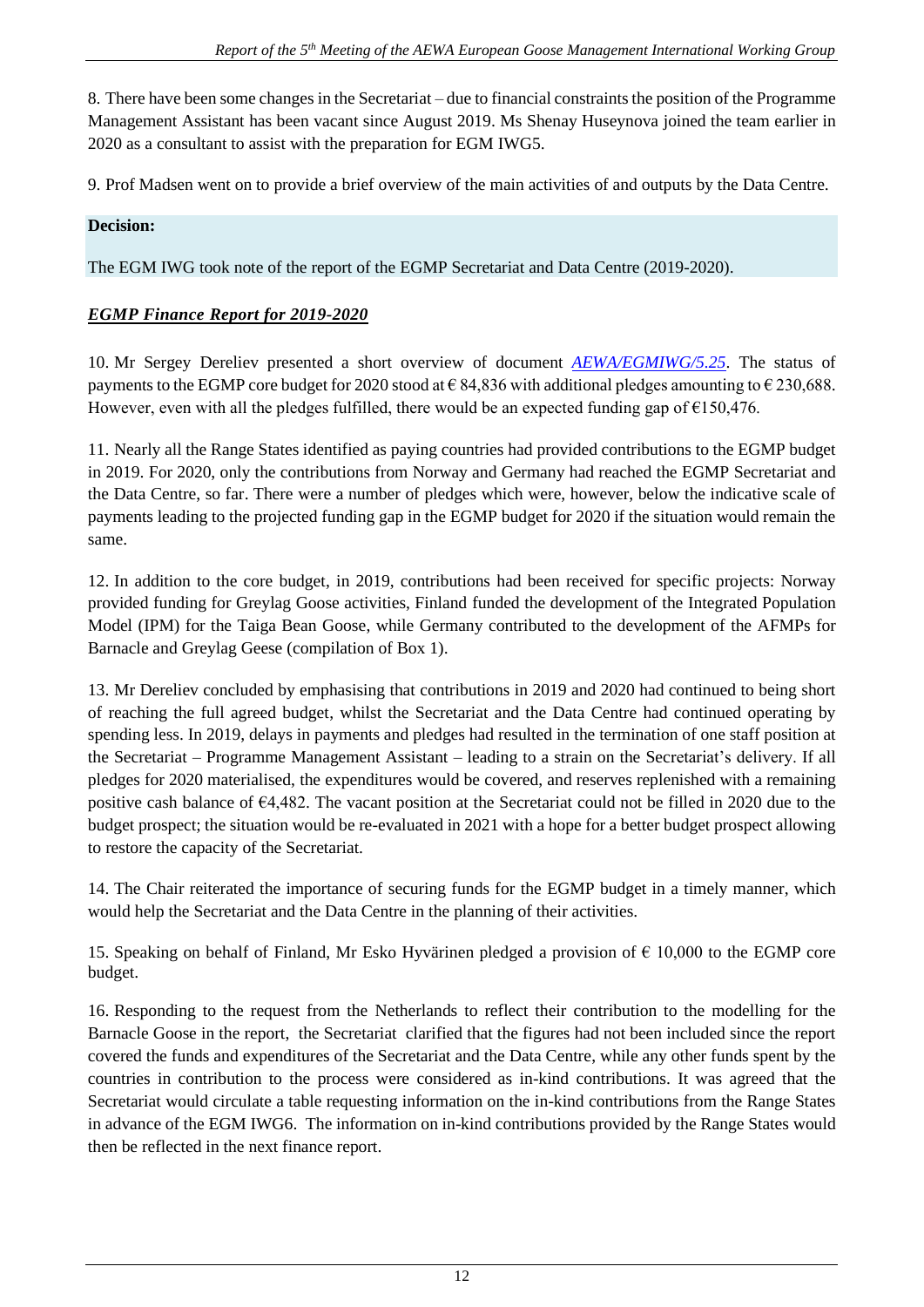8. There have been some changes in the Secretariat – due to financial constraints the position of the Programme Management Assistant has been vacant since August 2019. Ms Shenay Huseynova joined the team earlier in 2020 as a consultant to assist with the preparation for EGM IWG5.

9. Prof Madsen went on to provide a brief overview of the main activities of and outputs by the Data Centre.

### **Decision:**

The EGM IWG took note of the report of the EGMP Secretariat and Data Centre (2019-2020).

#### *EGMP Finance Report for 2019-2020*

10. Mr Sergey Dereliev presented a short overview of document *[AEWA/EGMIWG/5.25](https://egmp.aewa.info/sites/default/files/meeting_files/documents/AEWA_EGM_IWG_5_25_Finance_Report_2019_2020.pdf)*. The status of payments to the EGMP core budget for 2020 stood at  $\epsilon$  84,836 with additional pledges amounting to  $\epsilon$  230,688. However, even with all the pledges fulfilled, there would be an expected funding gap of  $\epsilon$ 150,476.

11. Nearly all the Range States identified as paying countries had provided contributions to the EGMP budget in 2019. For 2020, only the contributions from Norway and Germany had reached the EGMP Secretariat and the Data Centre, so far. There were a number of pledges which were, however, below the indicative scale of payments leading to the projected funding gap in the EGMP budget for 2020 if the situation would remain the same.

12. In addition to the core budget, in 2019, contributions had been received for specific projects: Norway provided funding for Greylag Goose activities, Finland funded the development of the Integrated Population Model (IPM) for the Taiga Bean Goose, while Germany contributed to the development of the AFMPs for Barnacle and Greylag Geese (compilation of Box 1).

13. Mr Dereliev concluded by emphasising that contributions in 2019 and 2020 had continued to being short of reaching the full agreed budget, whilst the Secretariat and the Data Centre had continued operating by spending less. In 2019, delays in payments and pledges had resulted in the termination of one staff position at the Secretariat – Programme Management Assistant – leading to a strain on the Secretariat's delivery. If all pledges for 2020 materialised, the expenditures would be covered, and reserves replenished with a remaining positive cash balance of €4,482. The vacant position at the Secretariat could not be filled in 2020 due to the budget prospect; the situation would be re-evaluated in 2021 with a hope for a better budget prospect allowing to restore the capacity of the Secretariat.

14. The Chair reiterated the importance of securing funds for the EGMP budget in a timely manner, which would help the Secretariat and the Data Centre in the planning of their activities.

15. Speaking on behalf of Finland, Mr Esko Hyvärinen pledged a provision of  $\epsilon$  10,000 to the EGMP core budget.

16. Responding to the request from the Netherlands to reflect their contribution to the modelling for the Barnacle Goose in the report, the Secretariat clarified that the figures had not been included since the report covered the funds and expenditures of the Secretariat and the Data Centre, while any other funds spent by the countries in contribution to the process were considered as in-kind contributions. It was agreed that the Secretariat would circulate a table requesting information on the in-kind contributions from the Range States in advance of the EGM IWG6. The information on in-kind contributions provided by the Range States would then be reflected in the next finance report.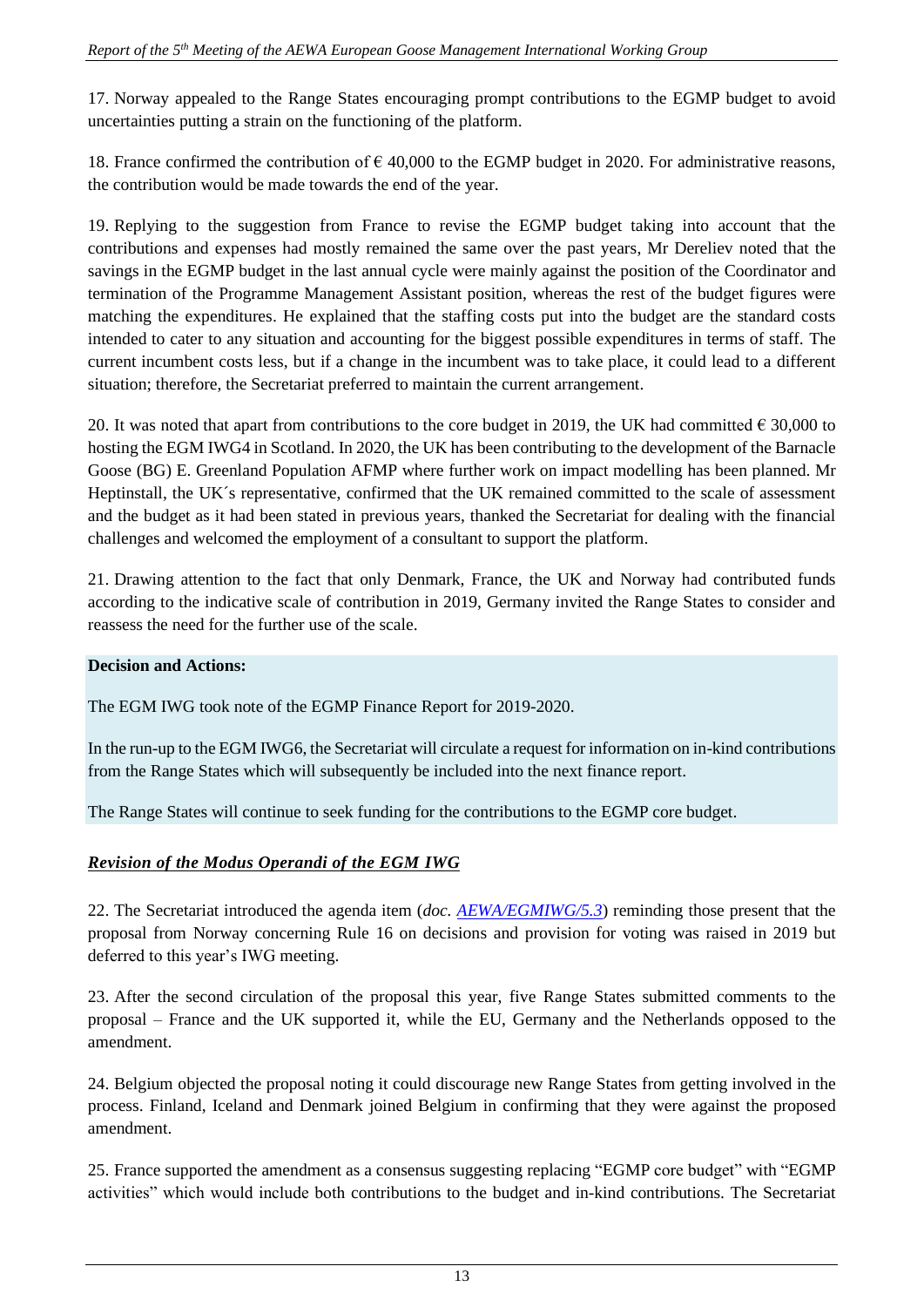17. Norway appealed to the Range States encouraging prompt contributions to the EGMP budget to avoid uncertainties putting a strain on the functioning of the platform.

18. France confirmed the contribution of  $\epsilon$  40,000 to the EGMP budget in 2020. For administrative reasons, the contribution would be made towards the end of the year.

19. Replying to the suggestion from France to revise the EGMP budget taking into account that the contributions and expenses had mostly remained the same over the past years, Mr Dereliev noted that the savings in the EGMP budget in the last annual cycle were mainly against the position of the Coordinator and termination of the Programme Management Assistant position, whereas the rest of the budget figures were matching the expenditures. He explained that the staffing costs put into the budget are the standard costs intended to cater to any situation and accounting for the biggest possible expenditures in terms of staff. The current incumbent costs less, but if a change in the incumbent was to take place, it could lead to a different situation; therefore, the Secretariat preferred to maintain the current arrangement.

20. It was noted that apart from contributions to the core budget in 2019, the UK had committed  $\epsilon$  30,000 to hosting the EGM IWG4 in Scotland. In 2020, the UK has been contributing to the development of the Barnacle Goose (BG) E. Greenland Population AFMP where further work on impact modelling has been planned. Mr Heptinstall, the UK´s representative, confirmed that the UK remained committed to the scale of assessment and the budget as it had been stated in previous years, thanked the Secretariat for dealing with the financial challenges and welcomed the employment of a consultant to support the platform.

21. Drawing attention to the fact that only Denmark, France, the UK and Norway had contributed funds according to the indicative scale of contribution in 2019, Germany invited the Range States to consider and reassess the need for the further use of the scale.

### **Decision and Actions:**

The EGM IWG took note of the EGMP Finance Report for 2019-2020.

In the run-up to the EGM IWG6, the Secretariat will circulate a request for information on in-kind contributions from the Range States which will subsequently be included into the next finance report.

The Range States will continue to seek funding for the contributions to the EGMP core budget.

### *Revision of the Modus Operandi of the EGM IWG*

22. The Secretariat introduced the agenda item (*doc. [AEWA/EGMIWG/5.3](https://egmp.aewa.info/sites/default/files/meeting_files/documents/AEWA_EGM_IWG_5_3_Modus_Operandi.pdf)*) reminding those present that the proposal from Norway concerning Rule 16 on decisions and provision for voting was raised in 2019 but deferred to this year's IWG meeting.

23. After the second circulation of the proposal this year, five Range States submitted comments to the proposal – France and the UK supported it, while the EU, Germany and the Netherlands opposed to the amendment.

24. Belgium objected the proposal noting it could discourage new Range States from getting involved in the process. Finland, Iceland and Denmark joined Belgium in confirming that they were against the proposed amendment.

25. France supported the amendment as a consensus suggesting replacing "EGMP core budget" with "EGMP activities" which would include both contributions to the budget and in-kind contributions. The Secretariat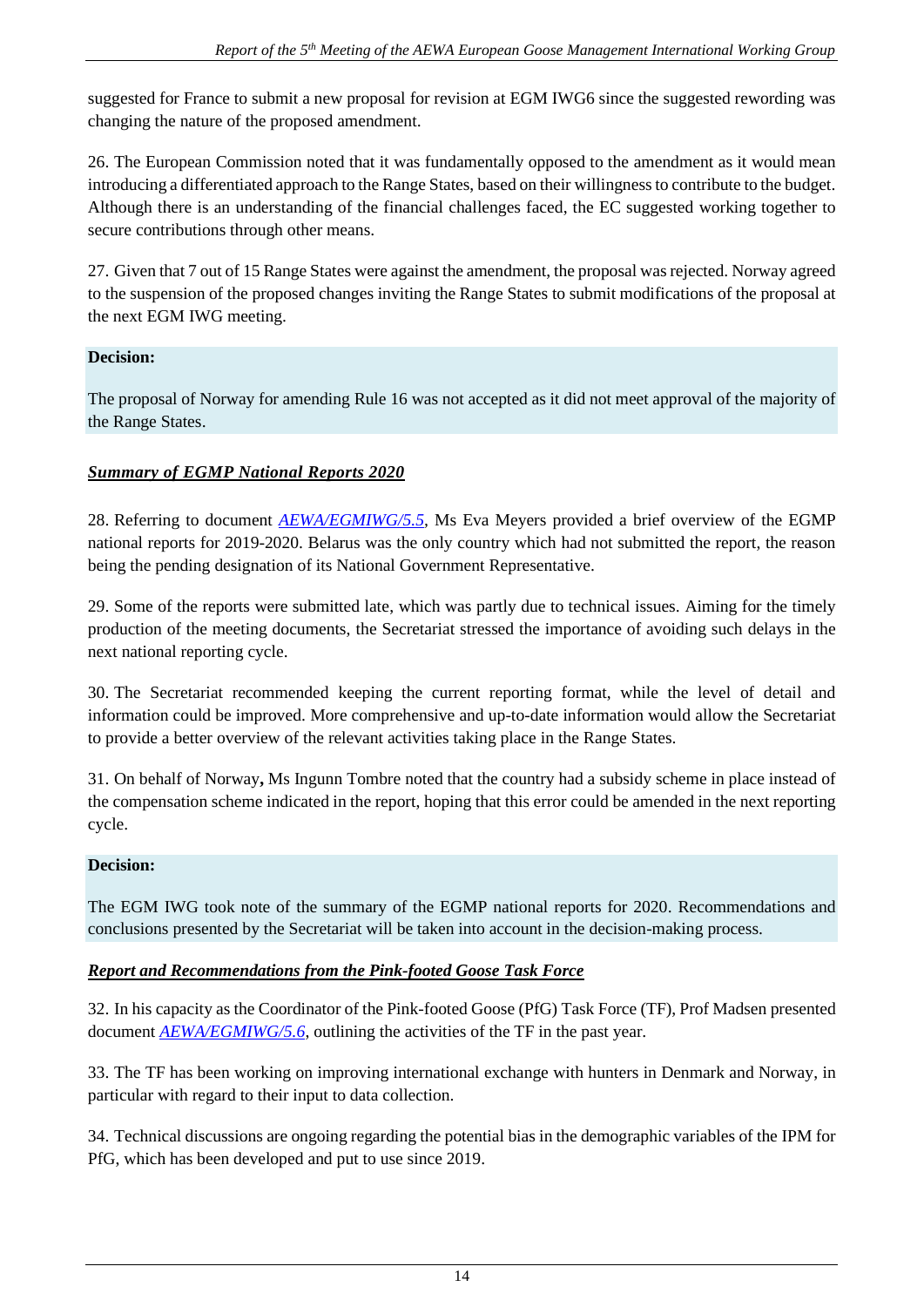suggested for France to submit a new proposal for revision at EGM IWG6 since the suggested rewording was changing the nature of the proposed amendment.

26. The European Commission noted that it was fundamentally opposed to the amendment as it would mean introducing a differentiated approach to the Range States, based on their willingness to contribute to the budget. Although there is an understanding of the financial challenges faced, the EC suggested working together to secure contributions through other means.

27. Given that 7 out of 15 Range States were against the amendment, the proposal was rejected. Norway agreed to the suspension of the proposed changes inviting the Range States to submit modifications of the proposal at the next EGM IWG meeting.

# **Decision:**

The proposal of Norway for amending Rule 16 was not accepted as it did not meet approval of the majority of the Range States.

# *Summary of EGMP National Reports 2020*

28. Referring to document *[AEWA/EGMIWG/5.5,](https://egmp.aewa.info/sites/default/files/meeting_files/documents/AEWA_EGM_IWG_5_5_Summary_of_EGMP_National_Reports_2020.pdf)* Ms Eva Meyers provided a brief overview of the EGMP national reports for 2019-2020. Belarus was the only country which had not submitted the report, the reason being the pending designation of its National Government Representative.

29. Some of the reports were submitted late, which was partly due to technical issues. Aiming for the timely production of the meeting documents, the Secretariat stressed the importance of avoiding such delays in the next national reporting cycle.

30. The Secretariat recommended keeping the current reporting format, while the level of detail and information could be improved. More comprehensive and up-to-date information would allow the Secretariat to provide a better overview of the relevant activities taking place in the Range States.

31. On behalf of Norway**,** Ms Ingunn Tombre noted that the country had a subsidy scheme in place instead of the compensation scheme indicated in the report, hoping that this error could be amended in the next reporting cycle.

### **Decision:**

The EGM IWG took note of the summary of the EGMP national reports for 2020. Recommendations and conclusions presented by the Secretariat will be taken into account in the decision-making process.

# *Report and Recommendations from the Pink-footed Goose Task Force*

32. In his capacity as the Coordinator of the Pink-footed Goose (PfG) Task Force (TF), Prof Madsen presented document *[AEWA/EGMIWG/5.6](https://egmp.aewa.info/sites/default/files/meeting_files/documents/AEWA_EGM_IWG_5_6_PFG_TF_Report.pdf)*, outlining the activities of the TF in the past year.

33. The TF has been working on improving international exchange with hunters in Denmark and Norway, in particular with regard to their input to data collection.

34. Technical discussions are ongoing regarding the potential bias in the demographic variables of the IPM for PfG, which has been developed and put to use since 2019.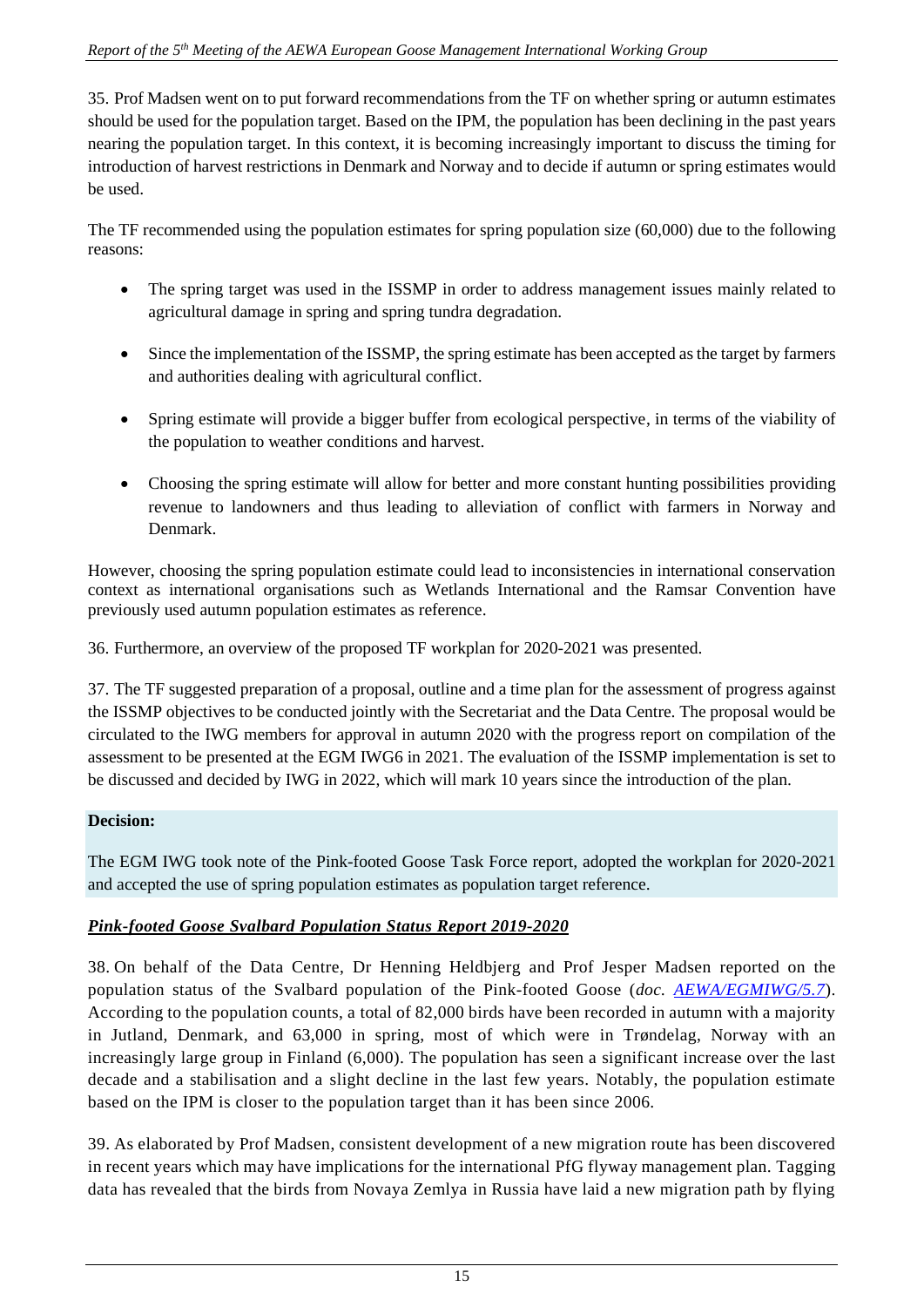35. Prof Madsen went on to put forward recommendations from the TF on whether spring or autumn estimates should be used for the population target. Based on the IPM, the population has been declining in the past years nearing the population target. In this context, it is becoming increasingly important to discuss the timing for introduction of harvest restrictions in Denmark and Norway and to decide if autumn or spring estimates would be used.

The TF recommended using the population estimates for spring population size (60,000) due to the following reasons:

- The spring target was used in the ISSMP in order to address management issues mainly related to agricultural damage in spring and spring tundra degradation.
- Since the implementation of the ISSMP, the spring estimate has been accepted as the target by farmers and authorities dealing with agricultural conflict.
- Spring estimate will provide a bigger buffer from ecological perspective, in terms of the viability of the population to weather conditions and harvest.
- Choosing the spring estimate will allow for better and more constant hunting possibilities providing revenue to landowners and thus leading to alleviation of conflict with farmers in Norway and Denmark.

However, choosing the spring population estimate could lead to inconsistencies in international conservation context as international organisations such as Wetlands International and the Ramsar Convention have previously used autumn population estimates as reference.

36. Furthermore, an overview of the proposed TF workplan for 2020-2021 was presented.

37. The TF suggested preparation of a proposal, outline and a time plan for the assessment of progress against the ISSMP objectives to be conducted jointly with the Secretariat and the Data Centre. The proposal would be circulated to the IWG members for approval in autumn 2020 with the progress report on compilation of the assessment to be presented at the EGM IWG6 in 2021. The evaluation of the ISSMP implementation is set to be discussed and decided by IWG in 2022, which will mark 10 years since the introduction of the plan.

# **Decision:**

The EGM IWG took note of the Pink-footed Goose Task Force report, adopted the workplan for 2020-2021 and accepted the use of spring population estimates as population target reference.

# *Pink-footed Goose Svalbard Population Status Report 2019-2020*

38. On behalf of the Data Centre, Dr Henning Heldbjerg and Prof Jesper Madsen reported on the population status of the Svalbard population of the Pink-footed Goose (*doc. [AEWA/EGMIWG/5.7](https://egmp.aewa.info/sites/default/files/meeting_files/documents/AEWA_EGM_IWG_5_7_Svalbard_PfG_Population_Status_Report_2019_2020.pdf)*). According to the population counts, a total of 82,000 birds have been recorded in autumn with a majority in Jutland, Denmark, and 63,000 in spring, most of which were in Trøndelag, Norway with an increasingly large group in Finland (6,000). The population has seen a significant increase over the last decade and a stabilisation and a slight decline in the last few years. Notably, the population estimate based on the IPM is closer to the population target than it has been since 2006.

39. As elaborated by Prof Madsen, consistent development of a new migration route has been discovered in recent years which may have implications for the international PfG flyway management plan. Tagging data has revealed that the birds from Novaya Zemlya in Russia have laid a new migration path by flying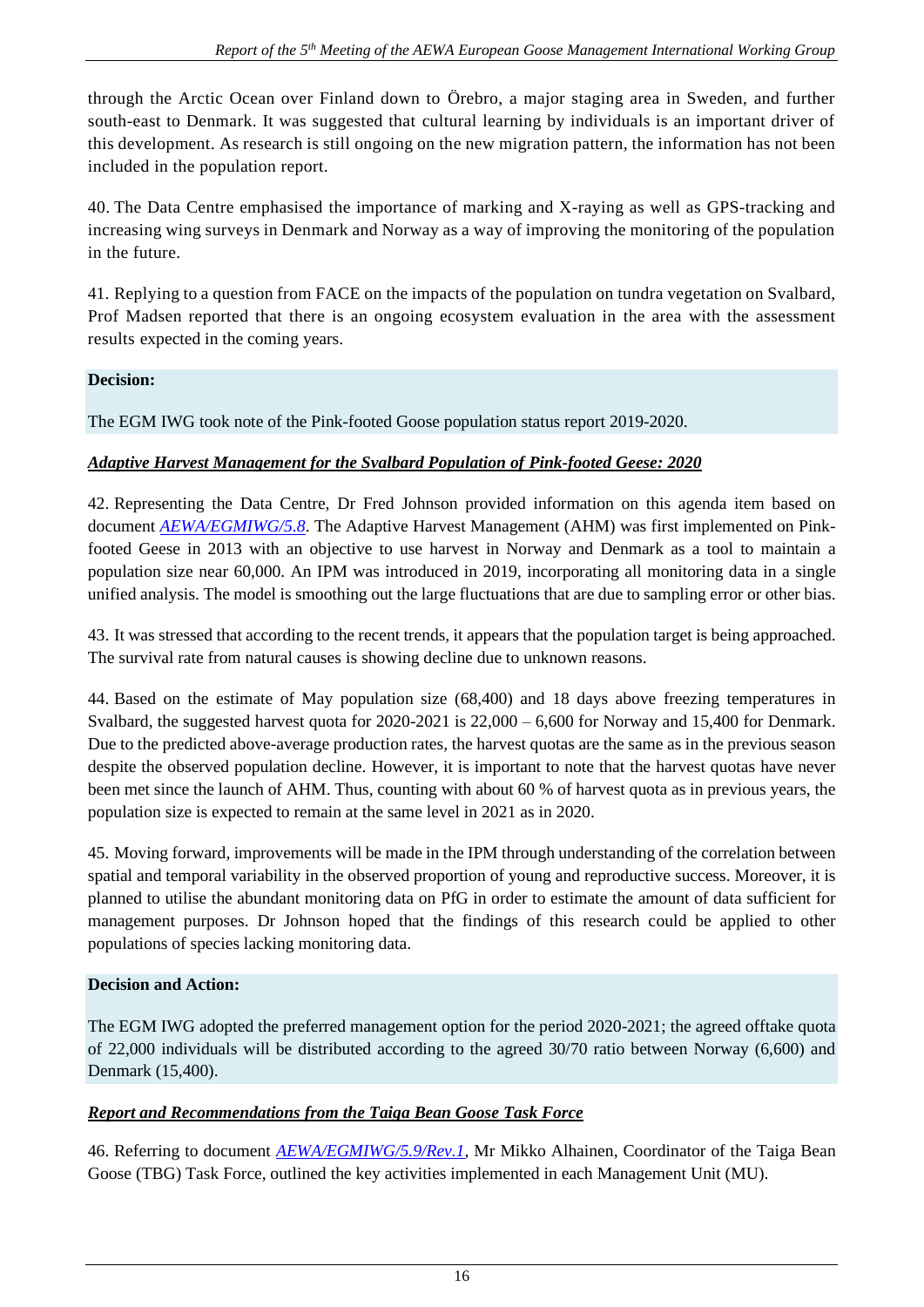through the Arctic Ocean over Finland down to Örebro, a major staging area in Sweden, and further south-east to Denmark. It was suggested that cultural learning by individuals is an important driver of this development. As research is still ongoing on the new migration pattern, the information has not been included in the population report.

40. The Data Centre emphasised the importance of marking and X-raying as well as GPS-tracking and increasing wing surveys in Denmark and Norway as a way of improving the monitoring of the population in the future.

41. Replying to a question from FACE on the impacts of the population on tundra vegetation on Svalbard, Prof Madsen reported that there is an ongoing ecosystem evaluation in the area with the assessment results expected in the coming years.

### **Decision:**

The EGM IWG took note of the Pink-footed Goose population status report 2019-2020.

### *Adaptive Harvest Management for the Svalbard Population of Pink-footed Geese: 2020*

42. Representing the Data Centre, Dr Fred Johnson provided information on this agenda item based on document *[AEWA/EGMIWG/5.8](https://egmp.aewa.info/sites/default/files/meeting_files/documents/AEWA_EGM_IWG_5_8_AHM_Svalbard_PfG_2020_2021.pdf)*. The Adaptive Harvest Management (AHM) was first implemented on Pinkfooted Geese in 2013 with an objective to use harvest in Norway and Denmark as a tool to maintain a population size near 60,000. An IPM was introduced in 2019, incorporating all monitoring data in a single unified analysis. The model is smoothing out the large fluctuations that are due to sampling error or other bias.

43. It was stressed that according to the recent trends, it appears that the population target is being approached. The survival rate from natural causes is showing decline due to unknown reasons.

44. Based on the estimate of May population size (68,400) and 18 days above freezing temperatures in Svalbard, the suggested harvest quota for 2020-2021 is  $22,000 - 6,600$  for Norway and 15,400 for Denmark. Due to the predicted above-average production rates, the harvest quotas are the same as in the previous season despite the observed population decline. However, it is important to note that the harvest quotas have never been met since the launch of AHM. Thus, counting with about 60 % of harvest quota as in previous years, the population size is expected to remain at the same level in 2021 as in 2020.

45. Moving forward, improvements will be made in the IPM through understanding of the correlation between spatial and temporal variability in the observed proportion of young and reproductive success. Moreover, it is planned to utilise the abundant monitoring data on PfG in order to estimate the amount of data sufficient for management purposes. Dr Johnson hoped that the findings of this research could be applied to other populations of species lacking monitoring data.

### **Decision and Action:**

The EGM IWG adopted the preferred management option for the period 2020-2021; the agreed offtake quota of 22,000 individuals will be distributed according to the agreed 30/70 ratio between Norway (6,600) and Denmark (15,400).

### *Report and Recommendations from the Taiga Bean Goose Task Force*

46. Referring to document *[AEWA/EGMIWG/5.9/Rev.1](https://egmp.aewa.info/sites/default/files/meeting_files/documents/AEWA_EGM_IWG_5_9_TGB_TF_report_Rev.1.pdf)*, Mr Mikko Alhainen, Coordinator of the Taiga Bean Goose (TBG) Task Force, outlined the key activities implemented in each Management Unit (MU).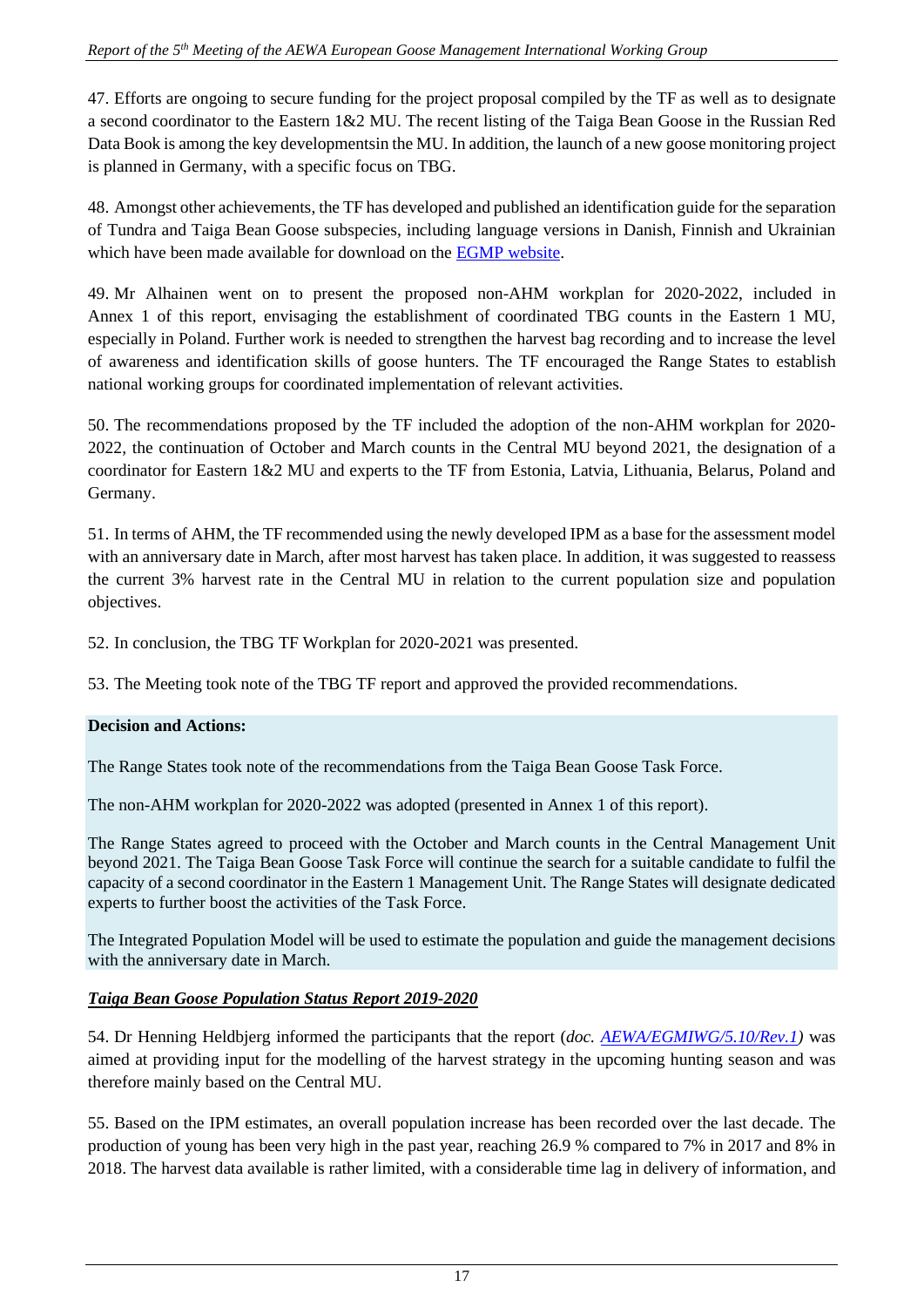47. Efforts are ongoing to secure funding for the project proposal compiled by the TF as well as to designate a second coordinator to the Eastern 1&2 MU. The recent listing of the Taiga Bean Goose in the Russian Red Data Book is among the key developmentsin the MU. In addition, the launch of a new goose monitoring project is planned in Germany, with a specific focus on TBG.

48. Amongst other achievements, the TF has developed and published an identification guide for the separation of Tundra and Taiga Bean Goose subspecies, including language versions in Danish, Finnish and Ukrainian which have been made available for download on the [EGMP website.](https://egmp.aewa.info/resources/publications)

49. Mr Alhainen went on to present the proposed non-AHM workplan for 2020-2022, included in Annex 1 of this report, envisaging the establishment of coordinated TBG counts in the Eastern 1 MU, especially in Poland. Further work is needed to strengthen the harvest bag recording and to increase the level of awareness and identification skills of goose hunters. The TF encouraged the Range States to establish national working groups for coordinated implementation of relevant activities.

50. The recommendations proposed by the TF included the adoption of the non-AHM workplan for 2020- 2022, the continuation of October and March counts in the Central MU beyond 2021, the designation of a coordinator for Eastern 1&2 MU and experts to the TF from Estonia, Latvia, Lithuania, Belarus, Poland and Germany.

51. In terms of AHM, the TF recommended using the newly developed IPM as a base for the assessment model with an anniversary date in March, after most harvest has taken place. In addition, it was suggested to reassess the current 3% harvest rate in the Central MU in relation to the current population size and population objectives.

52. In conclusion, the TBG TF Workplan for 2020-2021 was presented.

53. The Meeting took note of the TBG TF report and approved the provided recommendations.

### **Decision and Actions:**

The Range States took note of the recommendations from the Taiga Bean Goose Task Force.

The non-AHM workplan for 2020-2022 was adopted (presented in Annex 1 of this report).

The Range States agreed to proceed with the October and March counts in the Central Management Unit beyond 2021. The Taiga Bean Goose Task Force will continue the search for a suitable candidate to fulfil the capacity of a second coordinator in the Eastern 1 Management Unit. The Range States will designate dedicated experts to further boost the activities of the Task Force.

The Integrated Population Model will be used to estimate the population and guide the management decisions with the anniversary date in March.

### *Taiga Bean Goose Population Status Report 2019-2020*

54. Dr Henning Heldbjerg informed the participants that the report (*doc. [AEWA/EGMIWG/5.10/Rev.1\)](https://egmp.aewa.info/sites/default/files/meeting_files/documents/AEWA_EGM_IWG_5_10_TBG_Population_Status_Report_2019_2020_Rev.1.pdf)* was aimed at providing input for the modelling of the harvest strategy in the upcoming hunting season and was therefore mainly based on the Central MU.

55. Based on the IPM estimates, an overall population increase has been recorded over the last decade. The production of young has been very high in the past year, reaching 26.9 % compared to 7% in 2017 and 8% in 2018. The harvest data available is rather limited, with a considerable time lag in delivery of information, and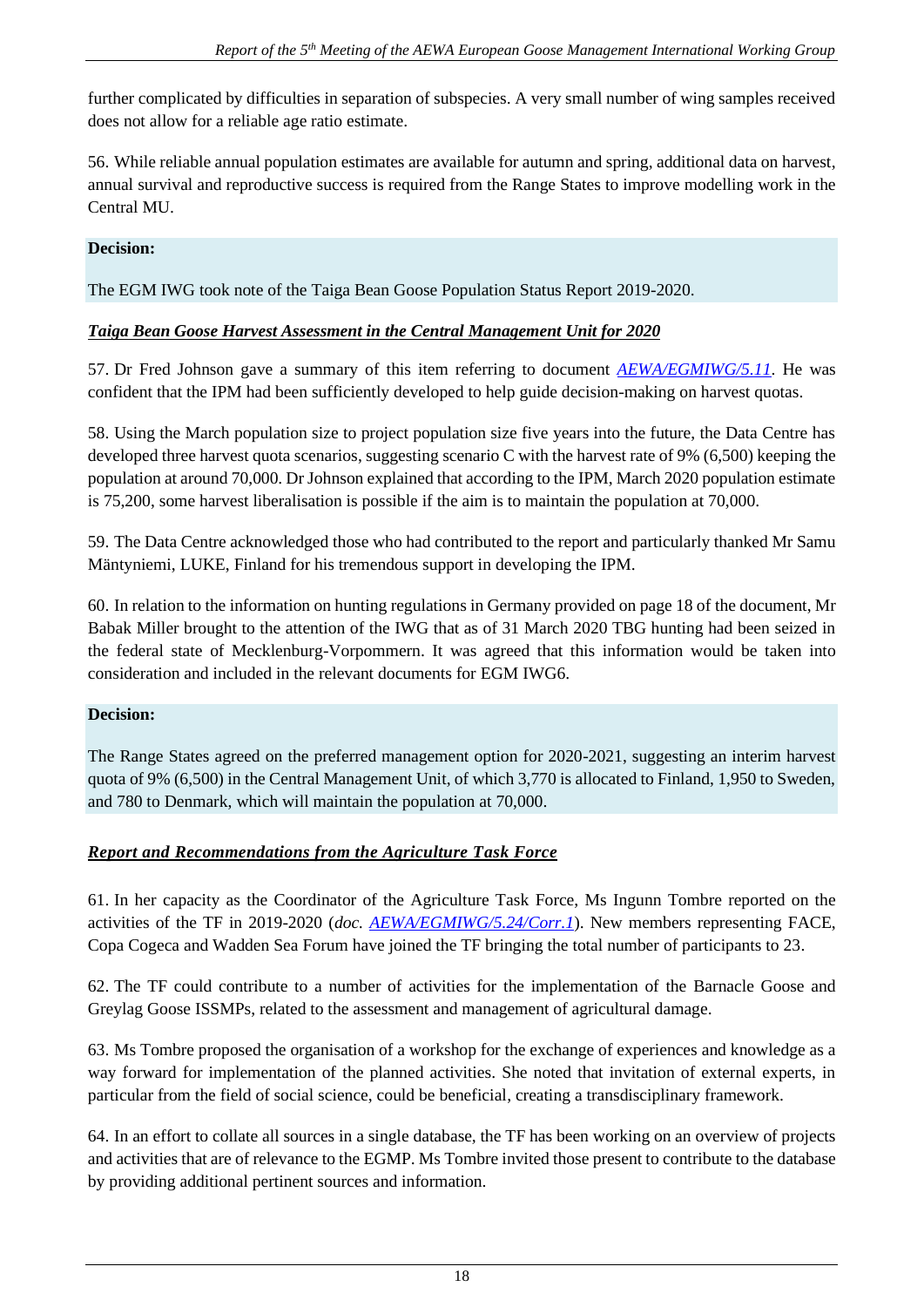further complicated by difficulties in separation of subspecies. A very small number of wing samples received does not allow for a reliable age ratio estimate.

56. While reliable annual population estimates are available for autumn and spring, additional data on harvest, annual survival and reproductive success is required from the Range States to improve modelling work in the Central MU.

### **Decision:**

The EGM IWG took note of the Taiga Bean Goose Population Status Report 2019-2020.

### *Taiga Bean Goose Harvest Assessment in the Central Management Unit for 2020*

57. Dr Fred Johnson gave a summary of this item referring to document *[AEWA/EGMIWG/5.11](https://egmp.aewa.info/sites/default/files/meeting_files/documents/AEWA_EGM_IWG_5_11_TBG_Harvest_Assessment_CMU_2020.pdf)*. He was confident that the IPM had been sufficiently developed to help guide decision-making on harvest quotas.

58. Using the March population size to project population size five years into the future, the Data Centre has developed three harvest quota scenarios, suggesting scenario C with the harvest rate of 9% (6,500) keeping the population at around 70,000. Dr Johnson explained that according to the IPM, March 2020 population estimate is 75,200, some harvest liberalisation is possible if the aim is to maintain the population at 70,000.

59. The Data Centre acknowledged those who had contributed to the report and particularly thanked Mr Samu Mäntyniemi, LUKE, Finland for his tremendous support in developing the IPM.

60. In relation to the information on hunting regulations in Germany provided on page 18 of the document, Mr Babak Miller brought to the attention of the IWG that as of 31 March 2020 TBG hunting had been seized in the federal state of Mecklenburg-Vorpommern. It was agreed that this information would be taken into consideration and included in the relevant documents for EGM IWG6.

### **Decision:**

The Range States agreed on the preferred management option for 2020-2021, suggesting an interim harvest quota of 9% (6,500) in the Central Management Unit, of which 3,770 is allocated to Finland, 1,950 to Sweden, and 780 to Denmark, which will maintain the population at 70,000.

# *Report and Recommendations from the Agriculture Task Force*

61. In her capacity as the Coordinator of the Agriculture Task Force, Ms Ingunn Tombre reported on the activities of the TF in 2019-2020 (*doc. [AEWA/EGMIWG/5.24/Corr.1](https://egmp.aewa.info/sites/default/files/meeting_files/documents/AEWA_EGM_IWG_5_24_Agriculture_TF_Report_corr.1.pdf)*). New members representing FACE, Copa Cogeca and Wadden Sea Forum have joined the TF bringing the total number of participants to 23.

62. The TF could contribute to a number of activities for the implementation of the Barnacle Goose and Greylag Goose ISSMPs, related to the assessment and management of agricultural damage.

63. Ms Tombre proposed the organisation of a workshop for the exchange of experiences and knowledge as a way forward for implementation of the planned activities. She noted that invitation of external experts, in particular from the field of social science, could be beneficial, creating a transdisciplinary framework.

64. In an effort to collate all sources in a single database, the TF has been working on an overview of projects and activities that are of relevance to the EGMP. Ms Tombre invited those present to contribute to the database by providing additional pertinent sources and information.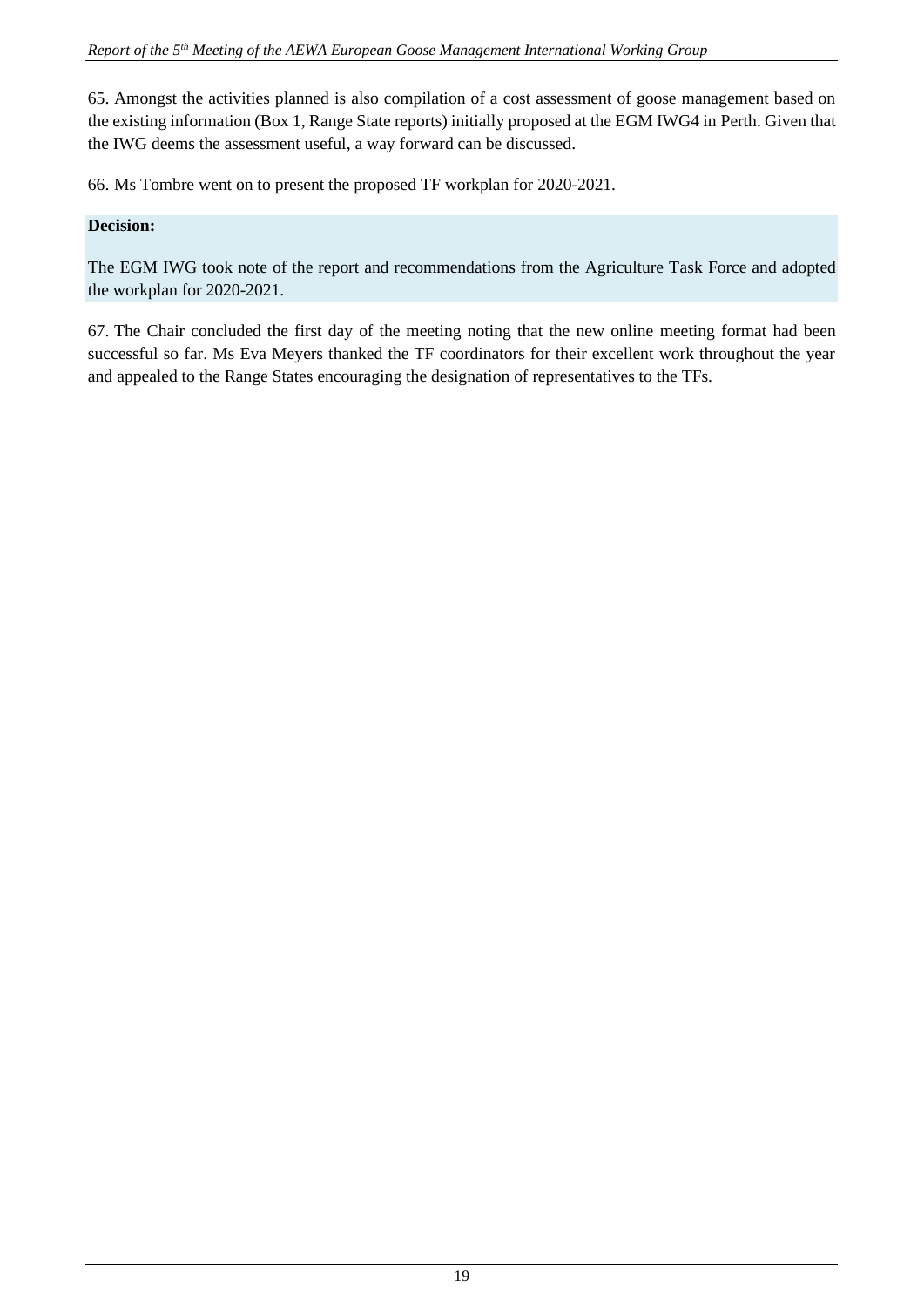65. Amongst the activities planned is also compilation of a cost assessment of goose management based on the existing information (Box 1, Range State reports) initially proposed at the EGM IWG4 in Perth. Given that the IWG deems the assessment useful, a way forward can be discussed.

66. Ms Tombre went on to present the proposed TF workplan for 2020-2021.

#### **Decision:**

The EGM IWG took note of the report and recommendations from the Agriculture Task Force and adopted the workplan for 2020-2021.

67. The Chair concluded the first day of the meeting noting that the new online meeting format had been successful so far. Ms Eva Meyers thanked the TF coordinators for their excellent work throughout the year and appealed to the Range States encouraging the designation of representatives to the TFs.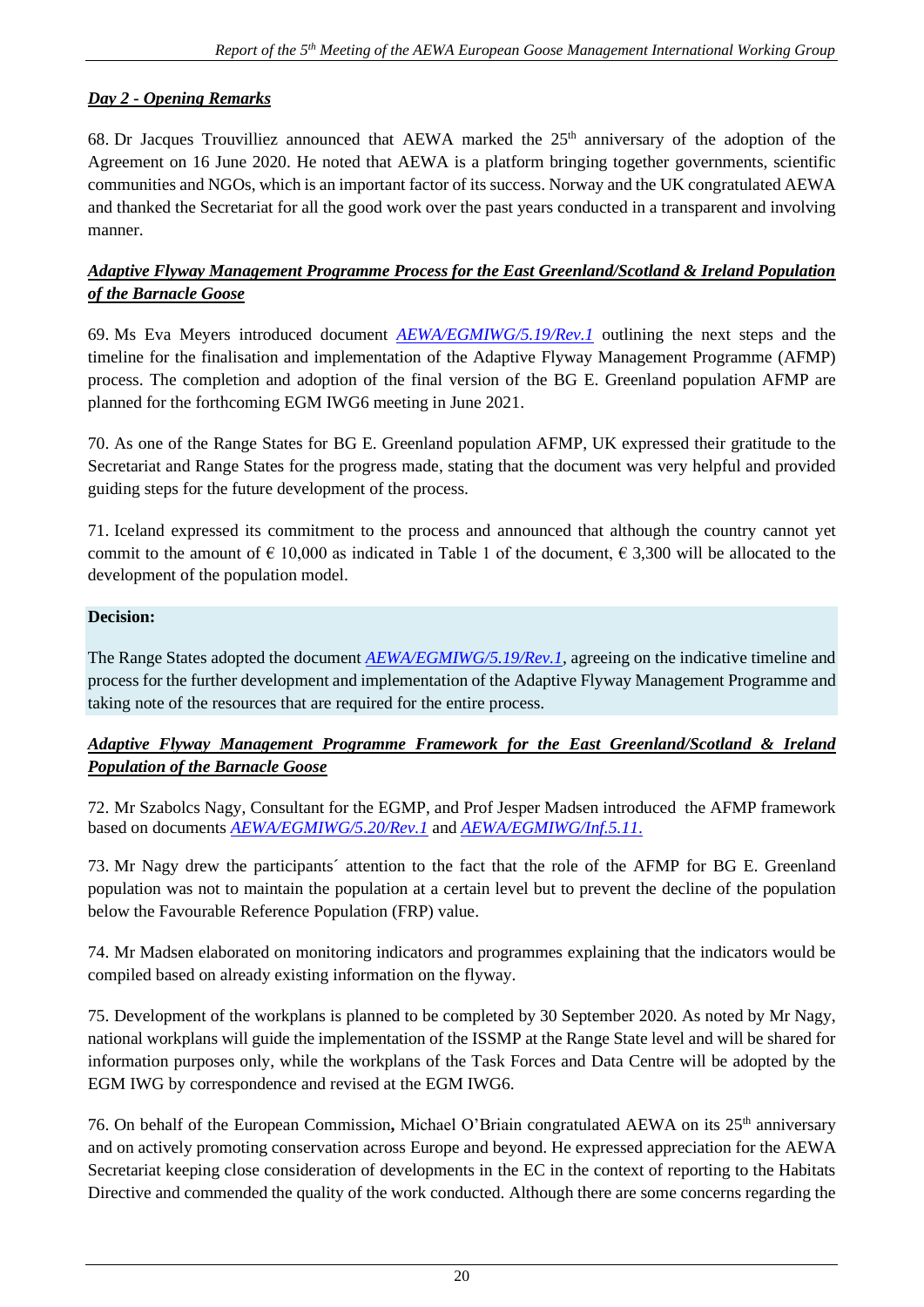# *Day 2 - Opening Remarks*

68. Dr Jacques Trouvilliez announced that AEWA marked the  $25<sup>th</sup>$  anniversary of the adoption of the Agreement on 16 June 2020. He noted that AEWA is a platform bringing together governments, scientific communities and NGOs, which is an important factor of its success. Norway and the UK congratulated AEWA and thanked the Secretariat for all the good work over the past years conducted in a transparent and involving manner.

### *Adaptive Flyway Management Programme Process for the East Greenland/Scotland & Ireland Population of the Barnacle Goose*

69. Ms Eva Meyers introduced document *[AEWA/EGMIWG/5.19/Rev.1](https://egmp.aewa.info/sites/default/files/meeting_files/documents/AEWA_EGM_IWG_5_19_BG_E_Greenland_AFMP_process_Rev.1.pdf)* outlining the next steps and the timeline for the finalisation and implementation of the Adaptive Flyway Management Programme (AFMP) process. The completion and adoption of the final version of the BG E. Greenland population AFMP are planned for the forthcoming EGM IWG6 meeting in June 2021.

70. As one of the Range States for BG E. Greenland population AFMP, UK expressed their gratitude to the Secretariat and Range States for the progress made, stating that the document was very helpful and provided guiding steps for the future development of the process.

71. Iceland expressed its commitment to the process and announced that although the country cannot yet commit to the amount of  $\epsilon$  10,000 as indicated in Table 1 of the document,  $\epsilon$  3,300 will be allocated to the development of the population model.

### **Decision:**

The Range States adopted the document *[AEWA/EGMIWG/5.19/Rev.1](https://egmp.aewa.info/sites/default/files/meeting_files/documents/AEWA_EGM_IWG_5_19_BG_E_Greenland_AFMP_process_Rev.1.pdf)*, agreeing on the indicative timeline and process for the further development and implementation of the Adaptive Flyway Management Programme and taking note of the resources that are required for the entire process.

# *Adaptive Flyway Management Programme Framework for the East Greenland/Scotland & Ireland Population of the Barnacle Goose*

72. Mr Szabolcs Nagy, Consultant for the EGMP, and Prof Jesper Madsen introduced the AFMP framework based on documents *[AEWA/EGMIWG/5.20/Rev.1](https://egmp.aewa.info/sites/default/files/meeting_files/documents/AEWA_EGM_IWG_5_20_Greenland%20BG_AFMP_Rev.1.pdf)* and *[AEWA/EGMIWG/Inf.5.11](https://egmp.aewa.info/sites/default/files/meeting_files/information_documents/AEWA_EGM_IWG5_Inf_5_11_FRVs_BG.pdf)*.

73. Mr Nagy drew the participants´ attention to the fact that the role of the AFMP for BG E. Greenland population was not to maintain the population at a certain level but to prevent the decline of the population below the Favourable Reference Population (FRP) value.

74. Mr Madsen elaborated on monitoring indicators and programmes explaining that the indicators would be compiled based on already existing information on the flyway.

75. Development of the workplans is planned to be completed by 30 September 2020. As noted by Mr Nagy, national workplans will guide the implementation of the ISSMP at the Range State level and will be shared for information purposes only, while the workplans of the Task Forces and Data Centre will be adopted by the EGM IWG by correspondence and revised at the EGM IWG6.

76. On behalf of the European Commission, Michael O'Briain congratulated AEWA on its 25<sup>th</sup> anniversary and on actively promoting conservation across Europe and beyond. He expressed appreciation for the AEWA Secretariat keeping close consideration of developments in the EC in the context of reporting to the Habitats Directive and commended the quality of the work conducted. Although there are some concerns regarding the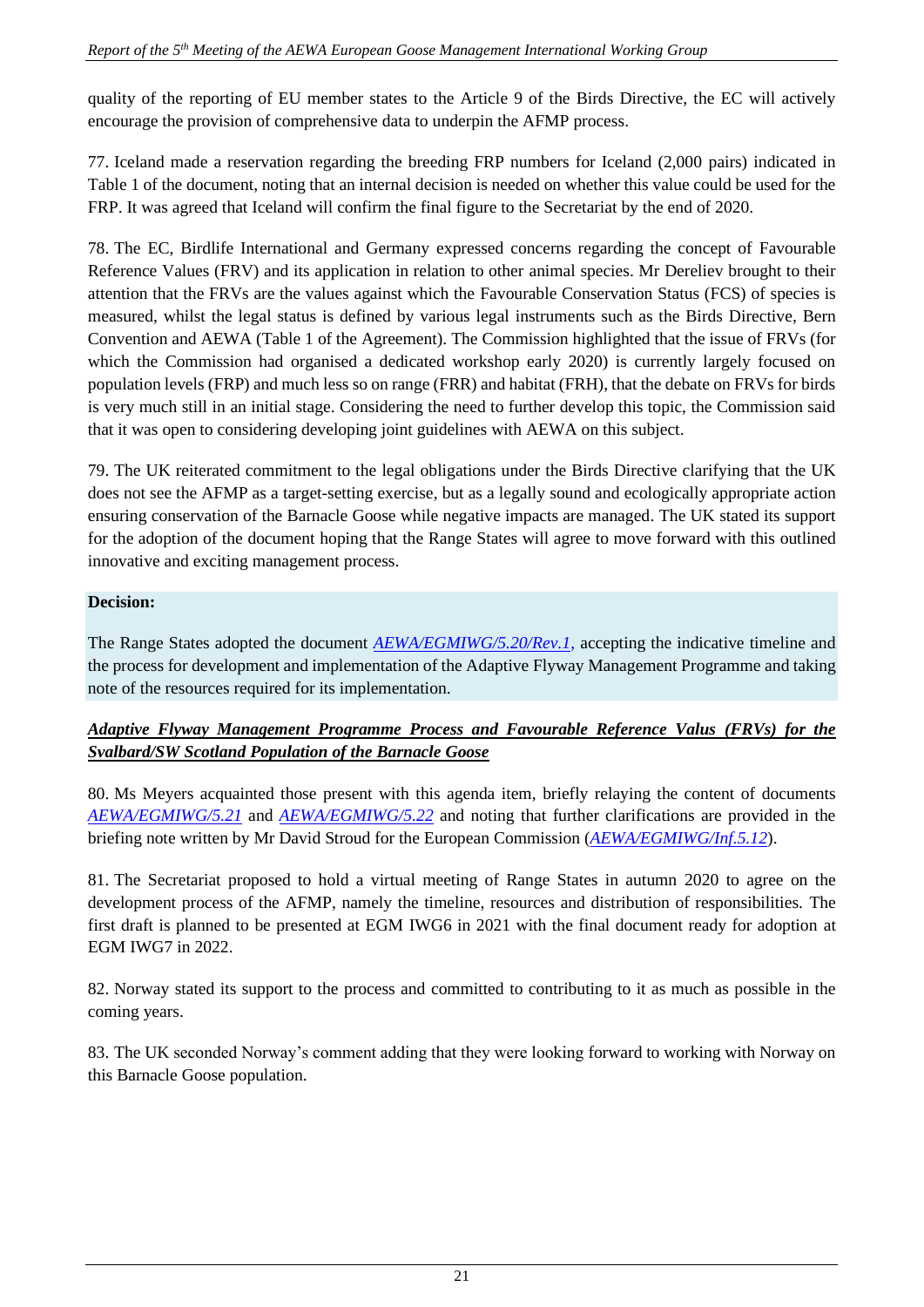quality of the reporting of EU member states to the Article 9 of the Birds Directive, the EC will actively encourage the provision of comprehensive data to underpin the AFMP process.

77. Iceland made a reservation regarding the breeding FRP numbers for Iceland (2,000 pairs) indicated in Table 1 of the document, noting that an internal decision is needed on whether this value could be used for the FRP. It was agreed that Iceland will confirm the final figure to the Secretariat by the end of 2020.

78. The EC, Birdlife International and Germany expressed concerns regarding the concept of Favourable Reference Values (FRV) and its application in relation to other animal species. Mr Dereliev brought to their attention that the FRVs are the values against which the Favourable Conservation Status (FCS) of species is measured, whilst the legal status is defined by various legal instruments such as the Birds Directive, Bern Convention and AEWA (Table 1 of the Agreement). The Commission highlighted that the issue of FRVs (for which the Commission had organised a dedicated workshop early 2020) is currently largely focused on population levels (FRP) and much less so on range (FRR) and habitat (FRH), that the debate on FRVs for birds is very much still in an initial stage. Considering the need to further develop this topic, the Commission said that it was open to considering developing joint guidelines with AEWA on this subject.

79. The UK reiterated commitment to the legal obligations under the Birds Directive clarifying that the UK does not see the AFMP as a target-setting exercise, but as a legally sound and ecologically appropriate action ensuring conservation of the Barnacle Goose while negative impacts are managed. The UK stated its support for the adoption of the document hoping that the Range States will agree to move forward with this outlined innovative and exciting management process.

### **Decision:**

The Range States adopted the document *[AEWA/EGMIWG/5.20/Rev.1](https://egmp.aewa.info/sites/default/files/meeting_files/documents/AEWA_EGM_IWG_5_20_Greenland%20BG_AFMP_Rev.1.pdf)*, accepting the indicative timeline and the process for development and implementation of the Adaptive Flyway Management Programme and taking note of the resources required for its implementation.

# *Adaptive Flyway Management Programme Process and Favourable Reference Valus (FRVs) for the Svalbard/SW Scotland Population of the Barnacle Goose*

80. Ms Meyers acquainted those present with this agenda item, briefly relaying the content of documents *[AEWA/EGMIWG/5.21](https://egmp.aewa.info/sites/default/files/meeting_files/documents/AEWA_EGM_IWG_5_21_FRVs_Svalbard%20BG.pdf)* and *[AEWA/EGMIWG/5.22](https://egmp.aewa.info/sites/default/files/meeting_files/documents/AEWA_EGM_IWG_5_22_BG_Svalbard_AFMP_process.pdf)* and noting that further clarifications are provided in the briefing note written by Mr David Stroud for the European Commission (*[AEWA/EGMIWG/Inf.5.12](https://egmp.aewa.info/sites/default/files/meeting_files/information_documents/AEWA_EGM_EWG5_Inf_5_12_EC_FRV_Briefing.pdf)*).

81. The Secretariat proposed to hold a virtual meeting of Range States in autumn 2020 to agree on the development process of the AFMP, namely the timeline, resources and distribution of responsibilities. The first draft is planned to be presented at EGM IWG6 in 2021 with the final document ready for adoption at EGM IWG7 in 2022.

82. Norway stated its support to the process and committed to contributing to it as much as possible in the coming years.

83. The UK seconded Norway's comment adding that they were looking forward to working with Norway on this Barnacle Goose population.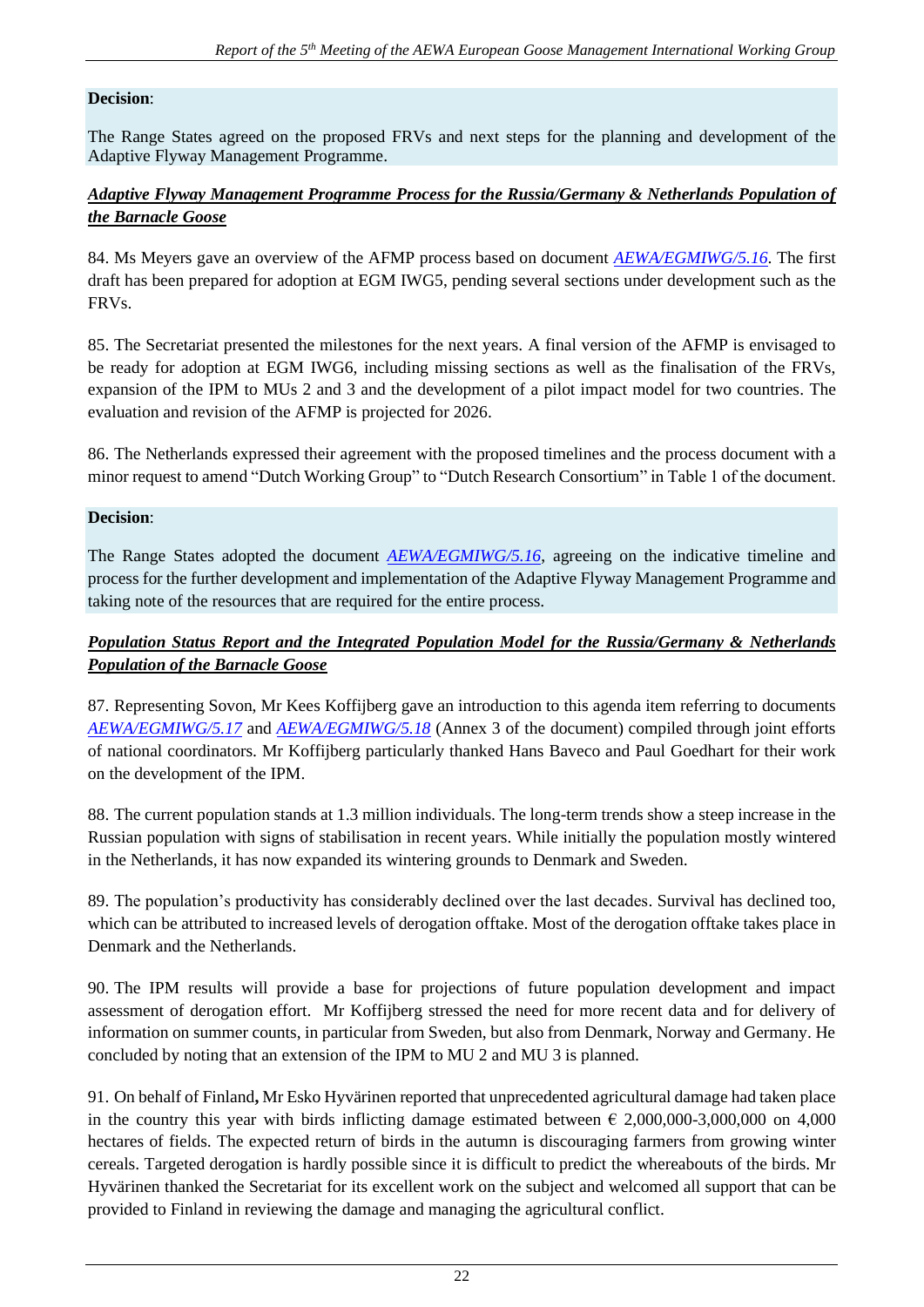#### **Decision**:

The Range States agreed on the proposed FRVs and next steps for the planning and development of the Adaptive Flyway Management Programme.

### *Adaptive Flyway Management Programme Process for the Russia/Germany & Netherlands Population of the Barnacle Goose*

84. Ms Meyers gave an overview of the AFMP process based on document *[AEWA/EGMIWG/5.16](https://egmp.aewa.info/sites/default/files/meeting_files/documents/AEWA_EGM_IWG_5_16_BG_Russia_AFMP_process.pdf)*. The first draft has been prepared for adoption at EGM IWG5, pending several sections under development such as the FRVs.

85. The Secretariat presented the milestones for the next years. A final version of the AFMP is envisaged to be ready for adoption at EGM IWG6, including missing sections as well as the finalisation of the FRVs, expansion of the IPM to MUs 2 and 3 and the development of a pilot impact model for two countries. The evaluation and revision of the AFMP is projected for 2026.

86. The Netherlands expressed their agreement with the proposed timelines and the process document with a minor request to amend "Dutch Working Group" to "Dutch Research Consortium" in Table 1 of the document.

#### **Decision**:

The Range States adopted the document *[AEWA/EGMIWG/5.16](https://egmp.aewa.info/sites/default/files/meeting_files/documents/AEWA_EGM_IWG_5_16_BG_Russia_AFMP_process.pdf)*, agreeing on the indicative timeline and process for the further development and implementation of the Adaptive Flyway Management Programme and taking note of the resources that are required for the entire process.

### *Population Status Report and the Integrated Population Model for the Russia/Germany & Netherlands Population of the Barnacle Goose*

87. Representing Sovon, Mr Kees Koffijberg gave an introduction to this agenda item referring to documents *[AEWA/EGMIWG/5.17](https://egmp.aewa.info/sites/default/files/meeting_files/documents/AEWA_EGM_IWG_5_17_BG_Status_Report.pdf)* and *[AEWA/EGMIWG/5.18](https://egmp.aewa.info/sites/default/files/meeting_files/documents/AEWA_EGM_IWG_5_18_AFMP_BG.pdf)* (Annex 3 of the document) compiled through joint efforts of national coordinators. Mr Koffijberg particularly thanked Hans Baveco and Paul Goedhart for their work on the development of the IPM.

88. The current population stands at 1.3 million individuals. The long-term trends show a steep increase in the Russian population with signs of stabilisation in recent years. While initially the population mostly wintered in the Netherlands, it has now expanded its wintering grounds to Denmark and Sweden.

89. The population's productivity has considerably declined over the last decades. Survival has declined too, which can be attributed to increased levels of derogation offtake. Most of the derogation offtake takes place in Denmark and the Netherlands.

90. The IPM results will provide a base for projections of future population development and impact assessment of derogation effort. Mr Koffijberg stressed the need for more recent data and for delivery of information on summer counts, in particular from Sweden, but also from Denmark, Norway and Germany. He concluded by noting that an extension of the IPM to MU 2 and MU 3 is planned.

91. On behalf of Finland**,** Mr Esko Hyvärinen reported that unprecedented agricultural damage had taken place in the country this year with birds inflicting damage estimated between  $\epsilon$  2,000,000-3,000,000 on 4,000 hectares of fields. The expected return of birds in the autumn is discouraging farmers from growing winter cereals. Targeted derogation is hardly possible since it is difficult to predict the whereabouts of the birds. Mr Hyvärinen thanked the Secretariat for its excellent work on the subject and welcomed all support that can be provided to Finland in reviewing the damage and managing the agricultural conflict.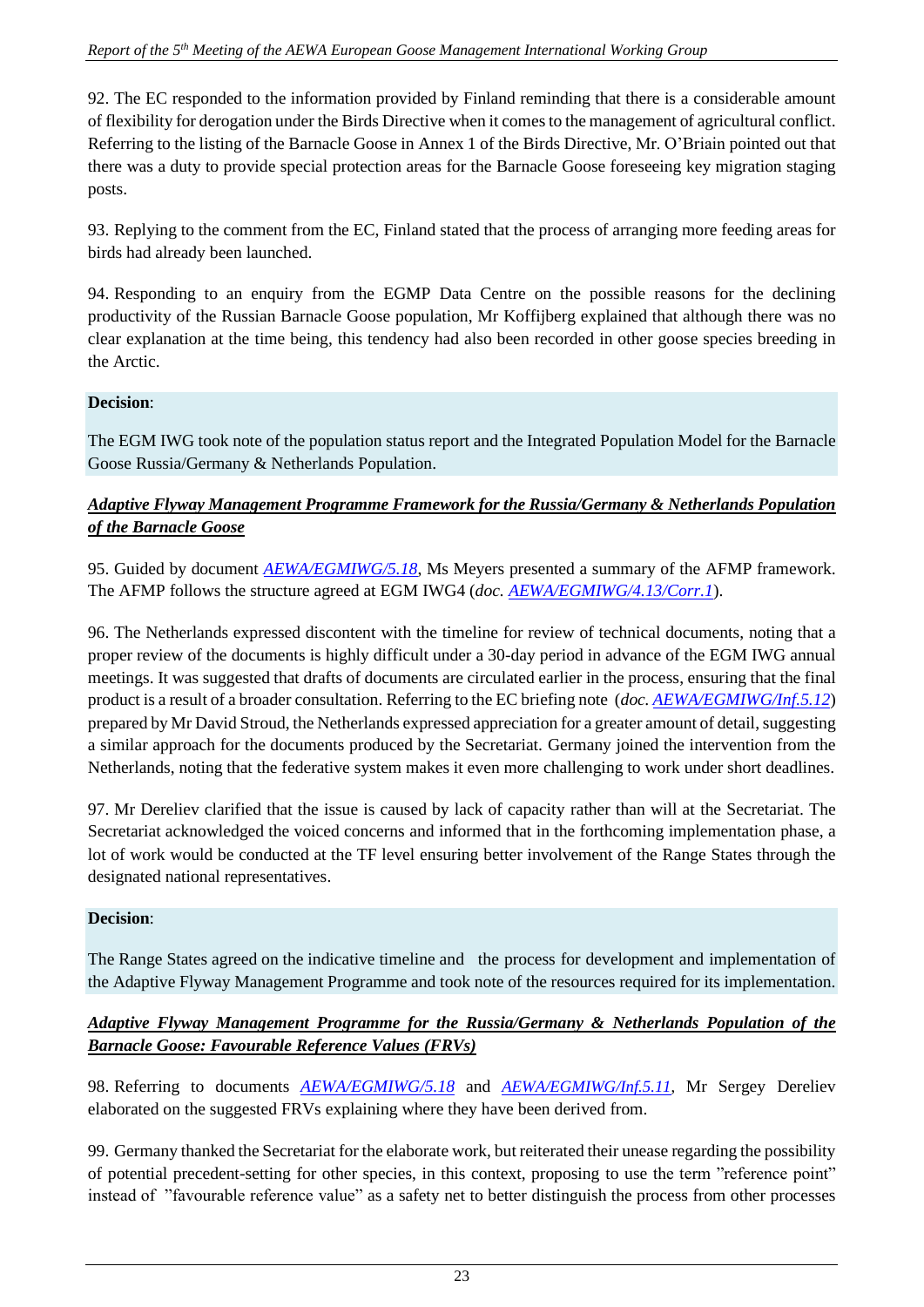92. The EC responded to the information provided by Finland reminding that there is a considerable amount of flexibility for derogation under the Birds Directive when it comes to the management of agricultural conflict. Referring to the listing of the Barnacle Goose in Annex 1 of the Birds Directive, Mr. O'Briain pointed out that there was a duty to provide special protection areas for the Barnacle Goose foreseeing key migration staging posts.

93. Replying to the comment from the EC, Finland stated that the process of arranging more feeding areas for birds had already been launched.

94. Responding to an enquiry from the EGMP Data Centre on the possible reasons for the declining productivity of the Russian Barnacle Goose population, Mr Koffijberg explained that although there was no clear explanation at the time being, this tendency had also been recorded in other goose species breeding in the Arctic.

# **Decision**:

The EGM IWG took note of the population status report and the Integrated Population Model for the Barnacle Goose Russia/Germany & Netherlands Population.

# *Adaptive Flyway Management Programme Framework for the Russia/Germany & Netherlands Population of the Barnacle Goose*

95. Guided by document *[AEWA/EGMIWG/5.18](https://egmp.aewa.info/sites/default/files/meeting_files/documents/AEWA_EGM_IWG_5_18_AFMP_BG.pdf)*, Ms Meyers presented a summary of the AFMP framework. The AFMP follows the structure agreed at EGM IWG4 (*doc. [AEWA/EGMIWG/4.13/Corr.1](https://egmp.aewa.info/sites/default/files/meeting_files/documents/AEWA_EGM_IWG_4_13_BG_AFMP_Corr_1.pdf)*).

96. The Netherlands expressed discontent with the timeline for review of technical documents, noting that a proper review of the documents is highly difficult under a 30-day period in advance of the EGM IWG annual meetings. It was suggested that drafts of documents are circulated earlier in the process, ensuring that the final product is a result of a broader consultation. Referring to the EC briefing note (*doc[. AEWA/EGMIWG/Inf.5.12](https://egmp.aewa.info/sites/default/files/meeting_files/information_documents/AEWA_EGM_EWG5_Inf_5_12_EC_FRV_Briefing.pdf)*) prepared by Mr David Stroud, the Netherlands expressed appreciation for a greater amount of detail, suggesting a similar approach for the documents produced by the Secretariat. Germany joined the intervention from the Netherlands, noting that the federative system makes it even more challenging to work under short deadlines.

97. Mr Dereliev clarified that the issue is caused by lack of capacity rather than will at the Secretariat. The Secretariat acknowledged the voiced concerns and informed that in the forthcoming implementation phase, a lot of work would be conducted at the TF level ensuring better involvement of the Range States through the designated national representatives.

# **Decision**:

The Range States agreed on the indicative timeline and the process for development and implementation of the Adaptive Flyway Management Programme and took note of the resources required for its implementation.

# *Adaptive Flyway Management Programme for the Russia/Germany & Netherlands Population of the Barnacle Goose: Favourable Reference Values (FRVs)*

98. Referring to documents *[AEWA/EGMIWG/5.18](https://egmp.aewa.info/sites/default/files/meeting_files/documents/AEWA_EGM_IWG_5_18_AFMP_BG.pdf)* and *[AEWA/EGMIWG/Inf.5.11](https://egmp.aewa.info/sites/default/files/meeting_files/information_documents/AEWA_EGM_IWG5_Inf_5_11_FRVs_BG.pdf)*, Mr Sergey Dereliev elaborated on the suggested FRVs explaining where they have been derived from.

99. Germany thanked the Secretariat for the elaborate work, but reiterated their unease regarding the possibility of potential precedent-setting for other species, in this context, proposing to use the term "reference point" instead of "favourable reference value" as a safety net to better distinguish the process from other processes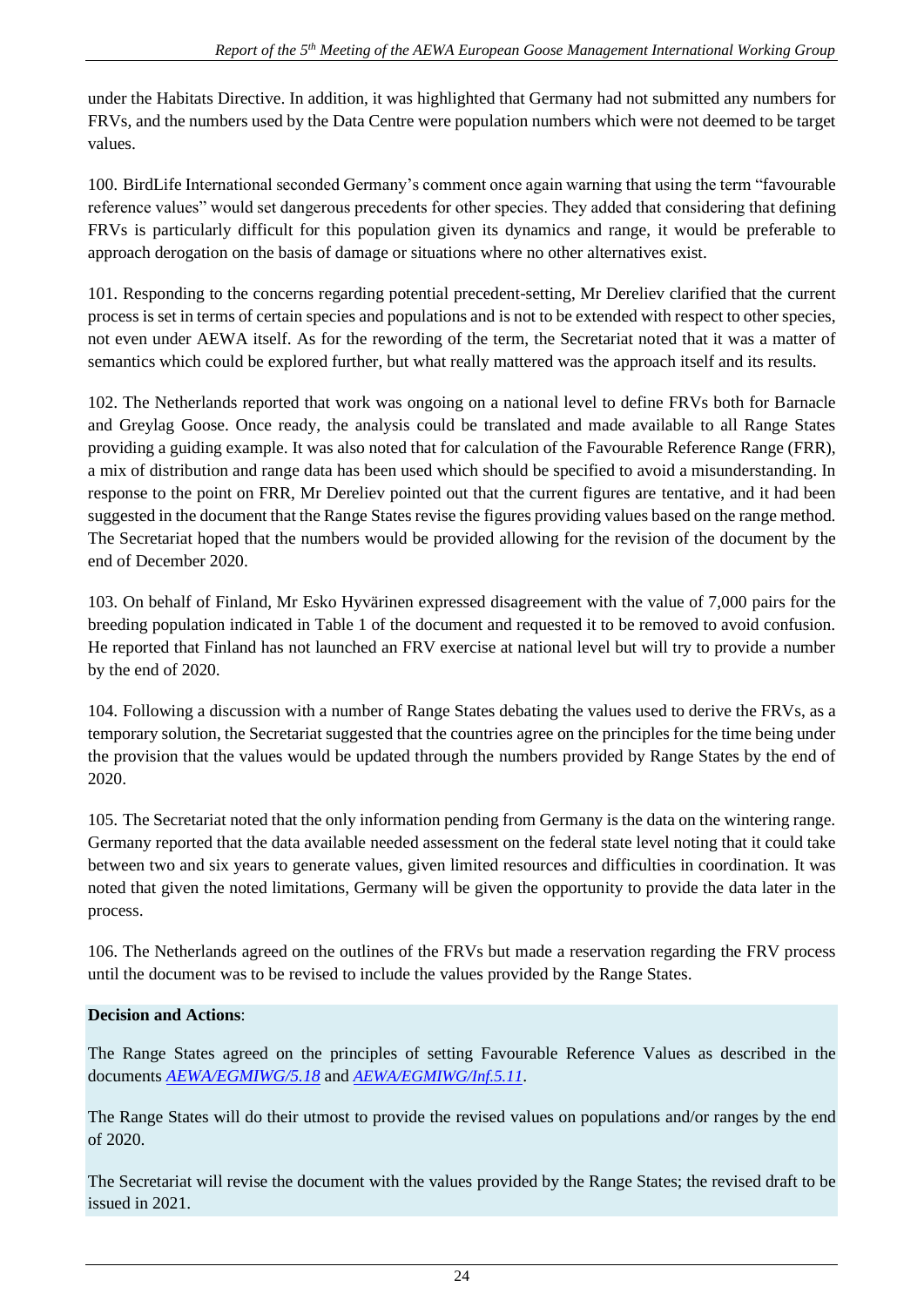under the Habitats Directive. In addition, it was highlighted that Germany had not submitted any numbers for FRVs, and the numbers used by the Data Centre were population numbers which were not deemed to be target values.

100. BirdLife International seconded Germany's comment once again warning that using the term "favourable reference values" would set dangerous precedents for other species. They added that considering that defining FRVs is particularly difficult for this population given its dynamics and range, it would be preferable to approach derogation on the basis of damage or situations where no other alternatives exist.

101. Responding to the concerns regarding potential precedent-setting, Mr Dereliev clarified that the current process is set in terms of certain species and populations and is not to be extended with respect to other species, not even under AEWA itself. As for the rewording of the term, the Secretariat noted that it was a matter of semantics which could be explored further, but what really mattered was the approach itself and its results.

102. The Netherlands reported that work was ongoing on a national level to define FRVs both for Barnacle and Greylag Goose. Once ready, the analysis could be translated and made available to all Range States providing a guiding example. It was also noted that for calculation of the Favourable Reference Range (FRR), a mix of distribution and range data has been used which should be specified to avoid a misunderstanding. In response to the point on FRR, Mr Dereliev pointed out that the current figures are tentative, and it had been suggested in the document that the Range States revise the figures providing values based on the range method. The Secretariat hoped that the numbers would be provided allowing for the revision of the document by the end of December 2020.

103. On behalf of Finland, Mr Esko Hyvärinen expressed disagreement with the value of 7,000 pairs for the breeding population indicated in Table 1 of the document and requested it to be removed to avoid confusion. He reported that Finland has not launched an FRV exercise at national level but will try to provide a number by the end of 2020.

104. Following a discussion with a number of Range States debating the values used to derive the FRVs, as a temporary solution, the Secretariat suggested that the countries agree on the principles for the time being under the provision that the values would be updated through the numbers provided by Range States by the end of 2020.

105. The Secretariat noted that the only information pending from Germany is the data on the wintering range. Germany reported that the data available needed assessment on the federal state level noting that it could take between two and six years to generate values, given limited resources and difficulties in coordination. It was noted that given the noted limitations, Germany will be given the opportunity to provide the data later in the process.

106. The Netherlands agreed on the outlines of the FRVs but made a reservation regarding the FRV process until the document was to be revised to include the values provided by the Range States.

### **Decision and Actions**:

The Range States agreed on the principles of setting Favourable Reference Values as described in the documents *[AEWA/EGMIWG/5.18](https://egmp.aewa.info/sites/default/files/meeting_files/documents/AEWA_EGM_IWG_5_18_AFMP_BG.pdf)* and *[AEWA/EGMIWG/Inf.5.11](https://egmp.aewa.info/sites/default/files/meeting_files/information_documents/AEWA_EGM_IWG5_Inf_5_11_FRVs_BG.pdf)*.

The Range States will do their utmost to provide the revised values on populations and/or ranges by the end of 2020.

The Secretariat will revise the document with the values provided by the Range States; the revised draft to be issued in 2021.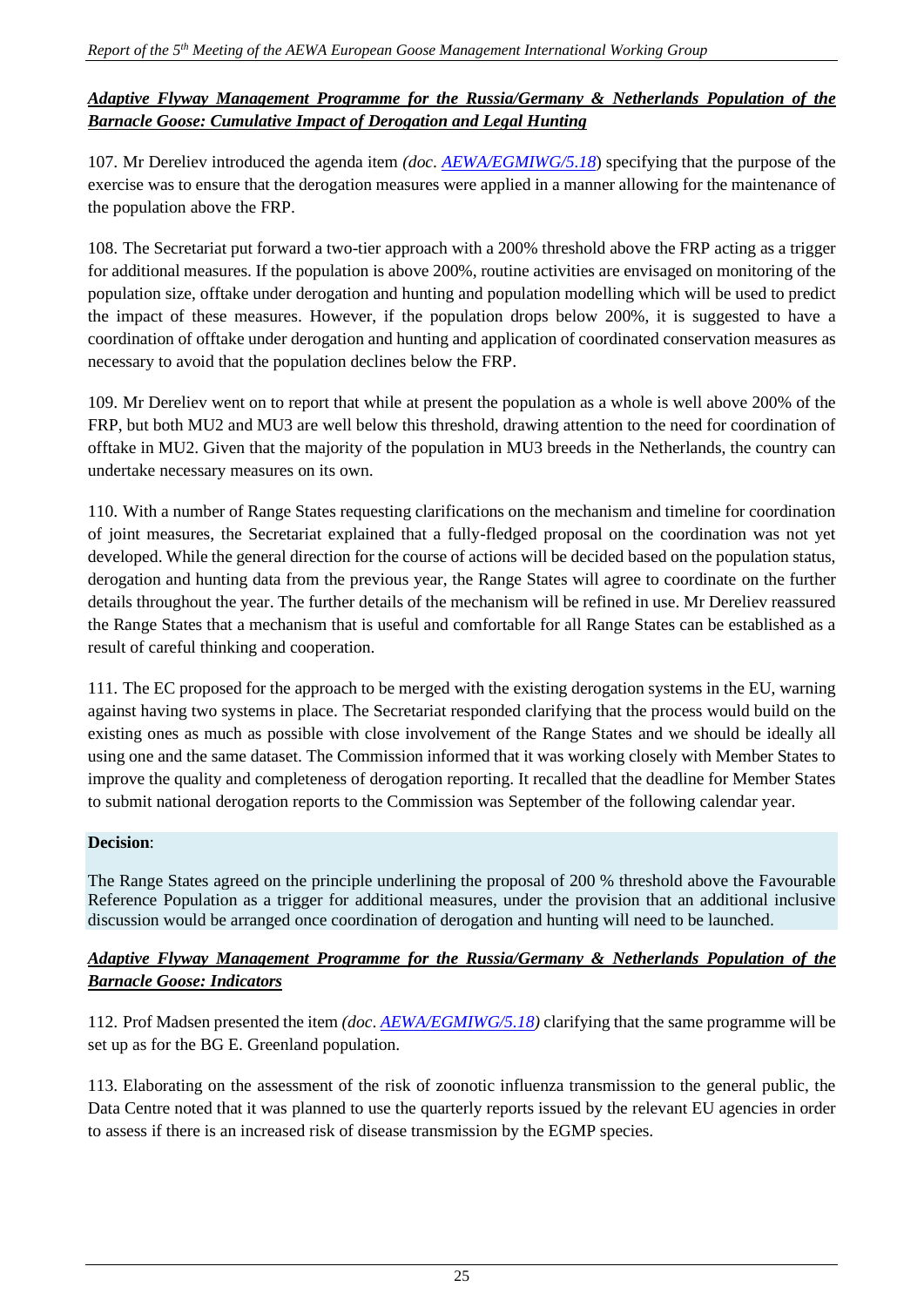### *Adaptive Flyway Management Programme for the Russia/Germany & Netherlands Population of the Barnacle Goose: Cumulative Impact of Derogation and Legal Hunting*

107. Mr Dereliev introduced the agenda item *(doc*. *[AEWA/EGMIWG/5.18](https://egmp.aewa.info/sites/default/files/meeting_files/documents/AEWA_EGM_IWG_5_18_AFMP_BG.pdf)*) specifying that the purpose of the exercise was to ensure that the derogation measures were applied in a manner allowing for the maintenance of the population above the FRP.

108. The Secretariat put forward a two-tier approach with a 200% threshold above the FRP acting as a trigger for additional measures. If the population is above 200%, routine activities are envisaged on monitoring of the population size, offtake under derogation and hunting and population modelling which will be used to predict the impact of these measures. However, if the population drops below 200%, it is suggested to have a coordination of offtake under derogation and hunting and application of coordinated conservation measures as necessary to avoid that the population declines below the FRP.

109. Mr Dereliev went on to report that while at present the population as a whole is well above 200% of the FRP, but both MU2 and MU3 are well below this threshold, drawing attention to the need for coordination of offtake in MU2. Given that the majority of the population in MU3 breeds in the Netherlands, the country can undertake necessary measures on its own.

110. With a number of Range States requesting clarifications on the mechanism and timeline for coordination of joint measures, the Secretariat explained that a fully-fledged proposal on the coordination was not yet developed. While the general direction for the course of actions will be decided based on the population status, derogation and hunting data from the previous year, the Range States will agree to coordinate on the further details throughout the year. The further details of the mechanism will be refined in use. Mr Dereliev reassured the Range States that a mechanism that is useful and comfortable for all Range States can be established as a result of careful thinking and cooperation.

111. The EC proposed for the approach to be merged with the existing derogation systems in the EU, warning against having two systems in place. The Secretariat responded clarifying that the process would build on the existing ones as much as possible with close involvement of the Range States and we should be ideally all using one and the same dataset. The Commission informed that it was working closely with Member States to improve the quality and completeness of derogation reporting. It recalled that the deadline for Member States to submit national derogation reports to the Commission was September of the following calendar year.

#### **Decision**:

The Range States agreed on the principle underlining the proposal of 200 % threshold above the Favourable Reference Population as a trigger for additional measures, under the provision that an additional inclusive discussion would be arranged once coordination of derogation and hunting will need to be launched.

### *Adaptive Flyway Management Programme for the Russia/Germany & Netherlands Population of the Barnacle Goose: Indicators*

112. Prof Madsen presented the item *(doc*. *[AEWA/EGMIWG/5.18\)](https://egmp.aewa.info/sites/default/files/meeting_files/documents/AEWA_EGM_IWG_5_18_AFMP_BG.pdf)* clarifying that the same programme will be set up as for the BG E. Greenland population.

113. Elaborating on the assessment of the risk of zoonotic influenza transmission to the general public, the Data Centre noted that it was planned to use the quarterly reports issued by the relevant EU agencies in order to assess if there is an increased risk of disease transmission by the EGMP species.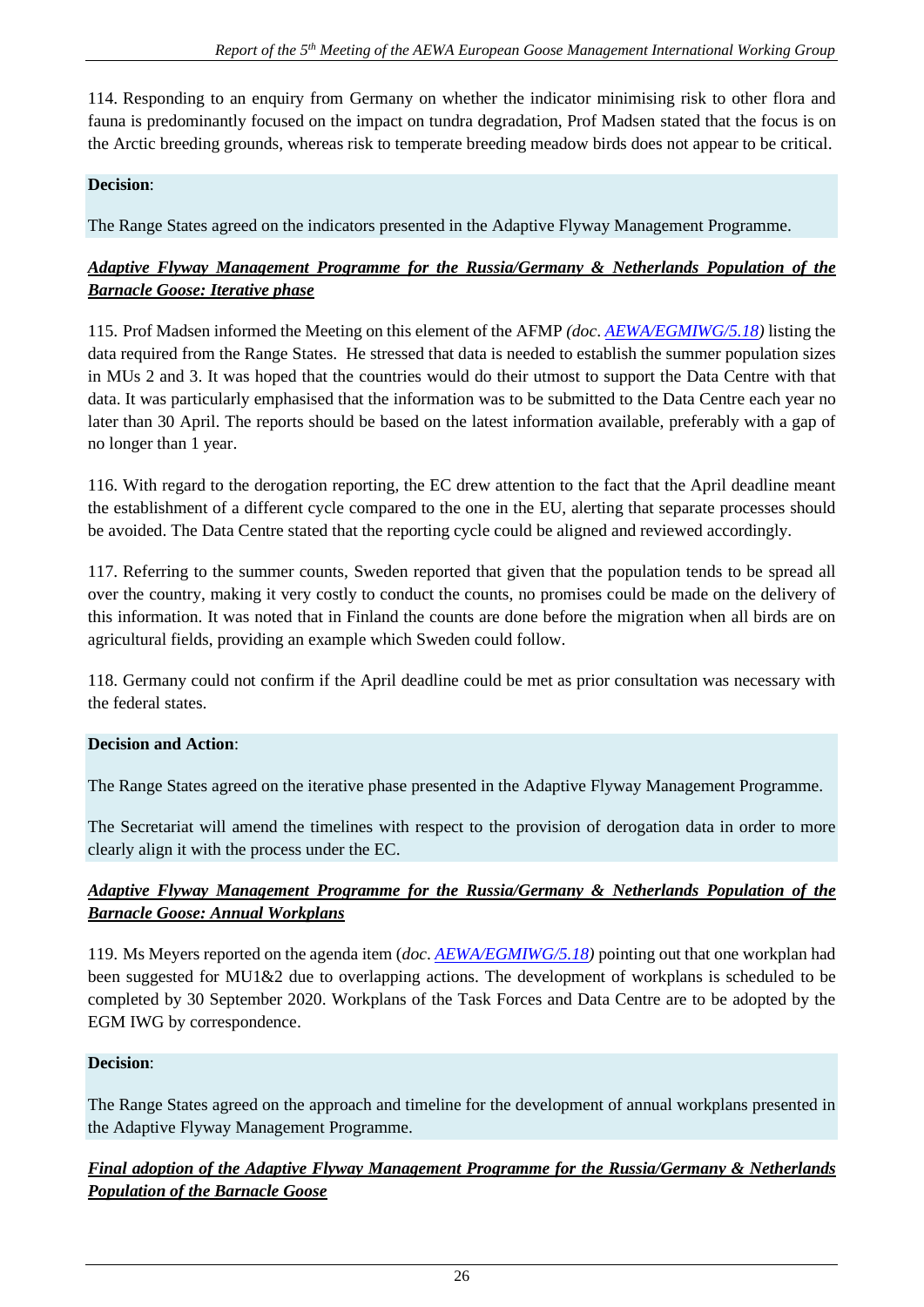114. Responding to an enquiry from Germany on whether the indicator minimising risk to other flora and fauna is predominantly focused on the impact on tundra degradation, Prof Madsen stated that the focus is on the Arctic breeding grounds, whereas risk to temperate breeding meadow birds does not appear to be critical.

#### **Decision**:

The Range States agreed on the indicators presented in the Adaptive Flyway Management Programme.

### *Adaptive Flyway Management Programme for the Russia/Germany & Netherlands Population of the Barnacle Goose: Iterative phase*

115. Prof Madsen informed the Meeting on this element of the AFMP *(doc*. *[AEWA/EGMIWG/5.18\)](https://egmp.aewa.info/sites/default/files/meeting_files/documents/AEWA_EGM_IWG_5_18_AFMP_BG.pdf)* listing the data required from the Range States. He stressed that data is needed to establish the summer population sizes in MUs 2 and 3. It was hoped that the countries would do their utmost to support the Data Centre with that data. It was particularly emphasised that the information was to be submitted to the Data Centre each year no later than 30 April. The reports should be based on the latest information available, preferably with a gap of no longer than 1 year.

116. With regard to the derogation reporting, the EC drew attention to the fact that the April deadline meant the establishment of a different cycle compared to the one in the EU, alerting that separate processes should be avoided. The Data Centre stated that the reporting cycle could be aligned and reviewed accordingly.

117. Referring to the summer counts, Sweden reported that given that the population tends to be spread all over the country, making it very costly to conduct the counts, no promises could be made on the delivery of this information. It was noted that in Finland the counts are done before the migration when all birds are on agricultural fields, providing an example which Sweden could follow.

118. Germany could not confirm if the April deadline could be met as prior consultation was necessary with the federal states.

#### **Decision and Action**:

The Range States agreed on the iterative phase presented in the Adaptive Flyway Management Programme.

The Secretariat will amend the timelines with respect to the provision of derogation data in order to more clearly align it with the process under the EC.

# *Adaptive Flyway Management Programme for the Russia/Germany & Netherlands Population of the Barnacle Goose: Annual Workplans*

119. Ms Meyers reported on the agenda item (*doc*. *[AEWA/EGMIWG/5.18\)](https://egmp.aewa.info/sites/default/files/meeting_files/documents/AEWA_EGM_IWG_5_18_AFMP_BG.pdf)* pointing out that one workplan had been suggested for MU1&2 due to overlapping actions. The development of workplans is scheduled to be completed by 30 September 2020. Workplans of the Task Forces and Data Centre are to be adopted by the EGM IWG by correspondence.

#### **Decision**:

The Range States agreed on the approach and timeline for the development of annual workplans presented in the Adaptive Flyway Management Programme.

### *Final adoption of the Adaptive Flyway Management Programme for the Russia/Germany & Netherlands Population of the Barnacle Goose*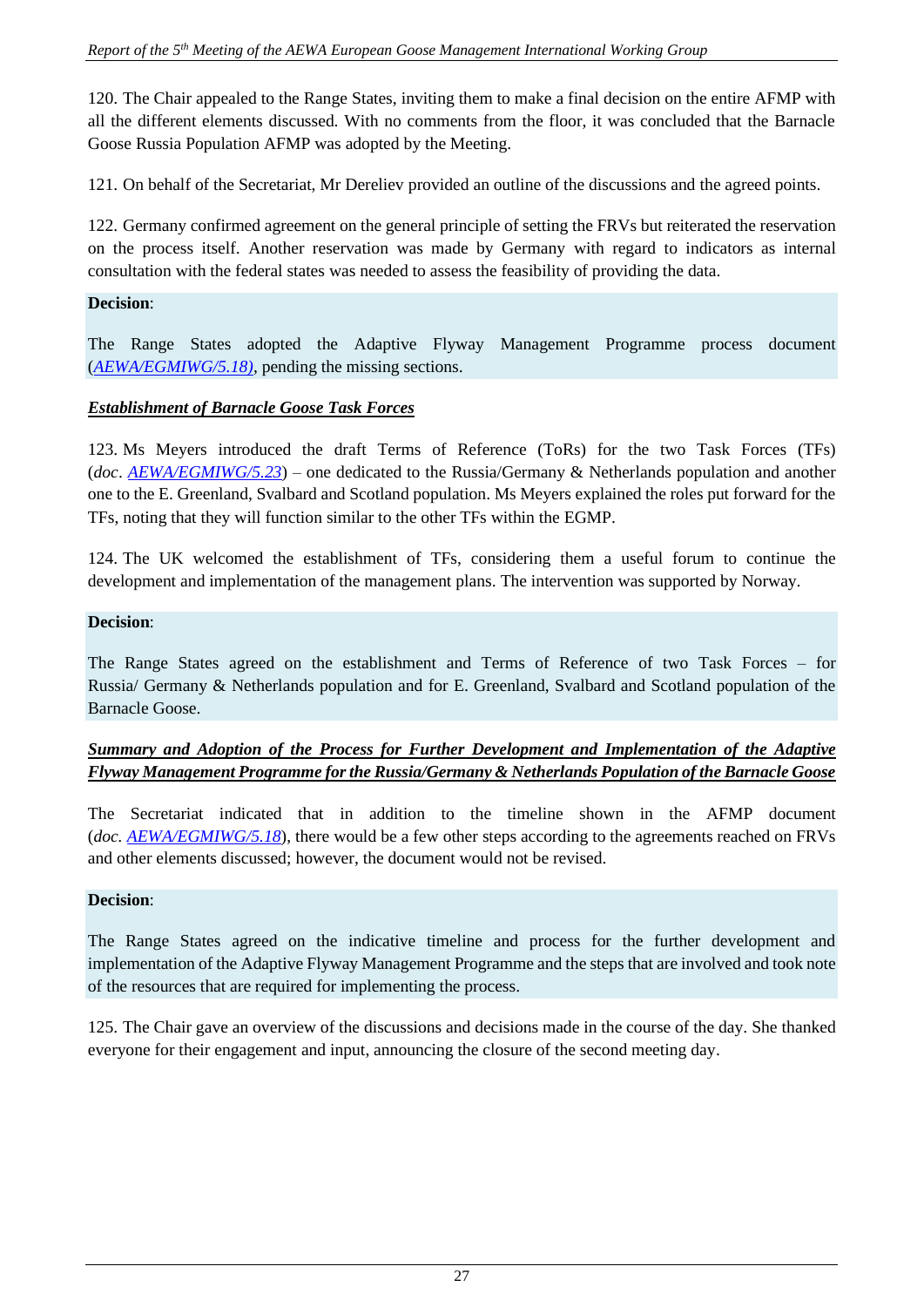120. The Chair appealed to the Range States, inviting them to make a final decision on the entire AFMP with all the different elements discussed. With no comments from the floor, it was concluded that the Barnacle Goose Russia Population AFMP was adopted by the Meeting.

121. On behalf of the Secretariat, Mr Dereliev provided an outline of the discussions and the agreed points.

122. Germany confirmed agreement on the general principle of setting the FRVs but reiterated the reservation on the process itself. Another reservation was made by Germany with regard to indicators as internal consultation with the federal states was needed to assess the feasibility of providing the data.

#### **Decision**:

The Range States adopted the Adaptive Flyway Management Programme process document (*[AEWA/EGMIWG/5.18\)](https://egmp.aewa.info/sites/default/files/meeting_files/documents/AEWA_EGM_IWG_5_18_AFMP_BG.pdf)*, pending the missing sections.

#### *Establishment of Barnacle Goose Task Forces*

123. Ms Meyers introduced the draft Terms of Reference (ToRs) for the two Task Forces (TFs) (*doc*. *[AEWA/EGMIWG/5.23](https://egmp.aewa.info/sites/default/files/meeting_files/documents/AEWA_EGM_IWG_5_23_ToR_BG.pdf)*) – one dedicated to the Russia/Germany & Netherlands population and another one to the E. Greenland, Svalbard and Scotland population. Ms Meyers explained the roles put forward for the TFs, noting that they will function similar to the other TFs within the EGMP.

124. The UK welcomed the establishment of TFs, considering them a useful forum to continue the development and implementation of the management plans. The intervention was supported by Norway.

#### **Decision**:

The Range States agreed on the establishment and Terms of Reference of two Task Forces – for Russia/ Germany & Netherlands population and for E. Greenland, Svalbard and Scotland population of the Barnacle Goose.

#### *Summary and Adoption of the Process for Further Development and Implementation of the Adaptive Flyway Management Programme for the Russia/Germany & Netherlands Population of the Barnacle Goose*

The Secretariat indicated that in addition to the timeline shown in the AFMP document (*doc. [AEWA/EGMIWG/5.18](https://egmp.aewa.info/sites/default/files/meeting_files/documents/AEWA_EGM_IWG_5_18_AFMP_BG.pdf)*), there would be a few other steps according to the agreements reached on FRVs and other elements discussed; however, the document would not be revised.

#### **Decision**:

The Range States agreed on the indicative timeline and process for the further development and implementation of the Adaptive Flyway Management Programme and the steps that are involved and took note of the resources that are required for implementing the process.

125. The Chair gave an overview of the discussions and decisions made in the course of the day. She thanked everyone for their engagement and input, announcing the closure of the second meeting day.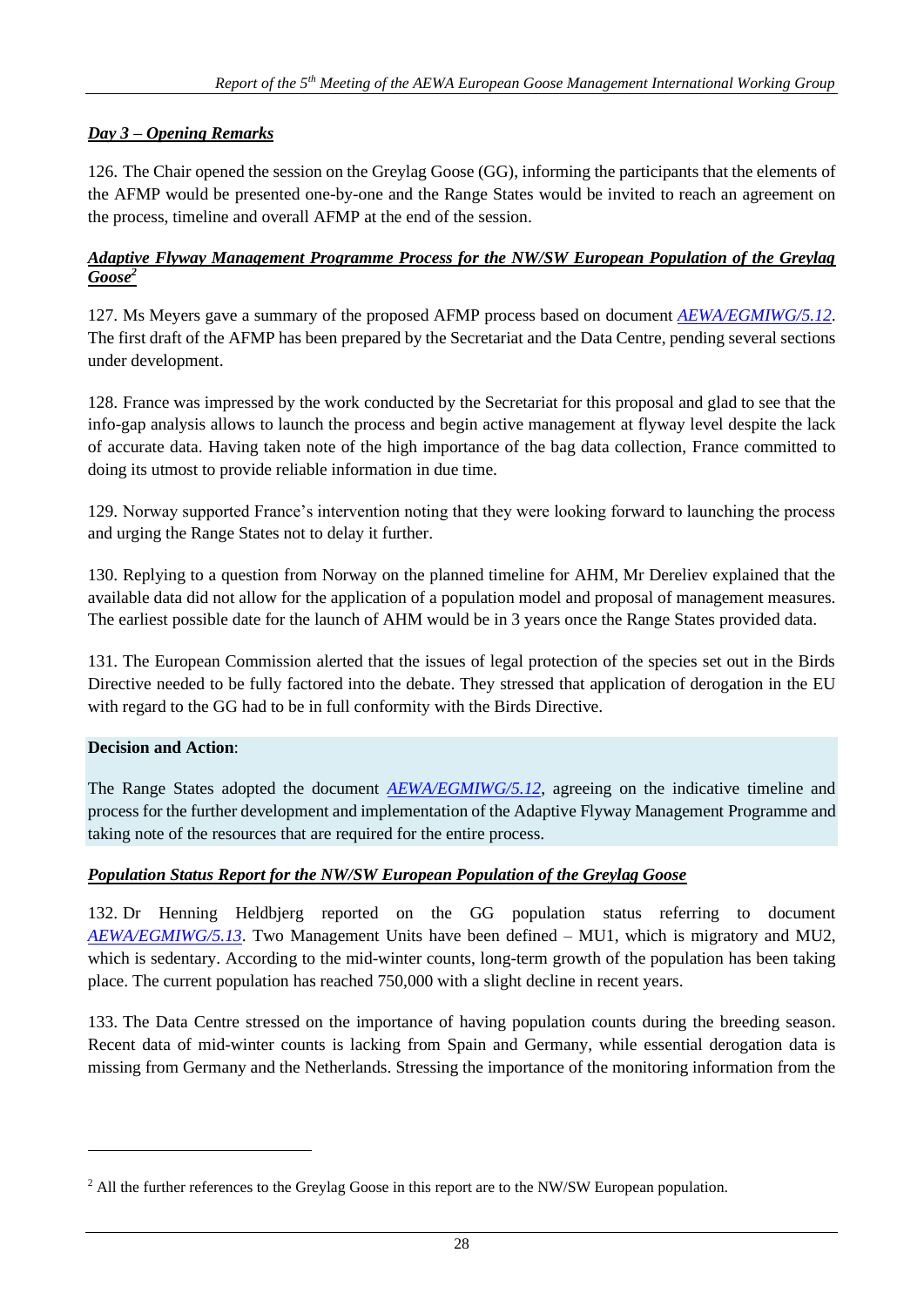# *Day 3 – Opening Remarks*

126. The Chair opened the session on the Greylag Goose (GG), informing the participants that the elements of the AFMP would be presented one-by-one and the Range States would be invited to reach an agreement on the process, timeline and overall AFMP at the end of the session.

#### *Adaptive Flyway Management Programme Process for the NW/SW European Population of the Greylag Goose<sup>2</sup>*

127. Ms Meyers gave a summary of the proposed AFMP process based on document *[AEWA/EGMIWG/5.12](https://egmp.aewa.info/sites/default/files/meeting_files/documents/AEWA_EGM_IWG_5_12_GG_AFMP_process.pdf)*. The first draft of the AFMP has been prepared by the Secretariat and the Data Centre, pending several sections under development.

128. France was impressed by the work conducted by the Secretariat for this proposal and glad to see that the info-gap analysis allows to launch the process and begin active management at flyway level despite the lack of accurate data. Having taken note of the high importance of the bag data collection, France committed to doing its utmost to provide reliable information in due time.

129. Norway supported France's intervention noting that they were looking forward to launching the process and urging the Range States not to delay it further.

130. Replying to a question from Norway on the planned timeline for AHM, Mr Dereliev explained that the available data did not allow for the application of a population model and proposal of management measures. The earliest possible date for the launch of AHM would be in 3 years once the Range States provided data.

131. The European Commission alerted that the issues of legal protection of the species set out in the Birds Directive needed to be fully factored into the debate. They stressed that application of derogation in the EU with regard to the GG had to be in full conformity with the Birds Directive.

### **Decision and Action**:

The Range States adopted the document **[AEWA/EGMIWG/5.12](https://egmp.aewa.info/sites/default/files/meeting_files/documents/AEWA_EGM_IWG_5_12_GG_AFMP_process.pdf)**, agreeing on the indicative timeline and process for the further development and implementation of the Adaptive Flyway Management Programme and taking note of the resources that are required for the entire process.

#### *Population Status Report for the NW/SW European Population of the Greylag Goose*

132. Dr Henning Heldbjerg reported on the GG population status referring to document *[AEWA/EGMIWG/5.13](https://egmp.aewa.info/sites/default/files/meeting_files/documents/AEWA_EGM_IWG_5_13_GG_Status_Report.pdf)*. Two Management Units have been defined – MU1, which is migratory and MU2, which is sedentary. According to the mid-winter counts, long-term growth of the population has been taking place. The current population has reached 750,000 with a slight decline in recent years.

133. The Data Centre stressed on the importance of having population counts during the breeding season. Recent data of mid-winter counts is lacking from Spain and Germany, while essential derogation data is missing from Germany and the Netherlands. Stressing the importance of the monitoring information from the

<sup>&</sup>lt;sup>2</sup> All the further references to the Greylag Goose in this report are to the NW/SW European population.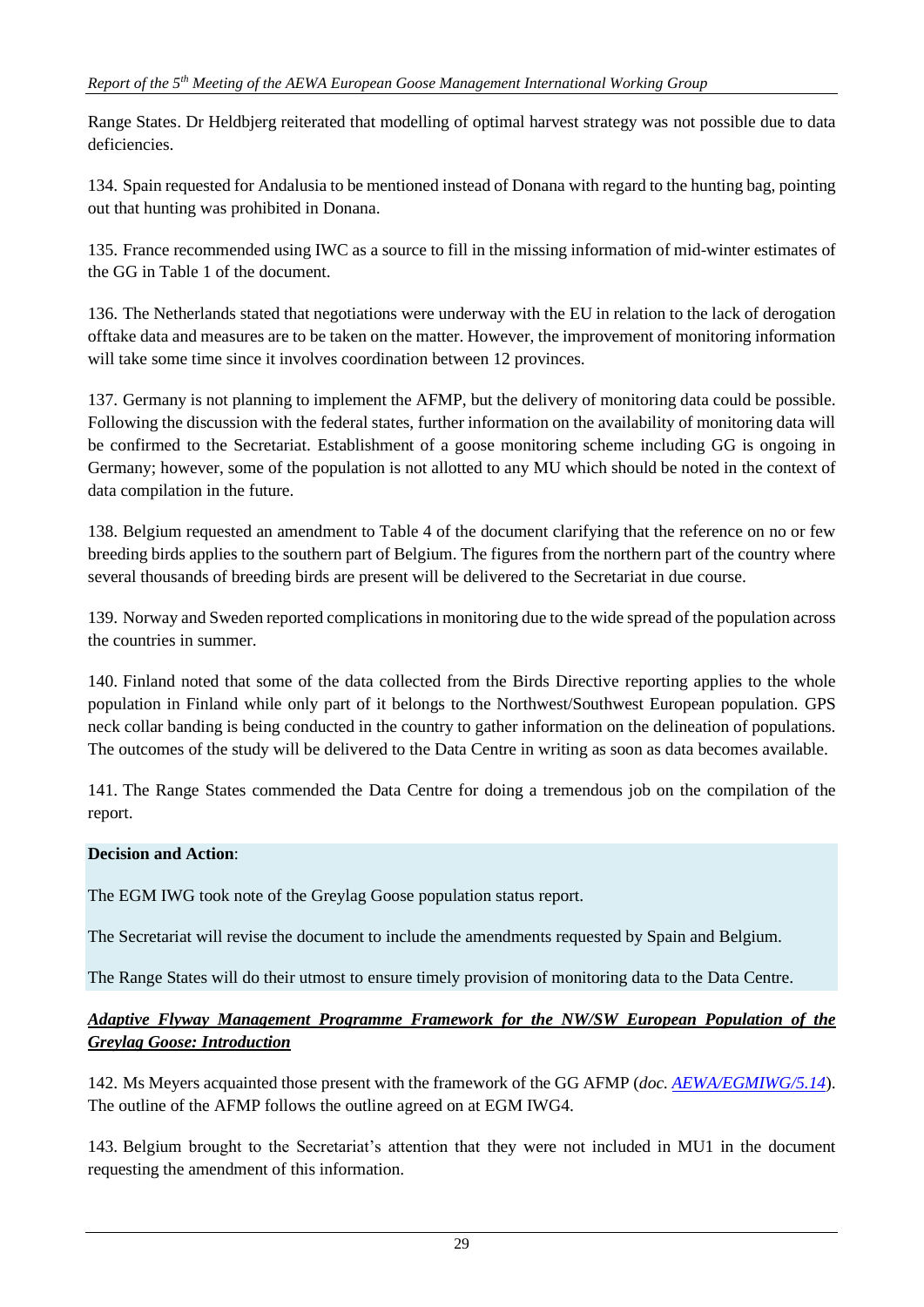Range States. Dr Heldbjerg reiterated that modelling of optimal harvest strategy was not possible due to data deficiencies.

134. Spain requested for Andalusia to be mentioned instead of Donana with regard to the hunting bag, pointing out that hunting was prohibited in Donana.

135. France recommended using IWC as a source to fill in the missing information of mid-winter estimates of the GG in Table 1 of the document.

136. The Netherlands stated that negotiations were underway with the EU in relation to the lack of derogation offtake data and measures are to be taken on the matter. However, the improvement of monitoring information will take some time since it involves coordination between 12 provinces.

137. Germany is not planning to implement the AFMP, but the delivery of monitoring data could be possible. Following the discussion with the federal states, further information on the availability of monitoring data will be confirmed to the Secretariat. Establishment of a goose monitoring scheme including GG is ongoing in Germany; however, some of the population is not allotted to any MU which should be noted in the context of data compilation in the future.

138. Belgium requested an amendment to Table 4 of the document clarifying that the reference on no or few breeding birds applies to the southern part of Belgium. The figures from the northern part of the country where several thousands of breeding birds are present will be delivered to the Secretariat in due course.

139. Norway and Sweden reported complications in monitoring due to the wide spread of the population across the countries in summer.

140. Finland noted that some of the data collected from the Birds Directive reporting applies to the whole population in Finland while only part of it belongs to the Northwest/Southwest European population. GPS neck collar banding is being conducted in the country to gather information on the delineation of populations. The outcomes of the study will be delivered to the Data Centre in writing as soon as data becomes available.

141. The Range States commended the Data Centre for doing a tremendous job on the compilation of the report.

### **Decision and Action**:

The EGM IWG took note of the Greylag Goose population status report.

The Secretariat will revise the document to include the amendments requested by Spain and Belgium.

The Range States will do their utmost to ensure timely provision of monitoring data to the Data Centre.

# *Adaptive Flyway Management Programme Framework for the NW/SW European Population of the Greylag Goose: Introduction*

142. Ms Meyers acquainted those present with the framework of the GG AFMP (*doc. [AEWA/EGMIWG/5.14](https://egmp.aewa.info/sites/default/files/meeting_files/documents/AEWA_EGM_IWG_5_14_AFMP_GG_corr1.pdf)*). The outline of the AFMP follows the outline agreed on at EGM IWG4.

143. Belgium brought to the Secretariat's attention that they were not included in MU1 in the document requesting the amendment of this information.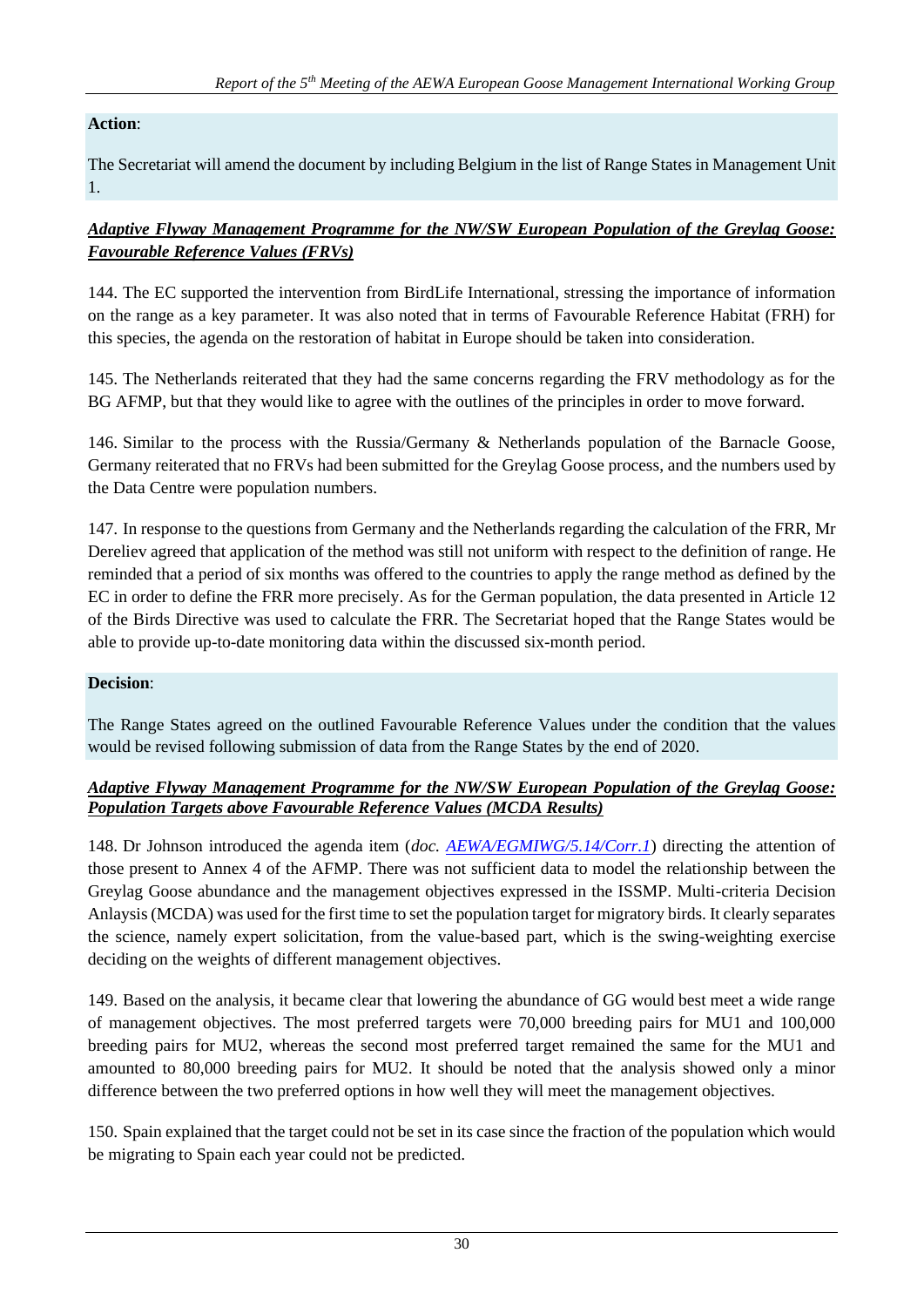# **Action**:

The Secretariat will amend the document by including Belgium in the list of Range States in Management Unit 1.

### *Adaptive Flyway Management Programme for the NW/SW European Population of the Greylag Goose: Favourable Reference Values (FRVs)*

144. The EC supported the intervention from BirdLife International, stressing the importance of information on the range as a key parameter. It was also noted that in terms of Favourable Reference Habitat (FRH) for this species, the agenda on the restoration of habitat in Europe should be taken into consideration.

145. The Netherlands reiterated that they had the same concerns regarding the FRV methodology as for the BG AFMP, but that they would like to agree with the outlines of the principles in order to move forward.

146. Similar to the process with the Russia/Germany & Netherlands population of the Barnacle Goose, Germany reiterated that no FRVs had been submitted for the Greylag Goose process, and the numbers used by the Data Centre were population numbers.

147. In response to the questions from Germany and the Netherlands regarding the calculation of the FRR, Mr Dereliev agreed that application of the method was still not uniform with respect to the definition of range. He reminded that a period of six months was offered to the countries to apply the range method as defined by the EC in order to define the FRR more precisely. As for the German population, the data presented in Article 12 of the Birds Directive was used to calculate the FRR. The Secretariat hoped that the Range States would be able to provide up-to-date monitoring data within the discussed six-month period.

### **Decision**:

The Range States agreed on the outlined Favourable Reference Values under the condition that the values would be revised following submission of data from the Range States by the end of 2020.

#### *Adaptive Flyway Management Programme for the NW/SW European Population of the Greylag Goose: Population Targets above Favourable Reference Values (MCDA Results)*

148. Dr Johnson introduced the agenda item (*doc. [AEWA/EGMIWG/5.14/Corr.1](https://egmp.aewa.info/sites/default/files/meeting_files/documents/AEWA_EGM_IWG_5_14_AFMP_GG_corr1.pdf)*) directing the attention of those present to Annex 4 of the AFMP. There was not sufficient data to model the relationship between the Greylag Goose abundance and the management objectives expressed in the ISSMP. Multi-criteria Decision Anlaysis (MCDA) was used for the first time to set the population target for migratory birds. It clearly separates the science, namely expert solicitation, from the value-based part, which is the swing-weighting exercise deciding on the weights of different management objectives.

149. Based on the analysis, it became clear that lowering the abundance of GG would best meet a wide range of management objectives. The most preferred targets were 70,000 breeding pairs for MU1 and 100,000 breeding pairs for MU2, whereas the second most preferred target remained the same for the MU1 and amounted to 80,000 breeding pairs for MU2. It should be noted that the analysis showed only a minor difference between the two preferred options in how well they will meet the management objectives.

150. Spain explained that the target could not be set in its case since the fraction of the population which would be migrating to Spain each year could not be predicted.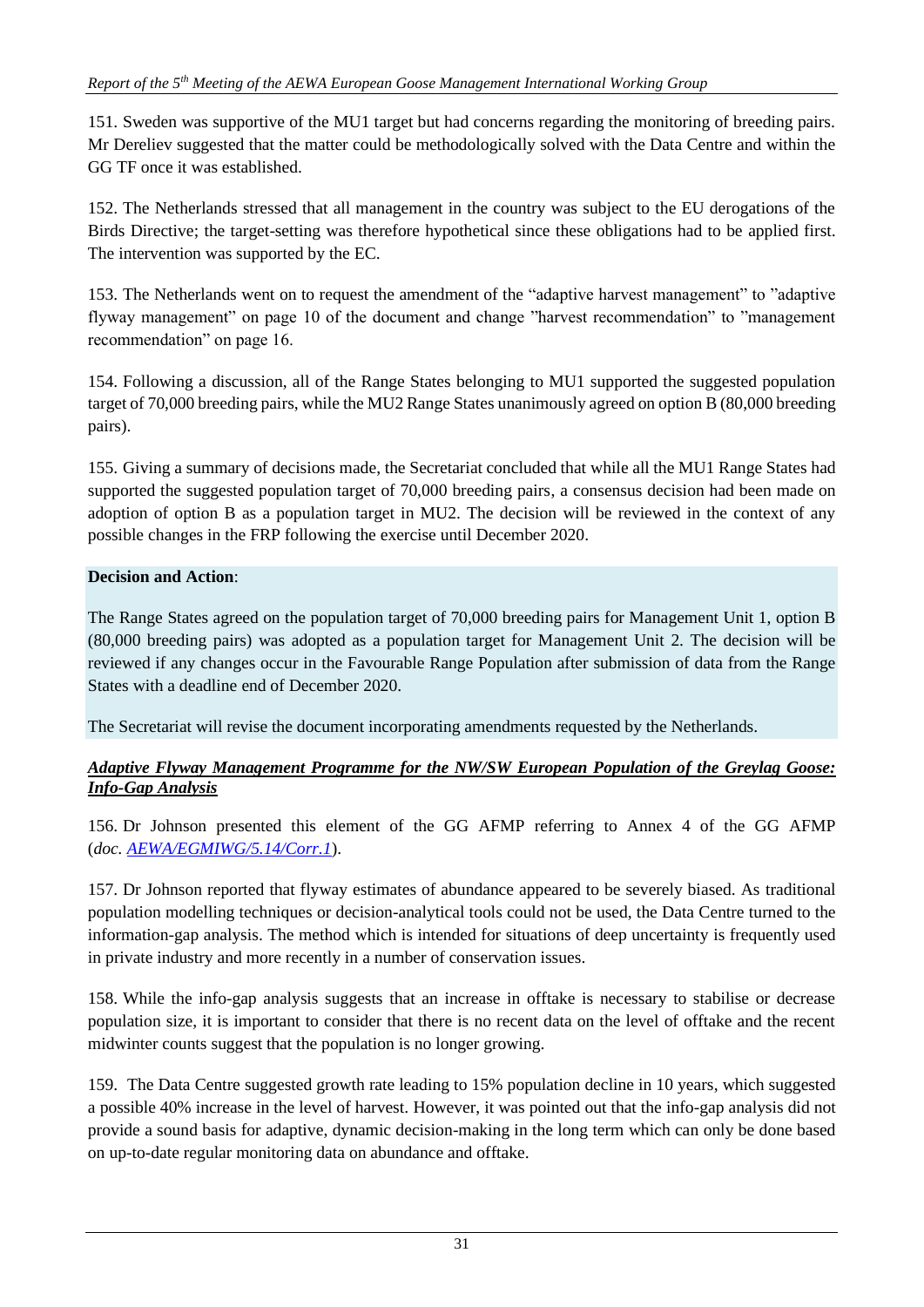151. Sweden was supportive of the MU1 target but had concerns regarding the monitoring of breeding pairs. Mr Dereliev suggested that the matter could be methodologically solved with the Data Centre and within the GG TF once it was established.

152. The Netherlands stressed that all management in the country was subject to the EU derogations of the Birds Directive; the target-setting was therefore hypothetical since these obligations had to be applied first. The intervention was supported by the EC.

153. The Netherlands went on to request the amendment of the "adaptive harvest management" to "adaptive flyway management" on page 10 of the document and change "harvest recommendation" to "management recommendation" on page 16.

154. Following a discussion, all of the Range States belonging to MU1 supported the suggested population target of 70,000 breeding pairs, while the MU2 Range States unanimously agreed on option B (80,000 breeding pairs).

155. Giving a summary of decisions made, the Secretariat concluded that while all the MU1 Range States had supported the suggested population target of 70,000 breeding pairs, a consensus decision had been made on adoption of option B as a population target in MU2. The decision will be reviewed in the context of any possible changes in the FRP following the exercise until December 2020.

# **Decision and Action**:

The Range States agreed on the population target of 70,000 breeding pairs for Management Unit 1, option B (80,000 breeding pairs) was adopted as a population target for Management Unit 2. The decision will be reviewed if any changes occur in the Favourable Range Population after submission of data from the Range States with a deadline end of December 2020.

The Secretariat will revise the document incorporating amendments requested by the Netherlands.

### *Adaptive Flyway Management Programme for the NW/SW European Population of the Greylag Goose: Info-Gap Analysis*

156. Dr Johnson presented this element of the GG AFMP referring to Annex 4 of the GG AFMP (*doc[. AEWA/EGMIWG/5.14/Corr.1](https://egmp.aewa.info/sites/default/files/meeting_files/documents/AEWA_EGM_IWG_5_14_AFMP_GG_corr1.pdf)*).

157. Dr Johnson reported that flyway estimates of abundance appeared to be severely biased. As traditional population modelling techniques or decision-analytical tools could not be used, the Data Centre turned to the information-gap analysis. The method which is intended for situations of deep uncertainty is frequently used in private industry and more recently in a number of conservation issues.

158. While the info-gap analysis suggests that an increase in offtake is necessary to stabilise or decrease population size, it is important to consider that there is no recent data on the level of offtake and the recent midwinter counts suggest that the population is no longer growing.

159. The Data Centre suggested growth rate leading to 15% population decline in 10 years, which suggested a possible 40% increase in the level of harvest. However, it was pointed out that the info-gap analysis did not provide a sound basis for adaptive, dynamic decision-making in the long term which can only be done based on up-to-date regular monitoring data on abundance and offtake.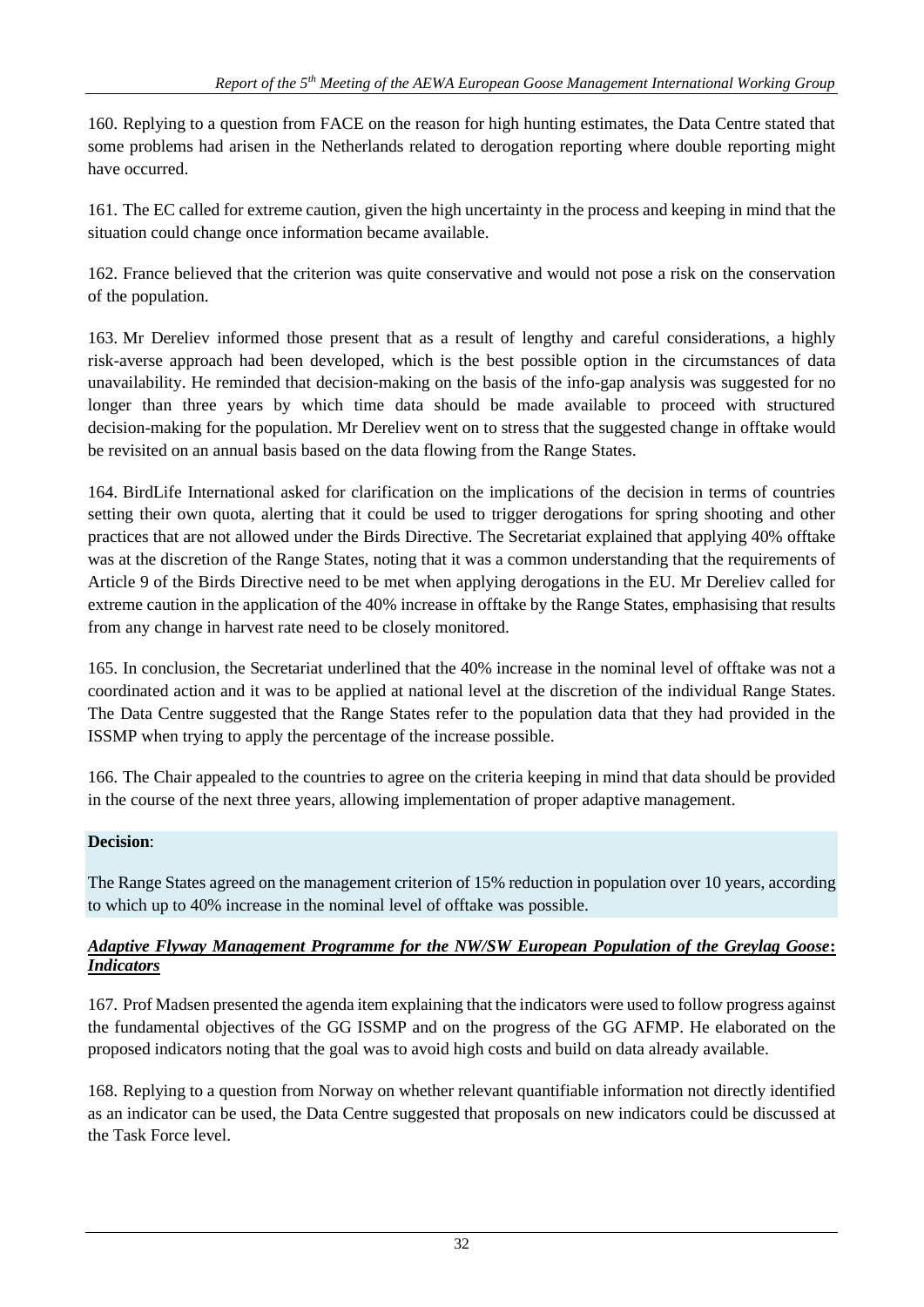160. Replying to a question from FACE on the reason for high hunting estimates, the Data Centre stated that some problems had arisen in the Netherlands related to derogation reporting where double reporting might have occurred.

161. The EC called for extreme caution, given the high uncertainty in the process and keeping in mind that the situation could change once information became available.

162. France believed that the criterion was quite conservative and would not pose a risk on the conservation of the population.

163. Mr Dereliev informed those present that as a result of lengthy and careful considerations, a highly risk-averse approach had been developed, which is the best possible option in the circumstances of data unavailability. He reminded that decision-making on the basis of the info-gap analysis was suggested for no longer than three years by which time data should be made available to proceed with structured decision-making for the population. Mr Dereliev went on to stress that the suggested change in offtake would be revisited on an annual basis based on the data flowing from the Range States.

164. BirdLife International asked for clarification on the implications of the decision in terms of countries setting their own quota, alerting that it could be used to trigger derogations for spring shooting and other practices that are not allowed under the Birds Directive. The Secretariat explained that applying 40% offtake was at the discretion of the Range States, noting that it was a common understanding that the requirements of Article 9 of the Birds Directive need to be met when applying derogations in the EU. Mr Dereliev called for extreme caution in the application of the 40% increase in offtake by the Range States, emphasising that results from any change in harvest rate need to be closely monitored.

165. In conclusion, the Secretariat underlined that the 40% increase in the nominal level of offtake was not a coordinated action and it was to be applied at national level at the discretion of the individual Range States. The Data Centre suggested that the Range States refer to the population data that they had provided in the ISSMP when trying to apply the percentage of the increase possible.

166. The Chair appealed to the countries to agree on the criteria keeping in mind that data should be provided in the course of the next three years, allowing implementation of proper adaptive management.

### **Decision**:

The Range States agreed on the management criterion of 15% reduction in population over 10 years, according to which up to 40% increase in the nominal level of offtake was possible.

### *Adaptive Flyway Management Programme for the NW/SW European Population of the Greylag Goose***:**  *Indicators*

167. Prof Madsen presented the agenda item explaining that the indicators were used to follow progress against the fundamental objectives of the GG ISSMP and on the progress of the GG AFMP. He elaborated on the proposed indicators noting that the goal was to avoid high costs and build on data already available.

168. Replying to a question from Norway on whether relevant quantifiable information not directly identified as an indicator can be used, the Data Centre suggested that proposals on new indicators could be discussed at the Task Force level.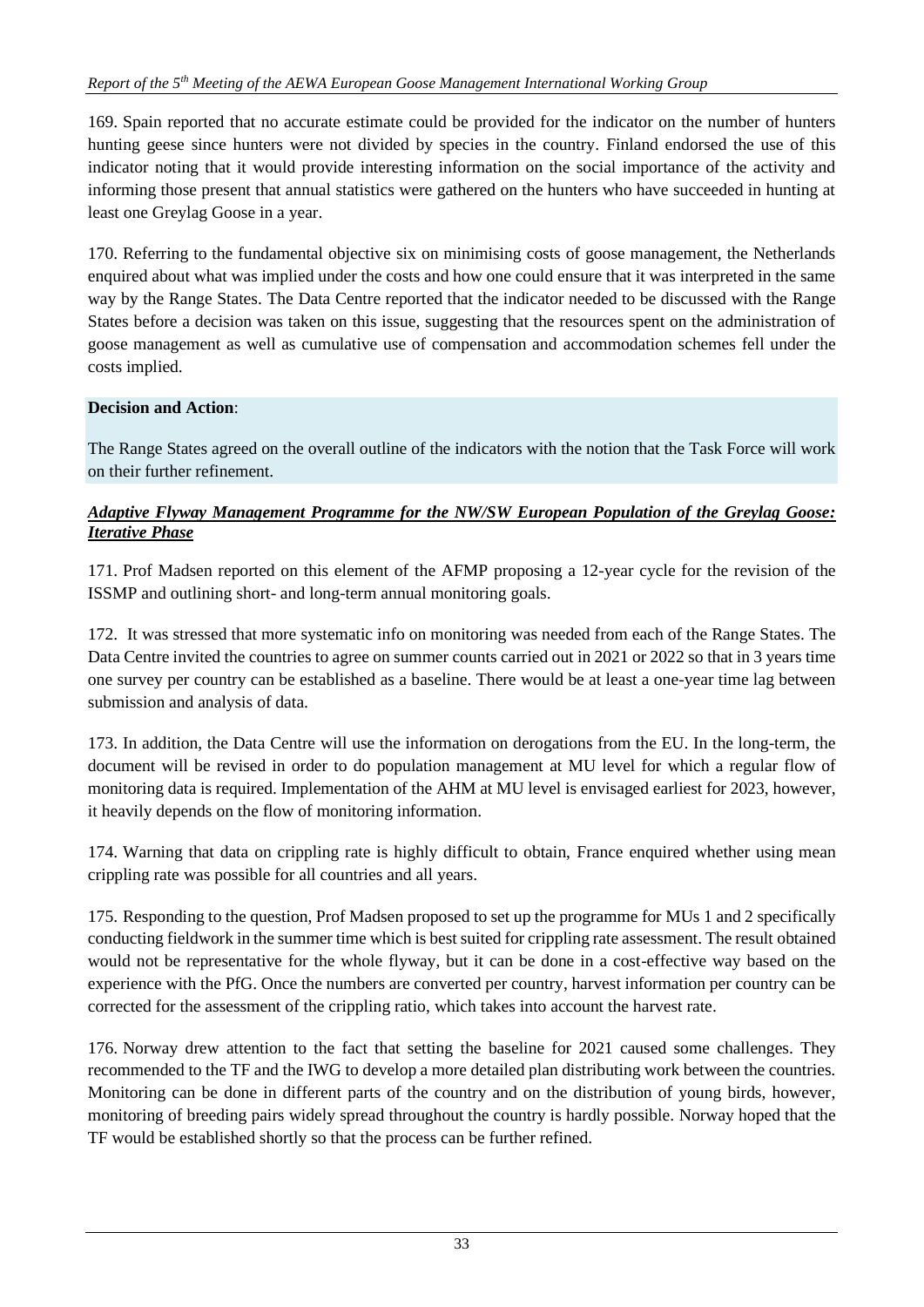169. Spain reported that no accurate estimate could be provided for the indicator on the number of hunters hunting geese since hunters were not divided by species in the country. Finland endorsed the use of this indicator noting that it would provide interesting information on the social importance of the activity and informing those present that annual statistics were gathered on the hunters who have succeeded in hunting at least one Greylag Goose in a year.

170. Referring to the fundamental objective six on minimising costs of goose management, the Netherlands enquired about what was implied under the costs and how one could ensure that it was interpreted in the same way by the Range States. The Data Centre reported that the indicator needed to be discussed with the Range States before a decision was taken on this issue, suggesting that the resources spent on the administration of goose management as well as cumulative use of compensation and accommodation schemes fell under the costs implied.

# **Decision and Action**:

The Range States agreed on the overall outline of the indicators with the notion that the Task Force will work on their further refinement.

### *Adaptive Flyway Management Programme for the NW/SW European Population of the Greylag Goose: Iterative Phase*

171. Prof Madsen reported on this element of the AFMP proposing a 12-year cycle for the revision of the ISSMP and outlining short- and long-term annual monitoring goals.

172. It was stressed that more systematic info on monitoring was needed from each of the Range States. The Data Centre invited the countries to agree on summer counts carried out in 2021 or 2022 so that in 3 years time one survey per country can be established as a baseline. There would be at least a one-year time lag between submission and analysis of data.

173. In addition, the Data Centre will use the information on derogations from the EU. In the long-term, the document will be revised in order to do population management at MU level for which a regular flow of monitoring data is required. Implementation of the AHM at MU level is envisaged earliest for 2023, however, it heavily depends on the flow of monitoring information.

174. Warning that data on crippling rate is highly difficult to obtain, France enquired whether using mean crippling rate was possible for all countries and all years.

175. Responding to the question, Prof Madsen proposed to set up the programme for MUs 1 and 2 specifically conducting fieldwork in the summer time which is best suited for crippling rate assessment. The result obtained would not be representative for the whole flyway, but it can be done in a cost-effective way based on the experience with the PfG. Once the numbers are converted per country, harvest information per country can be corrected for the assessment of the crippling ratio, which takes into account the harvest rate.

176. Norway drew attention to the fact that setting the baseline for 2021 caused some challenges. They recommended to the TF and the IWG to develop a more detailed plan distributing work between the countries. Monitoring can be done in different parts of the country and on the distribution of young birds, however, monitoring of breeding pairs widely spread throughout the country is hardly possible. Norway hoped that the TF would be established shortly so that the process can be further refined.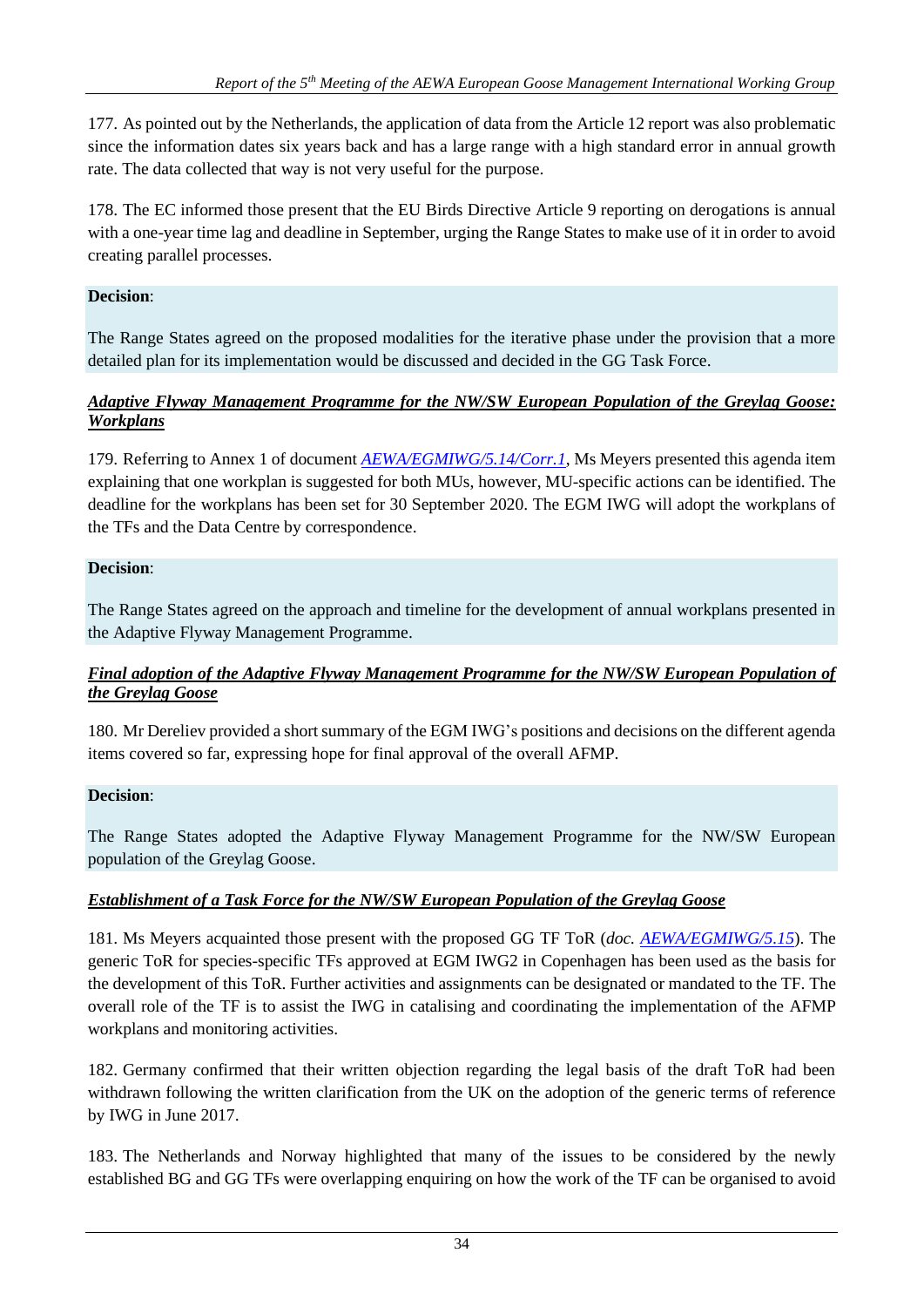177. As pointed out by the Netherlands, the application of data from the Article 12 report was also problematic since the information dates six years back and has a large range with a high standard error in annual growth rate. The data collected that way is not very useful for the purpose.

178. The EC informed those present that the EU Birds Directive Article 9 reporting on derogations is annual with a one-year time lag and deadline in September, urging the Range States to make use of it in order to avoid creating parallel processes.

# **Decision**:

The Range States agreed on the proposed modalities for the iterative phase under the provision that a more detailed plan for its implementation would be discussed and decided in the GG Task Force.

### *Adaptive Flyway Management Programme for the NW/SW European Population of the Greylag Goose: Workplans*

179. Referring to Annex 1 of document *[AEWA/EGMIWG/5.14/Corr.1](https://egmp.aewa.info/sites/default/files/meeting_files/documents/AEWA_EGM_IWG_5_14_AFMP_GG_corr1.pdf)*, Ms Meyers presented this agenda item explaining that one workplan is suggested for both MUs, however, MU-specific actions can be identified. The deadline for the workplans has been set for 30 September 2020. The EGM IWG will adopt the workplans of the TFs and the Data Centre by correspondence.

### **Decision**:

The Range States agreed on the approach and timeline for the development of annual workplans presented in the Adaptive Flyway Management Programme.

### *Final adoption of the Adaptive Flyway Management Programme for the NW/SW European Population of the Greylag Goose*

180. Mr Dereliev provided a short summary of the EGM IWG's positions and decisions on the different agenda items covered so far, expressing hope for final approval of the overall AFMP.

### **Decision**:

The Range States adopted the Adaptive Flyway Management Programme for the NW/SW European population of the Greylag Goose.

# *Establishment of a Task Force for the NW/SW European Population of the Greylag Goose*

181. Ms Meyers acquainted those present with the proposed GG TF ToR (*doc. [AEWA/EGMIWG/5.15](https://egmp.aewa.info/sites/default/files/meeting_files/documents/AEWA_EGM_IWG_5_15_ToR_GG.pdf)*). The generic ToR for species-specific TFs approved at EGM IWG2 in Copenhagen has been used as the basis for the development of this ToR. Further activities and assignments can be designated or mandated to the TF. The overall role of the TF is to assist the IWG in catalising and coordinating the implementation of the AFMP workplans and monitoring activities.

182. Germany confirmed that their written objection regarding the legal basis of the draft ToR had been withdrawn following the written clarification from the UK on the adoption of the generic terms of reference by IWG in June 2017.

183. The Netherlands and Norway highlighted that many of the issues to be considered by the newly established BG and GG TFs were overlapping enquiring on how the work of the TF can be organised to avoid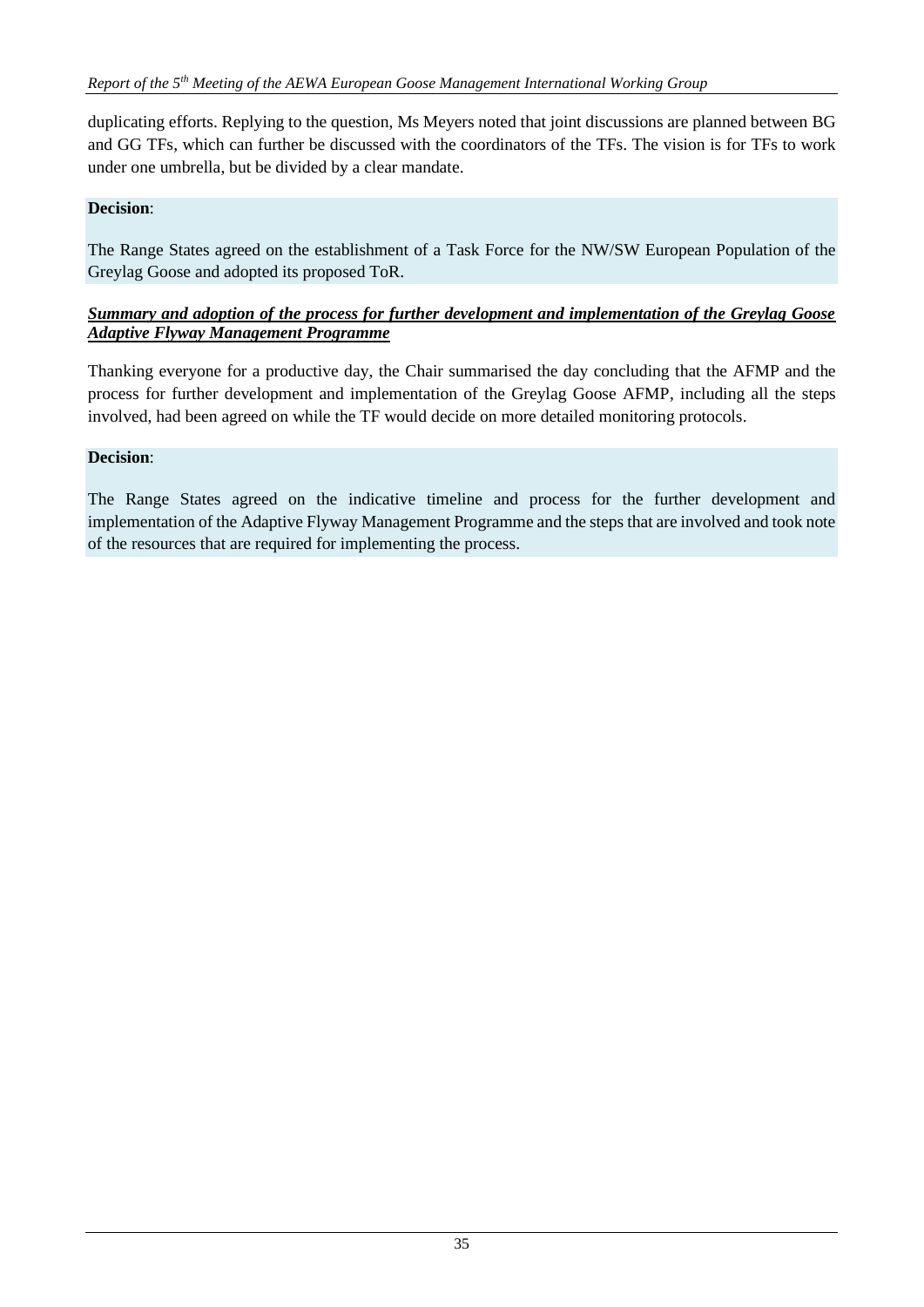duplicating efforts. Replying to the question, Ms Meyers noted that joint discussions are planned between BG and GG TFs, which can further be discussed with the coordinators of the TFs. The vision is for TFs to work under one umbrella, but be divided by a clear mandate.

### **Decision**:

The Range States agreed on the establishment of a Task Force for the NW/SW European Population of the Greylag Goose and adopted its proposed ToR.

### *Summary and adoption of the process for further development and implementation of the Greylag Goose Adaptive Flyway Management Programme*

Thanking everyone for a productive day, the Chair summarised the day concluding that the AFMP and the process for further development and implementation of the Greylag Goose AFMP, including all the steps involved, had been agreed on while the TF would decide on more detailed monitoring protocols.

### **Decision**:

The Range States agreed on the indicative timeline and process for the further development and implementation of the Adaptive Flyway Management Programme and the steps that are involved and took note of the resources that are required for implementing the process.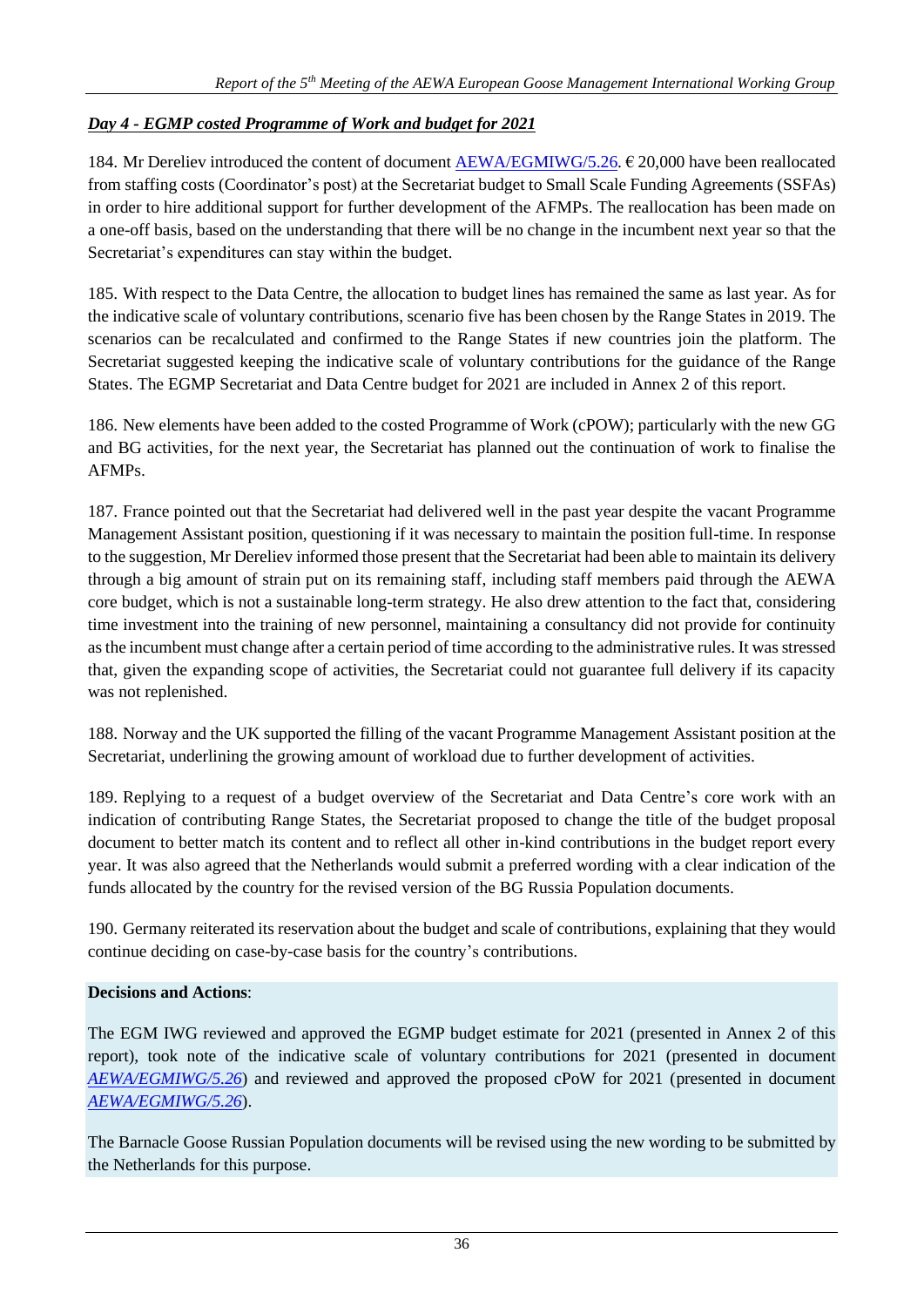# *Day 4 - EGMP costed Programme of Work and budget for 2021*

184. Mr Dereliev introduced the content of document [AEWA/EGMIWG/5.26.](https://egmp.aewa.info/sites/default/files/meeting_files/documents/AEWA_EGM_IWG_5_26_Budget_cPOW_2021.pdf)  $\epsilon$  20,000 have been reallocated from staffing costs (Coordinator's post) at the Secretariat budget to Small Scale Funding Agreements (SSFAs) in order to hire additional support for further development of the AFMPs. The reallocation has been made on a one-off basis, based on the understanding that there will be no change in the incumbent next year so that the Secretariat's expenditures can stay within the budget.

185. With respect to the Data Centre, the allocation to budget lines has remained the same as last year. As for the indicative scale of voluntary contributions, scenario five has been chosen by the Range States in 2019. The scenarios can be recalculated and confirmed to the Range States if new countries join the platform. The Secretariat suggested keeping the indicative scale of voluntary contributions for the guidance of the Range States. The EGMP Secretariat and Data Centre budget for 2021 are included in Annex 2 of this report.

186. New elements have been added to the costed Programme of Work (cPOW); particularly with the new GG and BG activities, for the next year, the Secretariat has planned out the continuation of work to finalise the AFMPs.

187. France pointed out that the Secretariat had delivered well in the past year despite the vacant Programme Management Assistant position, questioning if it was necessary to maintain the position full-time. In response to the suggestion, Mr Dereliev informed those present that the Secretariat had been able to maintain its delivery through a big amount of strain put on its remaining staff, including staff members paid through the AEWA core budget, which is not a sustainable long-term strategy. He also drew attention to the fact that, considering time investment into the training of new personnel, maintaining a consultancy did not provide for continuity as the incumbent must change after a certain period of time according to the administrative rules. It was stressed that, given the expanding scope of activities, the Secretariat could not guarantee full delivery if its capacity was not replenished.

188. Norway and the UK supported the filling of the vacant Programme Management Assistant position at the Secretariat, underlining the growing amount of workload due to further development of activities.

189. Replying to a request of a budget overview of the Secretariat and Data Centre's core work with an indication of contributing Range States, the Secretariat proposed to change the title of the budget proposal document to better match its content and to reflect all other in-kind contributions in the budget report every year. It was also agreed that the Netherlands would submit a preferred wording with a clear indication of the funds allocated by the country for the revised version of the BG Russia Population documents.

190. Germany reiterated its reservation about the budget and scale of contributions, explaining that they would continue deciding on case-by-case basis for the country's contributions.

### **Decisions and Actions**:

The EGM IWG reviewed and approved the EGMP budget estimate for 2021 (presented in Annex 2 of this report), took note of the indicative scale of voluntary contributions for 2021 (presented in document *[AEWA/EGMIWG/5.26](https://egmp.aewa.info/sites/default/files/meeting_files/documents/AEWA_EGM_IWG_5_26_Budget_cPOW_2021.pdf)*) and reviewed and approved the proposed cPoW for 2021 (presented in document *[AEWA/EGMIWG/5.26](https://egmp.aewa.info/sites/default/files/meeting_files/documents/AEWA_EGM_IWG_5_26_Budget_cPOW_2021.pdf)*).

The Barnacle Goose Russian Population documents will be revised using the new wording to be submitted by the Netherlands for this purpose.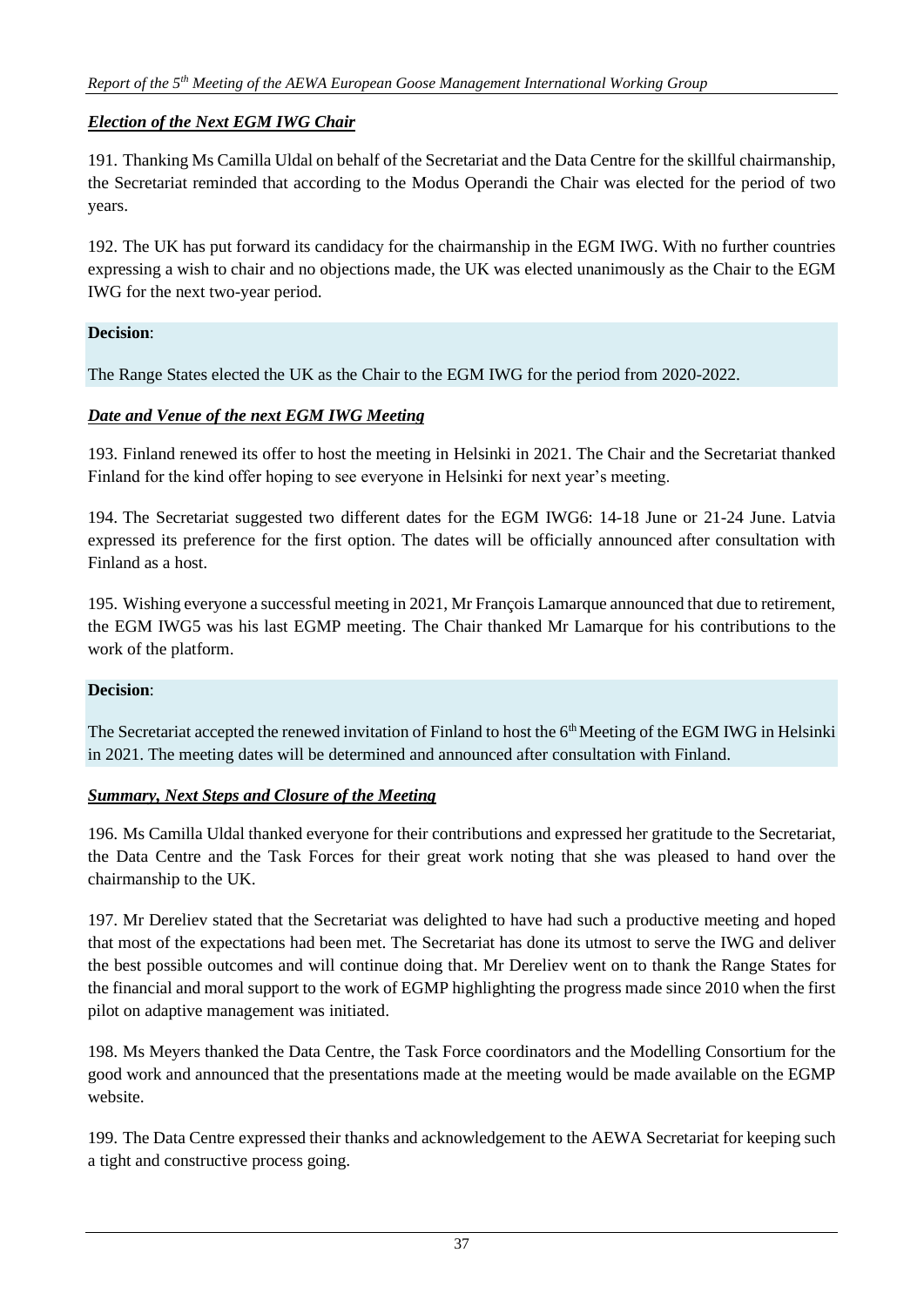### *Election of the Next EGM IWG Chair*

191. Thanking Ms Camilla Uldal on behalf of the Secretariat and the Data Centre for the skillful chairmanship, the Secretariat reminded that according to the Modus Operandi the Chair was elected for the period of two years.

192. The UK has put forward its candidacy for the chairmanship in the EGM IWG. With no further countries expressing a wish to chair and no objections made, the UK was elected unanimously as the Chair to the EGM IWG for the next two-year period.

### **Decision**:

The Range States elected the UK as the Chair to the EGM IWG for the period from 2020-2022.

# *Date and Venue of the next EGM IWG Meeting*

193. Finland renewed its offer to host the meeting in Helsinki in 2021. The Chair and the Secretariat thanked Finland for the kind offer hoping to see everyone in Helsinki for next year's meeting.

194. The Secretariat suggested two different dates for the EGM IWG6: 14-18 June or 21-24 June. Latvia expressed its preference for the first option. The dates will be officially announced after consultation with Finland as a host.

195. Wishing everyone a successful meeting in 2021, Mr François Lamarque announced that due to retirement, the EGM IWG5 was his last EGMP meeting. The Chair thanked Mr Lamarque for his contributions to the work of the platform.

### **Decision**:

The Secretariat accepted the renewed invitation of Finland to host the 6<sup>th</sup> Meeting of the EGM IWG in Helsinki in 2021. The meeting dates will be determined and announced after consultation with Finland.

### *Summary, Next Steps and Closure of the Meeting*

196. Ms Camilla Uldal thanked everyone for their contributions and expressed her gratitude to the Secretariat, the Data Centre and the Task Forces for their great work noting that she was pleased to hand over the chairmanship to the UK.

197. Mr Dereliev stated that the Secretariat was delighted to have had such a productive meeting and hoped that most of the expectations had been met. The Secretariat has done its utmost to serve the IWG and deliver the best possible outcomes and will continue doing that. Mr Dereliev went on to thank the Range States for the financial and moral support to the work of EGMP highlighting the progress made since 2010 when the first pilot on adaptive management was initiated.

198. Ms Meyers thanked the Data Centre, the Task Force coordinators and the Modelling Consortium for the good work and announced that the presentations made at the meeting would be made available on the EGMP website.

199. The Data Centre expressed their thanks and acknowledgement to the AEWA Secretariat for keeping such a tight and constructive process going.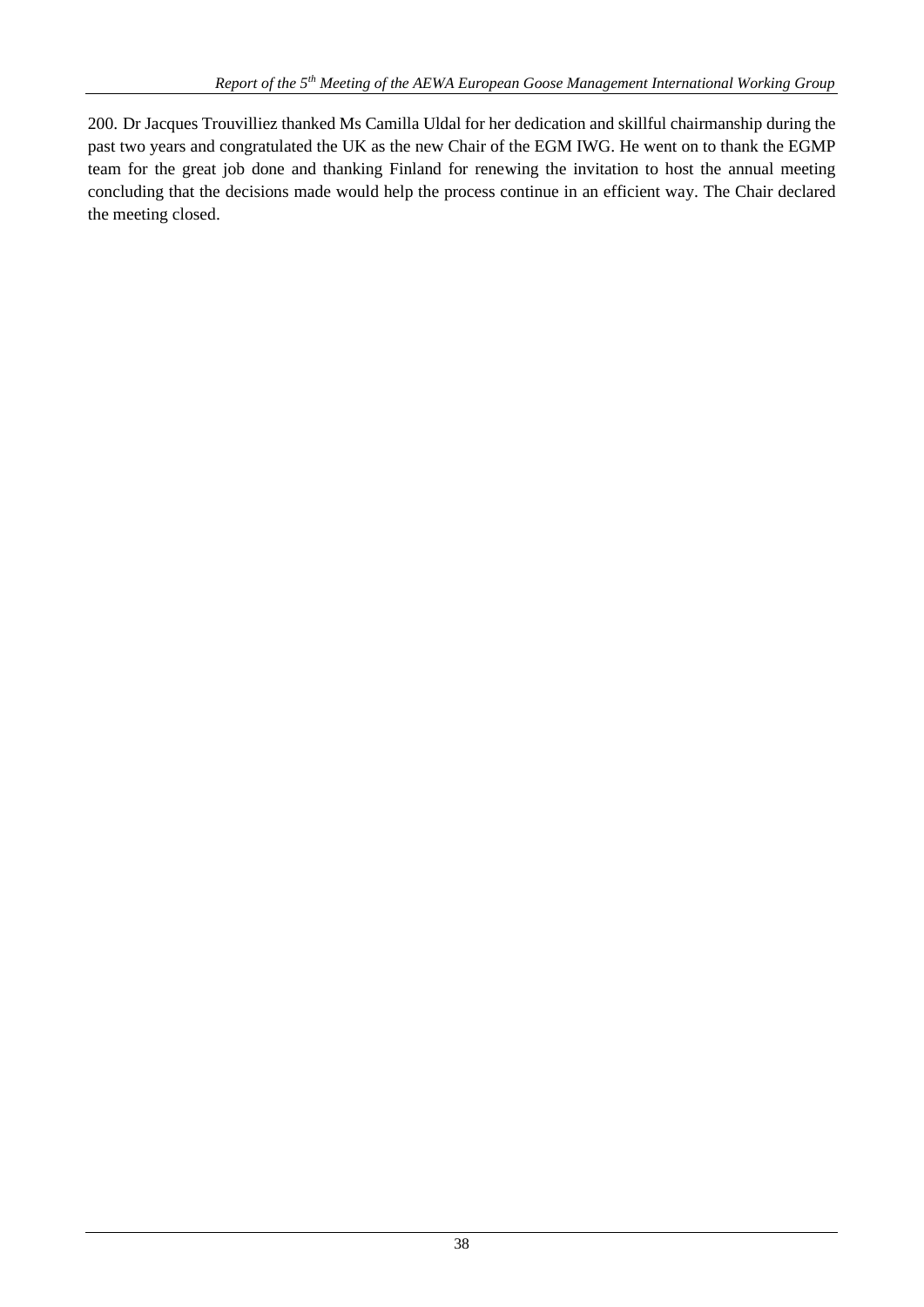200. Dr Jacques Trouvilliez thanked Ms Camilla Uldal for her dedication and skillful chairmanship during the past two years and congratulated the UK as the new Chair of the EGM IWG. He went on to thank the EGMP team for the great job done and thanking Finland for renewing the invitation to host the annual meeting concluding that the decisions made would help the process continue in an efficient way. The Chair declared the meeting closed.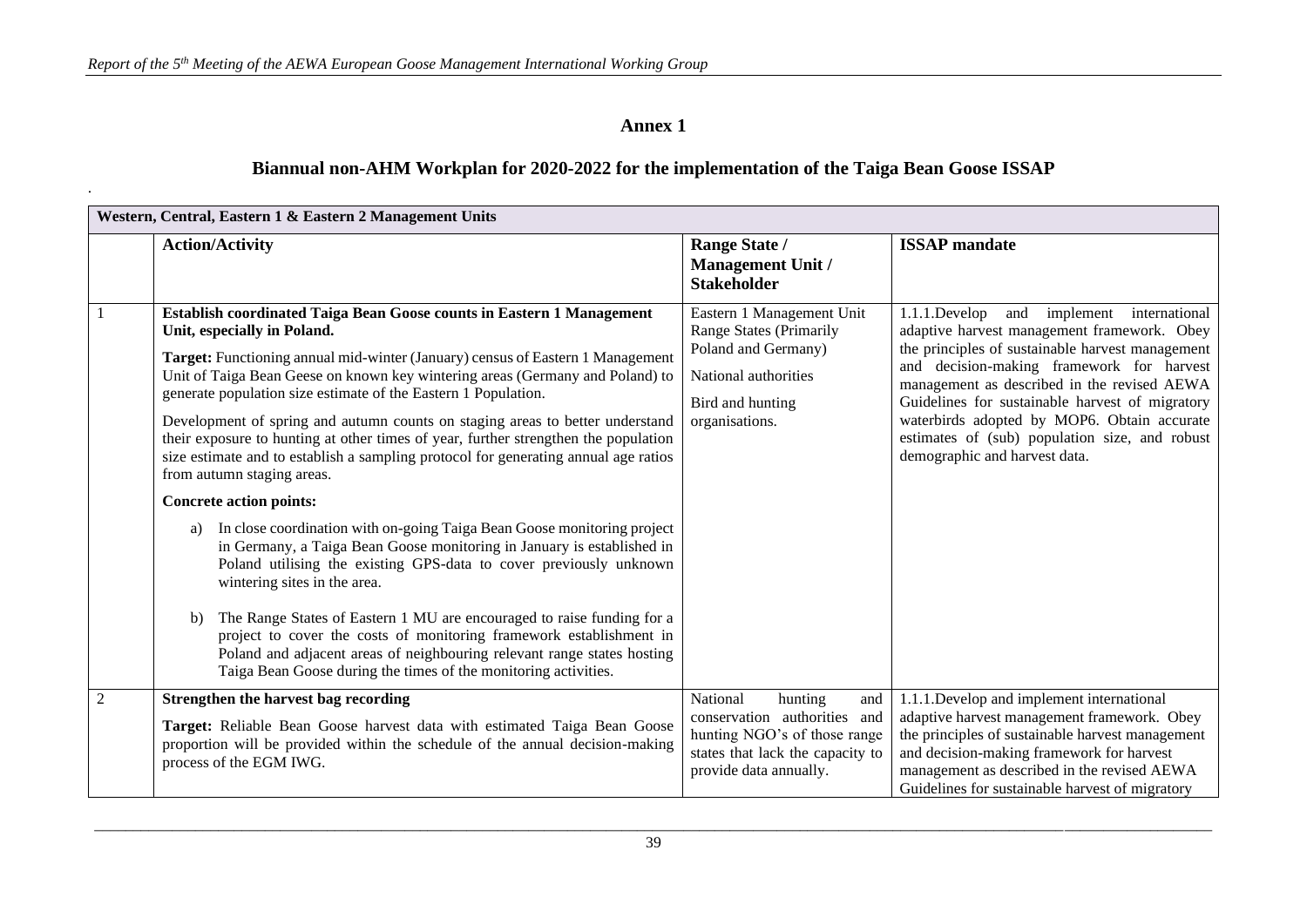.

# **Annex 1**

# **Biannual non-AHM Workplan for 2020-2022 for the implementation of the Taiga Bean Goose ISSAP**

|                | Western, Central, Eastern 1 & Eastern 2 Management Units                                                                                                                                                                                                                                                                                                                                                                                                                                                                                                                                                                                                                                                                                                                                                                                                                                                                                                                                                                                                                                                                                                                                                                                       |                                                                                                                                                          |                                                                                                                                                                                                                                                                                                                                                                                                                                        |  |
|----------------|------------------------------------------------------------------------------------------------------------------------------------------------------------------------------------------------------------------------------------------------------------------------------------------------------------------------------------------------------------------------------------------------------------------------------------------------------------------------------------------------------------------------------------------------------------------------------------------------------------------------------------------------------------------------------------------------------------------------------------------------------------------------------------------------------------------------------------------------------------------------------------------------------------------------------------------------------------------------------------------------------------------------------------------------------------------------------------------------------------------------------------------------------------------------------------------------------------------------------------------------|----------------------------------------------------------------------------------------------------------------------------------------------------------|----------------------------------------------------------------------------------------------------------------------------------------------------------------------------------------------------------------------------------------------------------------------------------------------------------------------------------------------------------------------------------------------------------------------------------------|--|
|                | <b>Action/Activity</b>                                                                                                                                                                                                                                                                                                                                                                                                                                                                                                                                                                                                                                                                                                                                                                                                                                                                                                                                                                                                                                                                                                                                                                                                                         | Range State /<br>Management Unit /<br><b>Stakeholder</b>                                                                                                 | <b>ISSAP</b> mandate                                                                                                                                                                                                                                                                                                                                                                                                                   |  |
|                | Establish coordinated Taiga Bean Goose counts in Eastern 1 Management<br>Unit, especially in Poland.<br>Target: Functioning annual mid-winter (January) census of Eastern 1 Management<br>Unit of Taiga Bean Geese on known key wintering areas (Germany and Poland) to<br>generate population size estimate of the Eastern 1 Population.<br>Development of spring and autumn counts on staging areas to better understand<br>their exposure to hunting at other times of year, further strengthen the population<br>size estimate and to establish a sampling protocol for generating annual age ratios<br>from autumn staging areas.<br><b>Concrete action points:</b><br>In close coordination with on-going Taiga Bean Goose monitoring project<br>a)<br>in Germany, a Taiga Bean Goose monitoring in January is established in<br>Poland utilising the existing GPS-data to cover previously unknown<br>wintering sites in the area.<br>The Range States of Eastern 1 MU are encouraged to raise funding for a<br>b)<br>project to cover the costs of monitoring framework establishment in<br>Poland and adjacent areas of neighbouring relevant range states hosting<br>Taiga Bean Goose during the times of the monitoring activities. | Eastern 1 Management Unit<br><b>Range States (Primarily</b><br>Poland and Germany)<br>National authorities<br>Bird and hunting<br>organisations.         | and implement<br>$1.1.1$ .Develop<br>international<br>adaptive harvest management framework. Obey<br>the principles of sustainable harvest management<br>and decision-making framework for harvest<br>management as described in the revised AEWA<br>Guidelines for sustainable harvest of migratory<br>waterbirds adopted by MOP6. Obtain accurate<br>estimates of (sub) population size, and robust<br>demographic and harvest data. |  |
| $\overline{2}$ | Strengthen the harvest bag recording<br>Target: Reliable Bean Goose harvest data with estimated Taiga Bean Goose<br>proportion will be provided within the schedule of the annual decision-making<br>process of the EGM IWG.                                                                                                                                                                                                                                                                                                                                                                                                                                                                                                                                                                                                                                                                                                                                                                                                                                                                                                                                                                                                                   | National<br>hunting<br>and<br>conservation authorities and<br>hunting NGO's of those range<br>states that lack the capacity to<br>provide data annually. | 1.1.1.Develop and implement international<br>adaptive harvest management framework. Obey<br>the principles of sustainable harvest management<br>and decision-making framework for harvest<br>management as described in the revised AEWA<br>Guidelines for sustainable harvest of migratory                                                                                                                                            |  |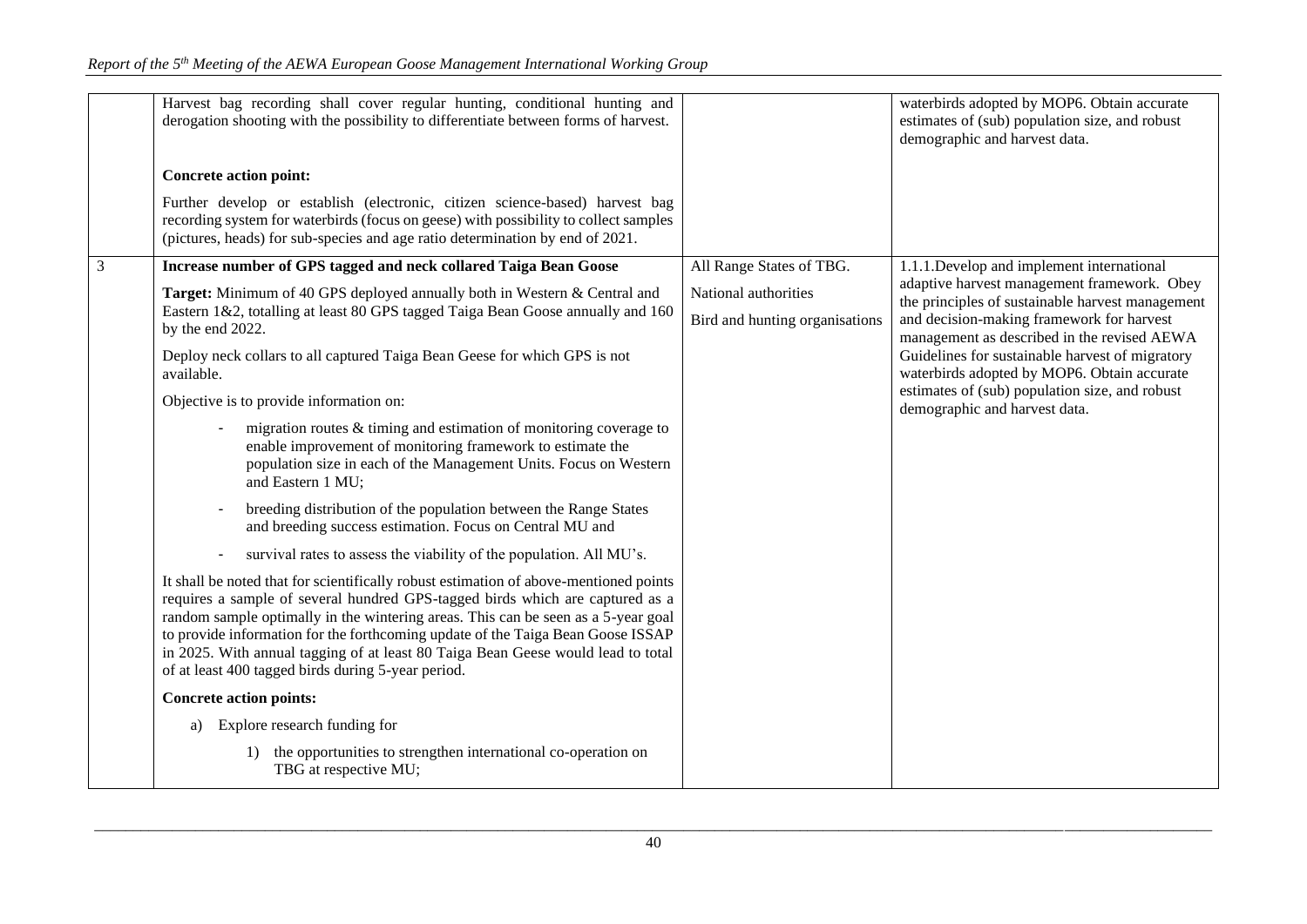|   | Harvest bag recording shall cover regular hunting, conditional hunting and<br>derogation shooting with the possibility to differentiate between forms of harvest.                                                                                                                                                                                                                                                                                                                                                                                                                                                                                                                                                                                                                                                                                                                                                                                                                                                                                                                                                                                                                                                                                                                                                                                                                                        |                                                        | waterbirds adopted by MOP6. Obtain accurate<br>estimates of (sub) population size, and robust<br>demographic and harvest data.                                                                                                                                                                                                                                                   |
|---|----------------------------------------------------------------------------------------------------------------------------------------------------------------------------------------------------------------------------------------------------------------------------------------------------------------------------------------------------------------------------------------------------------------------------------------------------------------------------------------------------------------------------------------------------------------------------------------------------------------------------------------------------------------------------------------------------------------------------------------------------------------------------------------------------------------------------------------------------------------------------------------------------------------------------------------------------------------------------------------------------------------------------------------------------------------------------------------------------------------------------------------------------------------------------------------------------------------------------------------------------------------------------------------------------------------------------------------------------------------------------------------------------------|--------------------------------------------------------|----------------------------------------------------------------------------------------------------------------------------------------------------------------------------------------------------------------------------------------------------------------------------------------------------------------------------------------------------------------------------------|
|   | <b>Concrete action point:</b>                                                                                                                                                                                                                                                                                                                                                                                                                                                                                                                                                                                                                                                                                                                                                                                                                                                                                                                                                                                                                                                                                                                                                                                                                                                                                                                                                                            |                                                        |                                                                                                                                                                                                                                                                                                                                                                                  |
|   | Further develop or establish (electronic, citizen science-based) harvest bag<br>recording system for waterbirds (focus on geese) with possibility to collect samples<br>(pictures, heads) for sub-species and age ratio determination by end of 2021.                                                                                                                                                                                                                                                                                                                                                                                                                                                                                                                                                                                                                                                                                                                                                                                                                                                                                                                                                                                                                                                                                                                                                    |                                                        |                                                                                                                                                                                                                                                                                                                                                                                  |
| 3 | Increase number of GPS tagged and neck collared Taiga Bean Goose                                                                                                                                                                                                                                                                                                                                                                                                                                                                                                                                                                                                                                                                                                                                                                                                                                                                                                                                                                                                                                                                                                                                                                                                                                                                                                                                         | All Range States of TBG.                               | 1.1.1. Develop and implement international                                                                                                                                                                                                                                                                                                                                       |
|   | Target: Minimum of 40 GPS deployed annually both in Western & Central and<br>Eastern 1&2, totalling at least 80 GPS tagged Taiga Bean Goose annually and 160<br>by the end 2022.<br>Deploy neck collars to all captured Taiga Bean Geese for which GPS is not<br>available.<br>Objective is to provide information on:<br>migration routes $&$ timing and estimation of monitoring coverage to<br>enable improvement of monitoring framework to estimate the<br>population size in each of the Management Units. Focus on Western<br>and Eastern 1 MU;<br>breeding distribution of the population between the Range States<br>and breeding success estimation. Focus on Central MU and<br>survival rates to assess the viability of the population. All MU's.<br>It shall be noted that for scientifically robust estimation of above-mentioned points<br>requires a sample of several hundred GPS-tagged birds which are captured as a<br>random sample optimally in the wintering areas. This can be seen as a 5-year goal<br>to provide information for the forthcoming update of the Taiga Bean Goose ISSAP<br>in 2025. With annual tagging of at least 80 Taiga Bean Geese would lead to total<br>of at least 400 tagged birds during 5-year period.<br><b>Concrete action points:</b><br>Explore research funding for<br>a)<br>the opportunities to strengthen international co-operation on<br>1) | National authorities<br>Bird and hunting organisations | adaptive harvest management framework. Obey<br>the principles of sustainable harvest management<br>and decision-making framework for harvest<br>management as described in the revised AEWA<br>Guidelines for sustainable harvest of migratory<br>waterbirds adopted by MOP6. Obtain accurate<br>estimates of (sub) population size, and robust<br>demographic and harvest data. |
|   | TBG at respective MU;                                                                                                                                                                                                                                                                                                                                                                                                                                                                                                                                                                                                                                                                                                                                                                                                                                                                                                                                                                                                                                                                                                                                                                                                                                                                                                                                                                                    |                                                        |                                                                                                                                                                                                                                                                                                                                                                                  |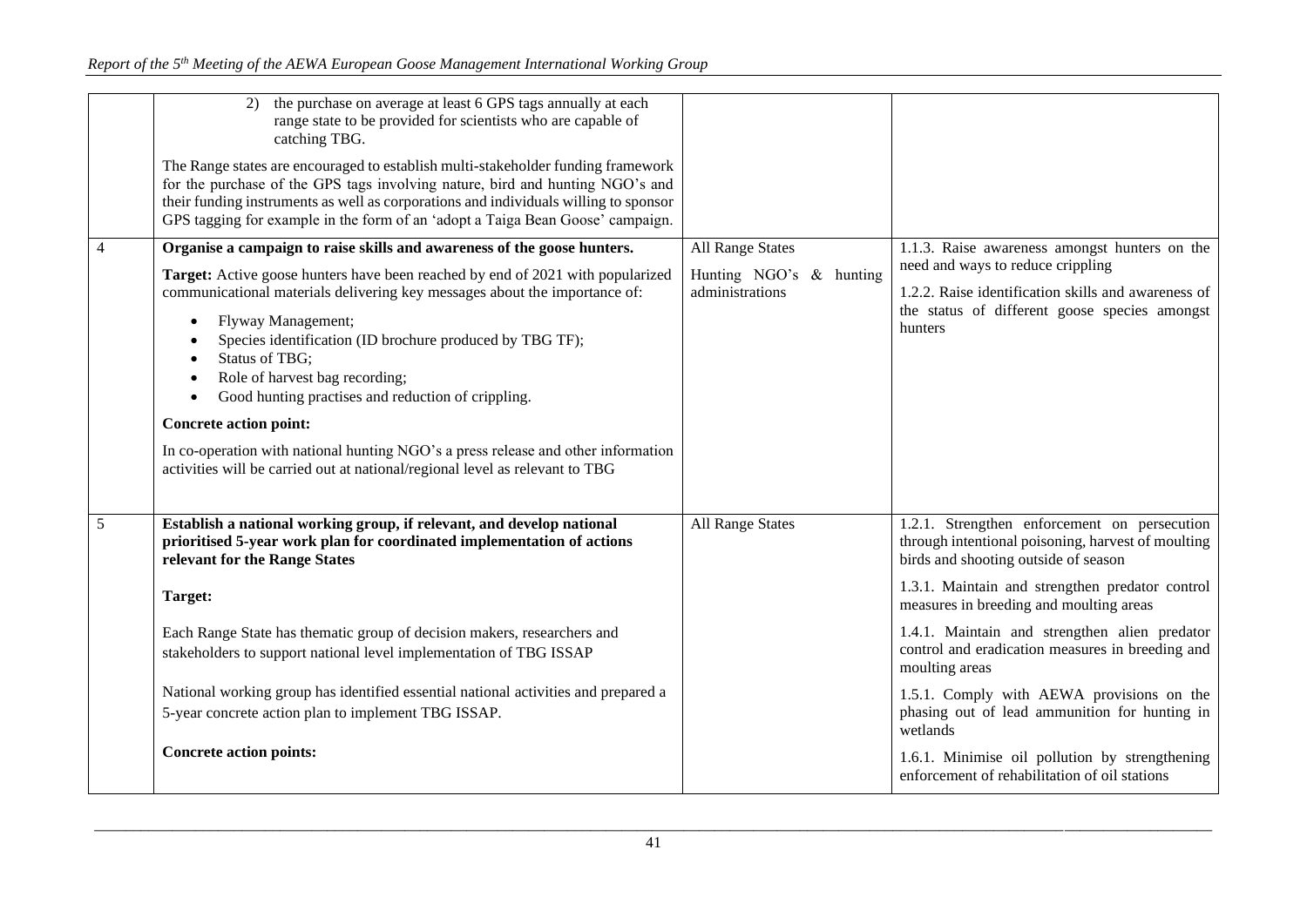|   | the purchase on average at least 6 GPS tags annually at each<br>2)<br>range state to be provided for scientists who are capable of<br>catching TBG.<br>The Range states are encouraged to establish multi-stakeholder funding framework<br>for the purchase of the GPS tags involving nature, bird and hunting NGO's and<br>their funding instruments as well as corporations and individuals willing to sponsor<br>GPS tagging for example in the form of an 'adopt a Taiga Bean Goose' campaign.<br>Organise a campaign to raise skills and awareness of the goose hunters.<br>Target: Active goose hunters have been reached by end of 2021 with popularized<br>communicational materials delivering key messages about the importance of:<br>Flyway Management;<br>$\bullet$<br>Species identification (ID brochure produced by TBG TF);<br><b>Status of TBG:</b><br>Role of harvest bag recording;<br>Good hunting practises and reduction of crippling.<br>$\bullet$<br><b>Concrete action point:</b><br>In co-operation with national hunting NGO's a press release and other information<br>activities will be carried out at national/regional level as relevant to TBG | All Range States<br>Hunting NGO's & hunting<br>administrations | 1.1.3. Raise awareness amongst hunters on the<br>need and ways to reduce crippling<br>1.2.2. Raise identification skills and awareness of<br>the status of different goose species amongst<br>hunters |
|---|----------------------------------------------------------------------------------------------------------------------------------------------------------------------------------------------------------------------------------------------------------------------------------------------------------------------------------------------------------------------------------------------------------------------------------------------------------------------------------------------------------------------------------------------------------------------------------------------------------------------------------------------------------------------------------------------------------------------------------------------------------------------------------------------------------------------------------------------------------------------------------------------------------------------------------------------------------------------------------------------------------------------------------------------------------------------------------------------------------------------------------------------------------------------------------|----------------------------------------------------------------|-------------------------------------------------------------------------------------------------------------------------------------------------------------------------------------------------------|
| 5 | Establish a national working group, if relevant, and develop national<br>prioritised 5-year work plan for coordinated implementation of actions<br>relevant for the Range States                                                                                                                                                                                                                                                                                                                                                                                                                                                                                                                                                                                                                                                                                                                                                                                                                                                                                                                                                                                                 | <b>All Range States</b>                                        | 1.2.1. Strengthen enforcement on persecution<br>through intentional poisoning, harvest of moulting<br>birds and shooting outside of season                                                            |
|   | Target:                                                                                                                                                                                                                                                                                                                                                                                                                                                                                                                                                                                                                                                                                                                                                                                                                                                                                                                                                                                                                                                                                                                                                                          |                                                                | 1.3.1. Maintain and strengthen predator control<br>measures in breeding and moulting areas                                                                                                            |
|   | Each Range State has thematic group of decision makers, researchers and                                                                                                                                                                                                                                                                                                                                                                                                                                                                                                                                                                                                                                                                                                                                                                                                                                                                                                                                                                                                                                                                                                          |                                                                | 1.4.1. Maintain and strengthen alien predator<br>control and eradication measures in breeding and                                                                                                     |
|   | stakeholders to support national level implementation of TBG ISSAP                                                                                                                                                                                                                                                                                                                                                                                                                                                                                                                                                                                                                                                                                                                                                                                                                                                                                                                                                                                                                                                                                                               |                                                                | moulting areas                                                                                                                                                                                        |
|   | National working group has identified essential national activities and prepared a                                                                                                                                                                                                                                                                                                                                                                                                                                                                                                                                                                                                                                                                                                                                                                                                                                                                                                                                                                                                                                                                                               |                                                                | 1.5.1. Comply with AEWA provisions on the                                                                                                                                                             |
|   | 5-year concrete action plan to implement TBG ISSAP.                                                                                                                                                                                                                                                                                                                                                                                                                                                                                                                                                                                                                                                                                                                                                                                                                                                                                                                                                                                                                                                                                                                              |                                                                | phasing out of lead ammunition for hunting in<br>wetlands                                                                                                                                             |
|   | <b>Concrete action points:</b>                                                                                                                                                                                                                                                                                                                                                                                                                                                                                                                                                                                                                                                                                                                                                                                                                                                                                                                                                                                                                                                                                                                                                   |                                                                | 1.6.1. Minimise oil pollution by strengthening<br>enforcement of rehabilitation of oil stations                                                                                                       |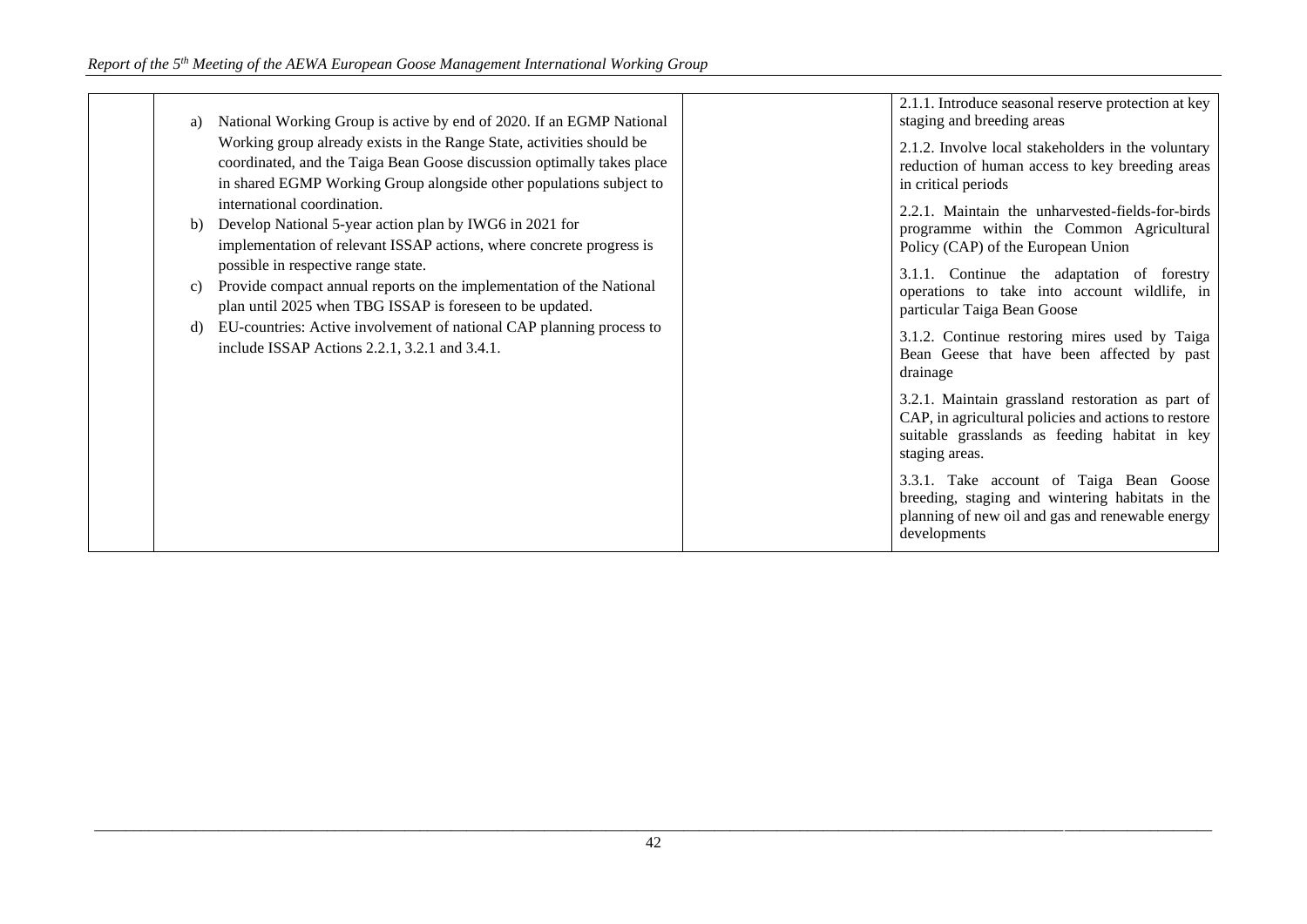| a) | National Working Group is active by end of 2020. If an EGMP National                                                                                                                                                                                                          | 2.1.1. Introduce seasonal reserve protection at key<br>staging and breeding areas                                                                                                                                                |
|----|-------------------------------------------------------------------------------------------------------------------------------------------------------------------------------------------------------------------------------------------------------------------------------|----------------------------------------------------------------------------------------------------------------------------------------------------------------------------------------------------------------------------------|
|    | Working group already exists in the Range State, activities should be<br>coordinated, and the Taiga Bean Goose discussion optimally takes place<br>in shared EGMP Working Group alongside other populations subject to                                                        | 2.1.2. Involve local stakeholders in the voluntary<br>reduction of human access to key breeding areas<br>in critical periods                                                                                                     |
| C) | international coordination.<br>Develop National 5-year action plan by IWG6 in 2021 for<br>implementation of relevant ISSAP actions, where concrete progress is<br>possible in respective range state.<br>Provide compact annual reports on the implementation of the National | 2.2.1. Maintain the unharvested-fields-for-birds<br>programme within the Common Agricultural<br>Policy (CAP) of the European Union<br>3.1.1. Continue the adaptation of forestry<br>operations to take into account wildlife, in |
| d) | plan until 2025 when TBG ISSAP is foreseen to be updated.<br>EU-countries: Active involvement of national CAP planning process to<br>include ISSAP Actions 2.2.1, 3.2.1 and 3.4.1.                                                                                            | particular Taiga Bean Goose<br>3.1.2. Continue restoring mires used by Taiga<br>Bean Geese that have been affected by past<br>drainage                                                                                           |
|    |                                                                                                                                                                                                                                                                               | 3.2.1. Maintain grassland restoration as part of<br>CAP, in agricultural policies and actions to restore<br>suitable grasslands as feeding habitat in key<br>staging areas.                                                      |
|    |                                                                                                                                                                                                                                                                               | 3.3.1. Take account of Taiga Bean Goose<br>breeding, staging and wintering habitats in the<br>planning of new oil and gas and renewable energy<br>developments                                                                   |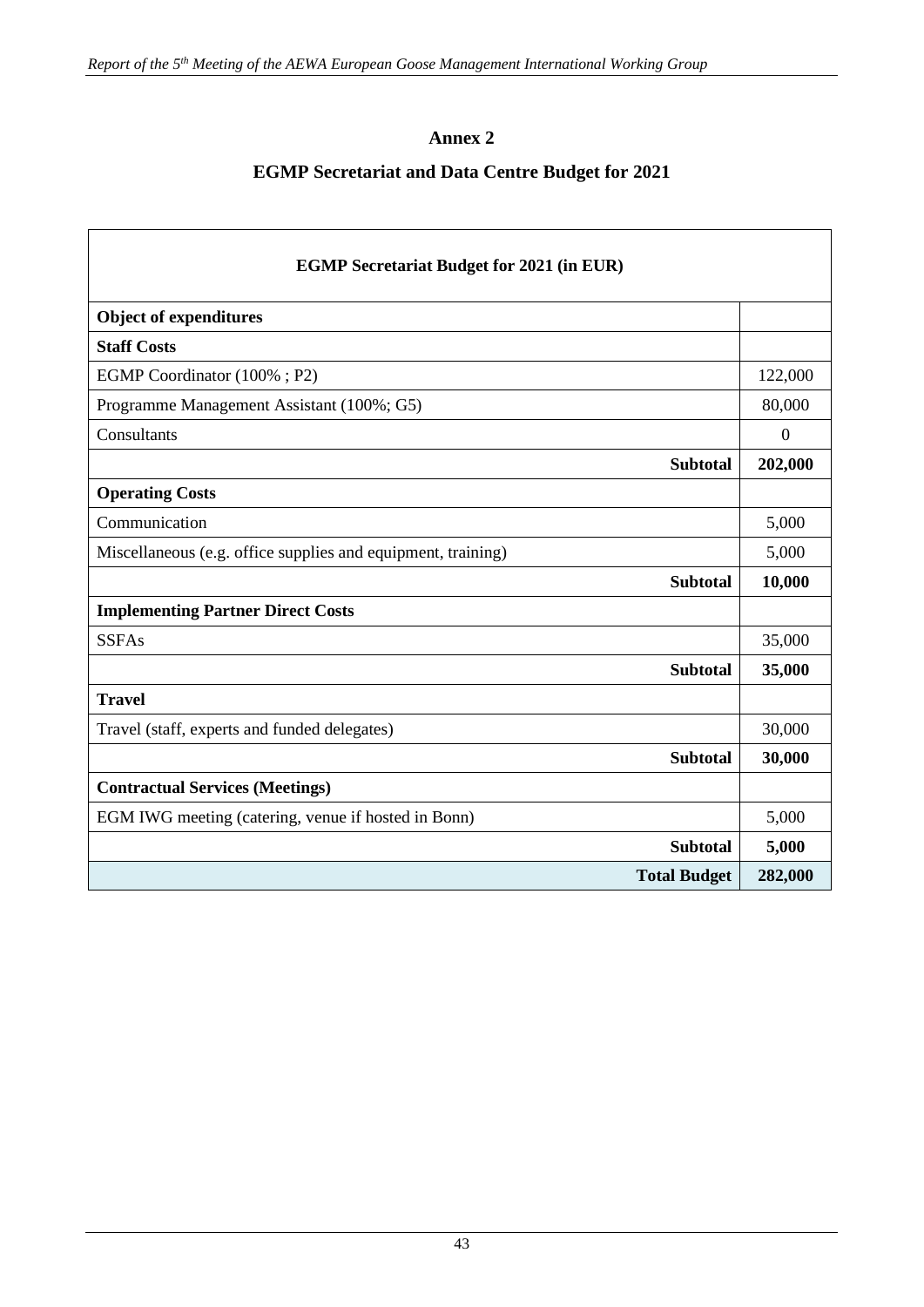$\overline{1}$ 

# **Annex 2**

# **EGMP Secretariat and Data Centre Budget for 2021**

٦

| <b>EGMP Secretariat Budget for 2021 (in EUR)</b>             |                  |  |  |  |
|--------------------------------------------------------------|------------------|--|--|--|
| <b>Object of expenditures</b>                                |                  |  |  |  |
| <b>Staff Costs</b>                                           |                  |  |  |  |
| EGMP Coordinator (100%; P2)                                  | 122,000          |  |  |  |
| Programme Management Assistant (100%; G5)                    | 80,000           |  |  |  |
| Consultants                                                  | $\boldsymbol{0}$ |  |  |  |
| <b>Subtotal</b>                                              | 202,000          |  |  |  |
| <b>Operating Costs</b>                                       |                  |  |  |  |
| Communication                                                | 5,000            |  |  |  |
| Miscellaneous (e.g. office supplies and equipment, training) | 5,000            |  |  |  |
| <b>Subtotal</b>                                              | 10,000           |  |  |  |
| <b>Implementing Partner Direct Costs</b>                     |                  |  |  |  |
| <b>SSFAs</b>                                                 | 35,000           |  |  |  |
| <b>Subtotal</b>                                              | 35,000           |  |  |  |
| <b>Travel</b>                                                |                  |  |  |  |
| Travel (staff, experts and funded delegates)                 | 30,000           |  |  |  |
| <b>Subtotal</b>                                              | 30,000           |  |  |  |
| <b>Contractual Services (Meetings)</b>                       |                  |  |  |  |
| EGM IWG meeting (catering, venue if hosted in Bonn)          | 5,000            |  |  |  |
| <b>Subtotal</b>                                              | 5,000            |  |  |  |
| <b>Total Budget</b>                                          | 282,000          |  |  |  |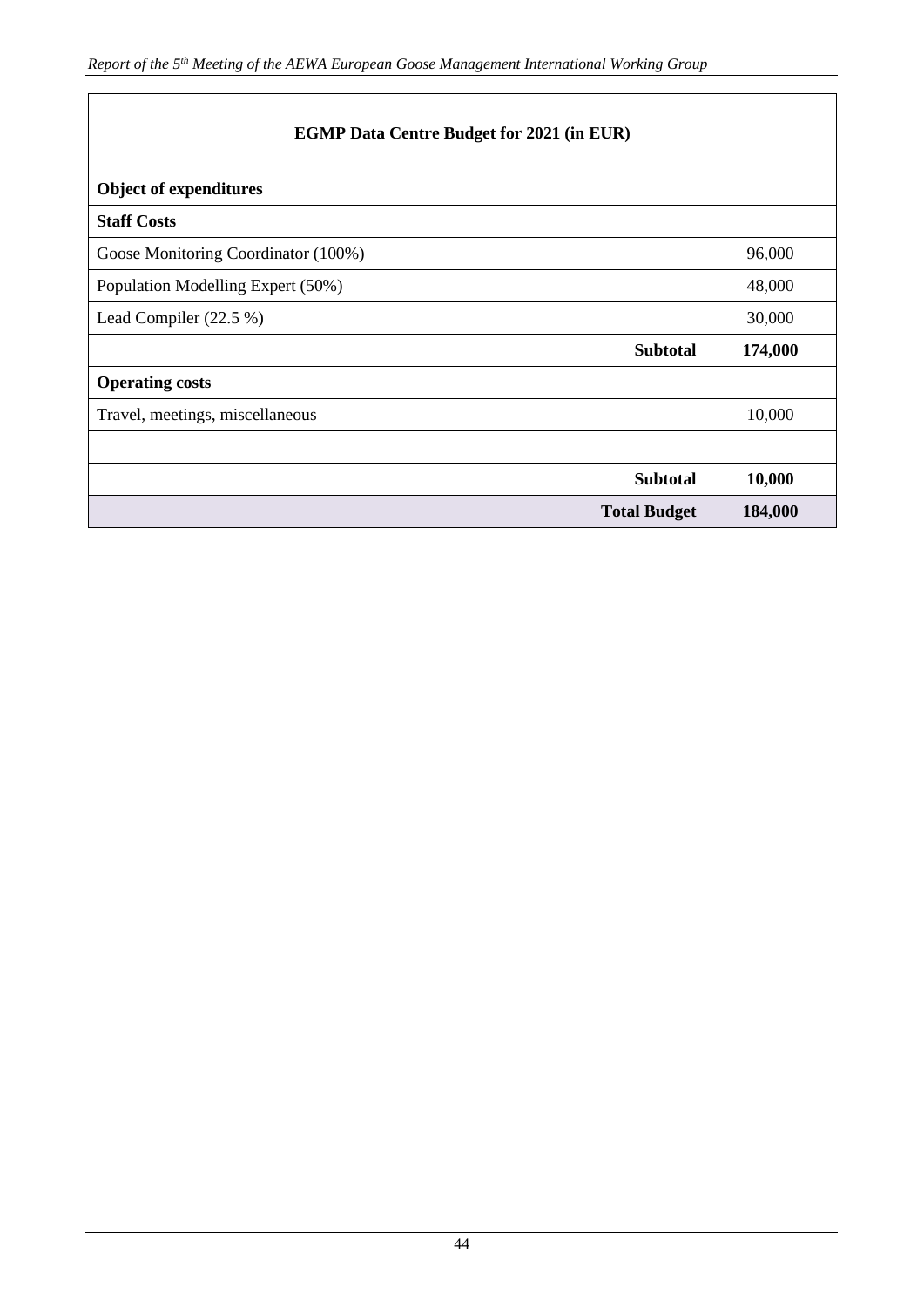|  |  |  |  |  |  | <b>EGMP Data Centre Budget for 2021 (in EUR)</b> |
|--|--|--|--|--|--|--------------------------------------------------|
|--|--|--|--|--|--|--------------------------------------------------|

| <b>Object of expenditures</b>       |         |
|-------------------------------------|---------|
| <b>Staff Costs</b>                  |         |
| Goose Monitoring Coordinator (100%) | 96,000  |
| Population Modelling Expert (50%)   | 48,000  |
| Lead Compiler (22.5 %)              | 30,000  |
| <b>Subtotal</b>                     | 174,000 |
| <b>Operating costs</b>              |         |
| Travel, meetings, miscellaneous     | 10,000  |
|                                     |         |
|                                     |         |
| <b>Subtotal</b>                     | 10,000  |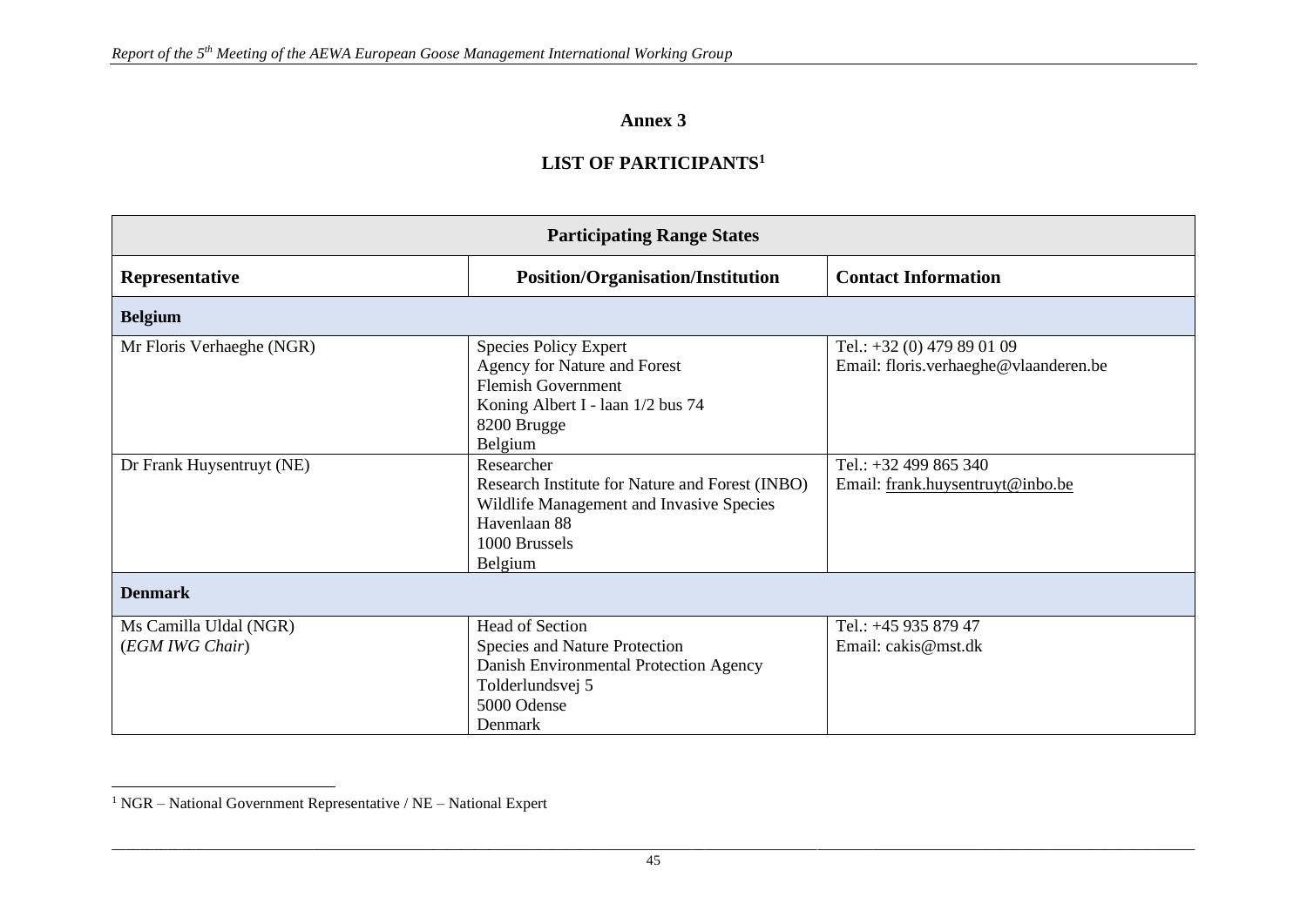# **Annex 3**

# **LIST OF PARTICIPANTS<sup>1</sup>**

| <b>Participating Range States</b>         |                                                                                                                                                          |                                                                     |  |  |
|-------------------------------------------|----------------------------------------------------------------------------------------------------------------------------------------------------------|---------------------------------------------------------------------|--|--|
| Representative                            | Position/Organisation/Institution                                                                                                                        | <b>Contact Information</b>                                          |  |  |
| <b>Belgium</b>                            |                                                                                                                                                          |                                                                     |  |  |
| Mr Floris Verhaeghe (NGR)                 | <b>Species Policy Expert</b><br>Agency for Nature and Forest<br><b>Flemish Government</b><br>Koning Albert I - laan 1/2 bus 74<br>8200 Brugge<br>Belgium | Tel.: +32 (0) 479 89 01 09<br>Email: floris.verhaeghe@vlaanderen.be |  |  |
| Dr Frank Huysentruyt (NE)                 | Researcher<br>Research Institute for Nature and Forest (INBO)<br>Wildlife Management and Invasive Species<br>Havenlaan 88<br>1000 Brussels<br>Belgium    | Tel.: +32 499 865 340<br>Email: frank.huysentruyt@inbo.be           |  |  |
| <b>Denmark</b>                            |                                                                                                                                                          |                                                                     |  |  |
| Ms Camilla Uldal (NGR)<br>(EGM IWG Chair) | <b>Head of Section</b><br><b>Species and Nature Protection</b><br>Danish Environmental Protection Agency<br>Tolderlundsvej 5<br>5000 Odense<br>Denmark   | Tel.: +45 935 879 47<br>Email: cakis@mst.dk                         |  |  |

<sup>1</sup> NGR – National Government Representative / NE – National Expert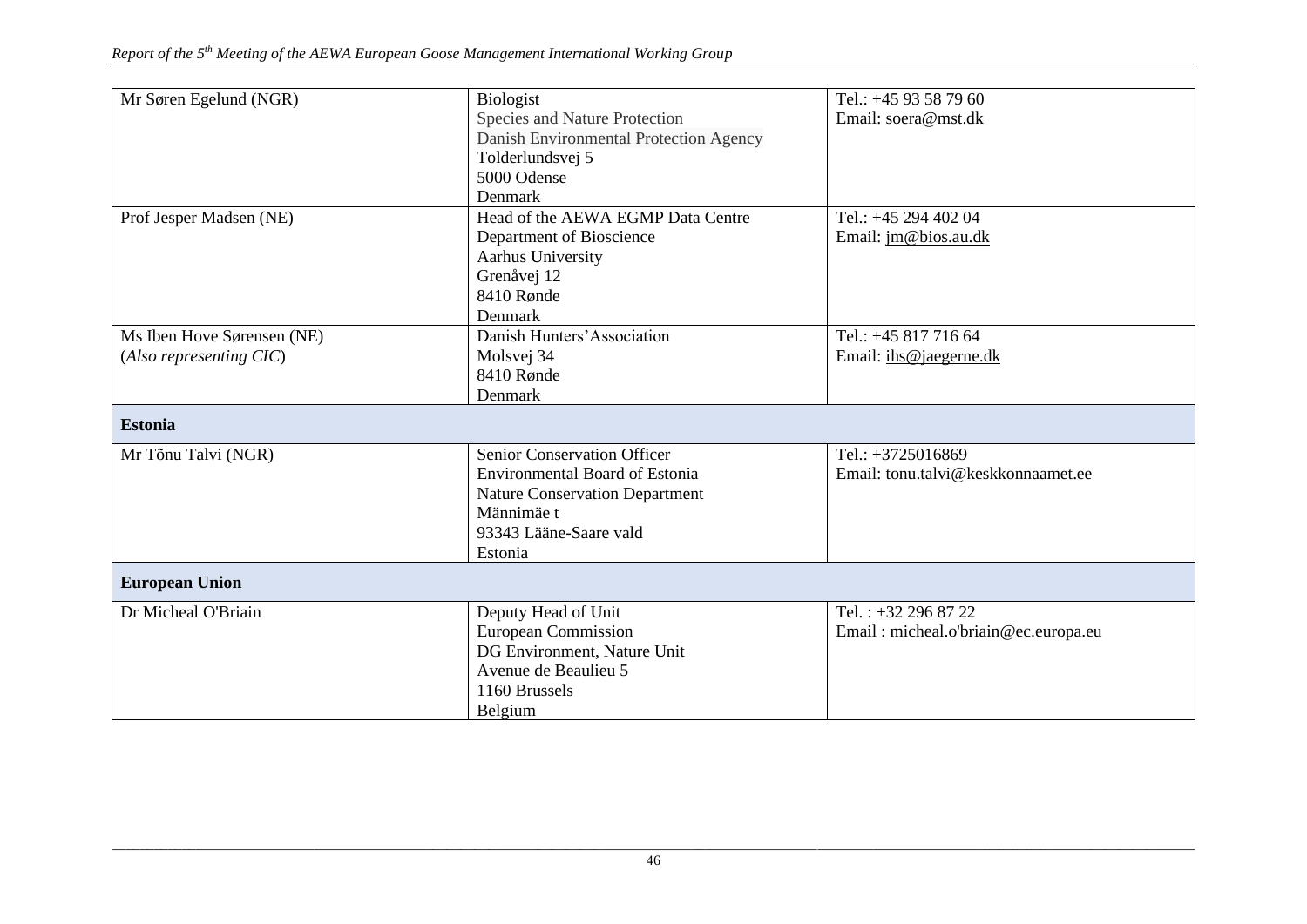| Mr Søren Egelund (NGR)     | Biologist                              | Tel.: +45 93 58 79 60                |
|----------------------------|----------------------------------------|--------------------------------------|
|                            | Species and Nature Protection          | Email: soera@mst.dk                  |
|                            | Danish Environmental Protection Agency |                                      |
|                            | Tolderlundsvej 5                       |                                      |
|                            | 5000 Odense                            |                                      |
|                            | Denmark                                |                                      |
| Prof Jesper Madsen (NE)    | Head of the AEWA EGMP Data Centre      | Tel.: +45 294 402 04                 |
|                            | Department of Bioscience               | Email: jm@bios.au.dk                 |
|                            | Aarhus University                      |                                      |
|                            | Grenåvej 12                            |                                      |
|                            | 8410 Rønde                             |                                      |
|                            | Denmark                                |                                      |
| Ms Iben Hove Sørensen (NE) | Danish Hunters' Association            | Tel.: +45 817 716 64                 |
| (Also representing CIC)    | Molsvej 34                             | Email: ihs@jaegerne.dk               |
|                            | 8410 Rønde                             |                                      |
|                            | Denmark                                |                                      |
| <b>Estonia</b>             |                                        |                                      |
| Mr Tõnu Talvi (NGR)        | <b>Senior Conservation Officer</b>     | Tel.: +3725016869                    |
|                            | <b>Environmental Board of Estonia</b>  | Email: tonu.talvi@keskkonnaamet.ee   |
|                            | <b>Nature Conservation Department</b>  |                                      |
|                            | Männimäe t                             |                                      |
|                            | 93343 Lääne-Saare vald                 |                                      |
|                            | Estonia                                |                                      |
| <b>European Union</b>      |                                        |                                      |
| Dr Micheal O'Briain        | Deputy Head of Unit                    | Tel.: $+32$ 296 87 22                |
|                            | <b>European Commission</b>             | Email: micheal.o'briain@ec.europa.eu |
|                            | DG Environment, Nature Unit            |                                      |
|                            | Avenue de Beaulieu 5                   |                                      |
|                            | 1160 Brussels                          |                                      |
|                            | Belgium                                |                                      |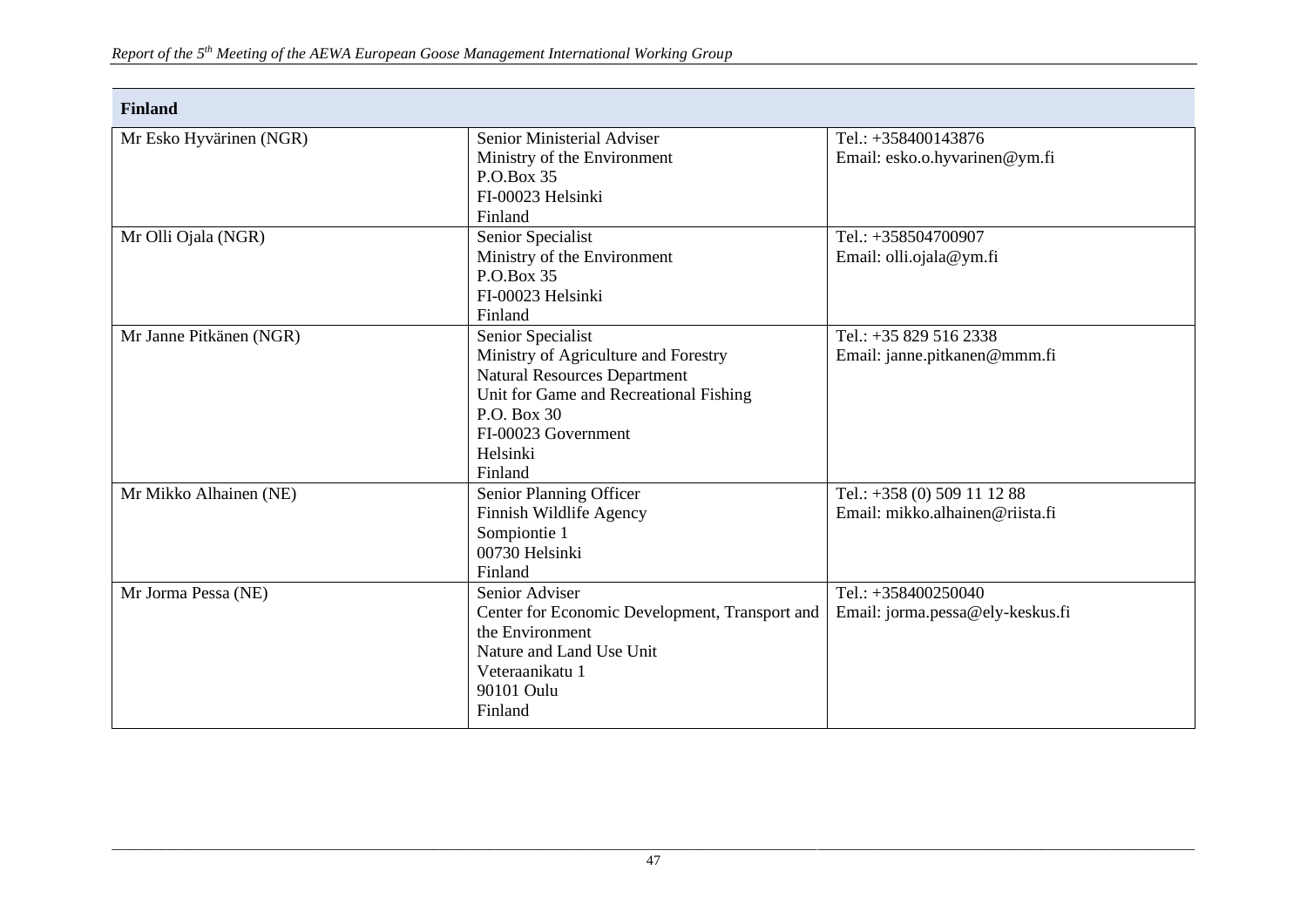| <b>Finland</b>          |                                                |                                  |
|-------------------------|------------------------------------------------|----------------------------------|
| Mr Esko Hyvärinen (NGR) | Senior Ministerial Adviser                     | Tel.: $+358400143876$            |
|                         | Ministry of the Environment                    | Email: esko.o.hyvarinen@ym.fi    |
|                         | P.O.Box 35                                     |                                  |
|                         | FI-00023 Helsinki                              |                                  |
|                         | Finland                                        |                                  |
| Mr Olli Ojala (NGR)     | Senior Specialist                              | Tel.: $+358504700907$            |
|                         | Ministry of the Environment                    | Email: olli.ojala@ym.fi          |
|                         | P.O.Box 35                                     |                                  |
|                         | FI-00023 Helsinki                              |                                  |
|                         | Finland                                        |                                  |
| Mr Janne Pitkänen (NGR) | Senior Specialist                              | Tel.: +35 829 516 2338           |
|                         | Ministry of Agriculture and Forestry           | Email: janne.pitkanen@mmm.fi     |
|                         | <b>Natural Resources Department</b>            |                                  |
|                         | Unit for Game and Recreational Fishing         |                                  |
|                         | P.O. Box 30                                    |                                  |
|                         | FI-00023 Government                            |                                  |
|                         | Helsinki                                       |                                  |
|                         | Finland                                        |                                  |
| Mr Mikko Alhainen (NE)  | Senior Planning Officer                        | Tel.: +358 (0) 509 11 12 88      |
|                         | Finnish Wildlife Agency                        | Email: mikko.alhainen@riista.fi  |
|                         | Sompiontie 1                                   |                                  |
|                         | 00730 Helsinki                                 |                                  |
|                         | Finland                                        |                                  |
| Mr Jorma Pessa (NE)     | Senior Adviser                                 | Tel.: $+358400250040$            |
|                         | Center for Economic Development, Transport and | Email: jorma.pessa@ely-keskus.fi |
|                         | the Environment                                |                                  |
|                         | Nature and Land Use Unit                       |                                  |
|                         | Veteraanikatu 1                                |                                  |
|                         | 90101 Oulu                                     |                                  |
|                         | Finland                                        |                                  |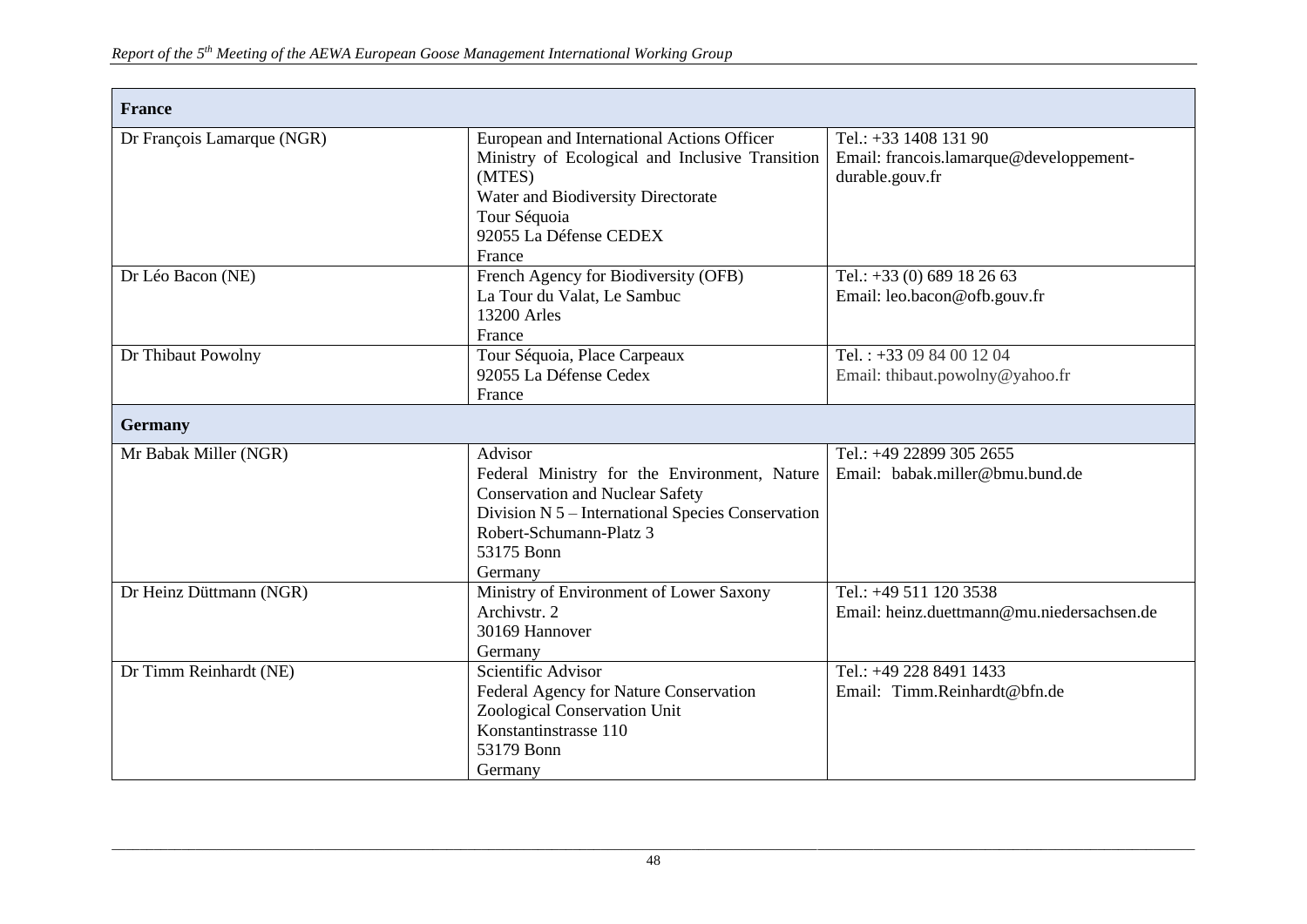| <b>France</b>              |                                                                                                                                                                                                            |                                                                                     |
|----------------------------|------------------------------------------------------------------------------------------------------------------------------------------------------------------------------------------------------------|-------------------------------------------------------------------------------------|
| Dr François Lamarque (NGR) | European and International Actions Officer<br>Ministry of Ecological and Inclusive Transition<br>(MTES)<br>Water and Biodiversity Directorate<br>Tour Séquoia<br>92055 La Défense CEDEX<br>France          | Tel.: +33 1408 131 90<br>Email: francois.lamarque@developpement-<br>durable.gouv.fr |
| Dr Léo Bacon (NE)          | French Agency for Biodiversity (OFB)<br>La Tour du Valat, Le Sambuc<br>13200 Arles<br>France                                                                                                               | Tel.: $+33(0)$ 689 18 26 63<br>Email: leo.bacon@ofb.gouv.fr                         |
| Dr Thibaut Powolny         | Tour Séquoia, Place Carpeaux<br>92055 La Défense Cedex<br>France                                                                                                                                           | Tel.: $+330984001204$<br>Email: thibaut.powolny@yahoo.fr                            |
| <b>Germany</b>             |                                                                                                                                                                                                            |                                                                                     |
| Mr Babak Miller (NGR)      | Advisor<br>Federal Ministry for the Environment, Nature<br><b>Conservation and Nuclear Safety</b><br>Division N 5 - International Species Conservation<br>Robert-Schumann-Platz 3<br>53175 Bonn<br>Germany | Tel.: +49 22899 305 2655<br>Email: babak.miller@bmu.bund.de                         |
| Dr Heinz Düttmann (NGR)    | Ministry of Environment of Lower Saxony<br>Archivstr. 2<br>30169 Hannover<br>Germany                                                                                                                       | Tel.: +49 511 120 3538<br>Email: heinz.duettmann@mu.niedersachsen.de                |
| Dr Timm Reinhardt (NE)     | Scientific Advisor<br>Federal Agency for Nature Conservation<br>Zoological Conservation Unit<br>Konstantinstrasse 110<br>53179 Bonn<br>Germany                                                             | Tel.: +49 228 8491 1433<br>Email: Timm.Reinhardt@bfn.de                             |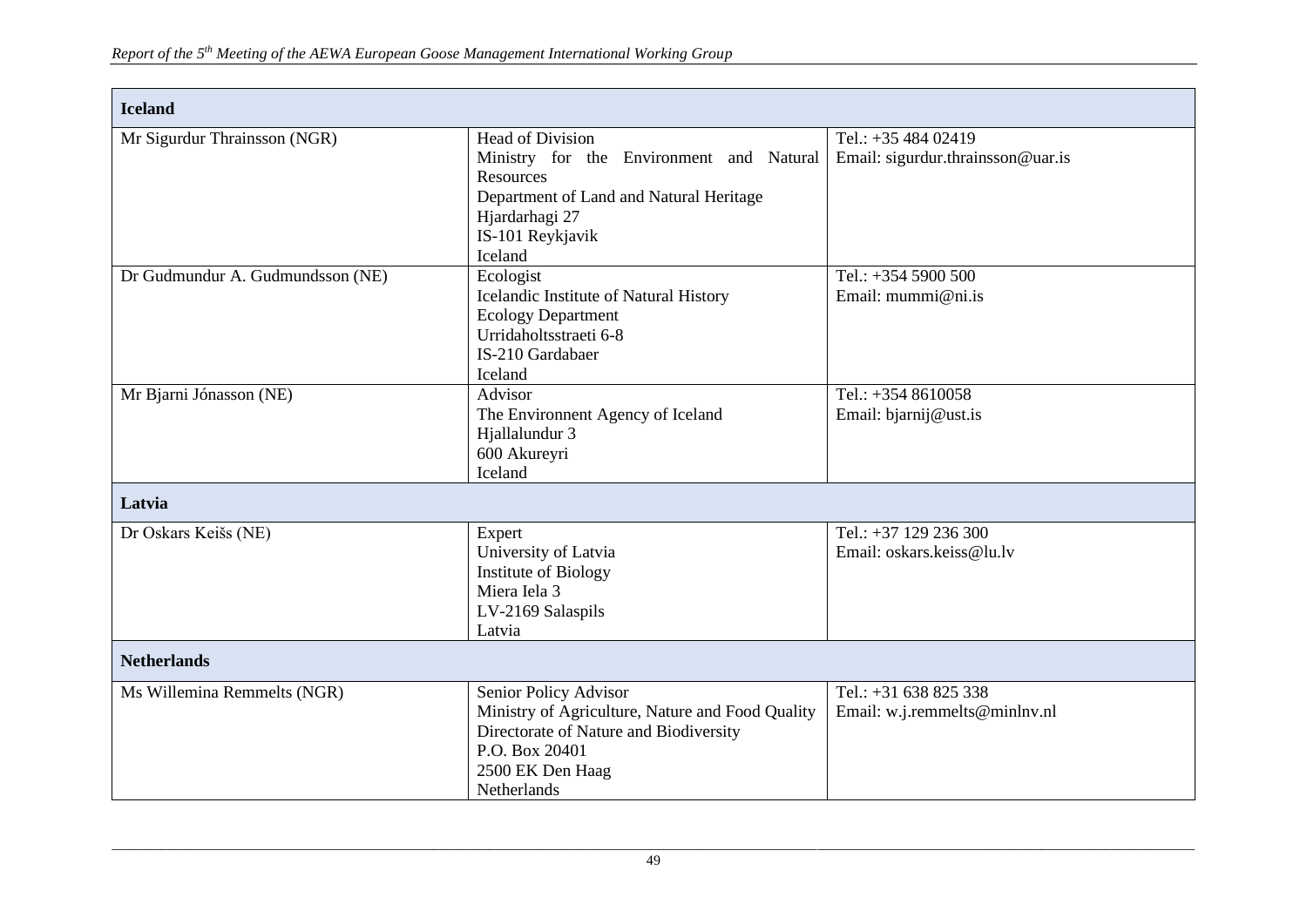| <b>Iceland</b>                   |                                                                                                                                                                                 |                                                          |
|----------------------------------|---------------------------------------------------------------------------------------------------------------------------------------------------------------------------------|----------------------------------------------------------|
| Mr Sigurdur Thrainsson (NGR)     | <b>Head of Division</b><br>Ministry for the Environment and Natural<br>Resources<br>Department of Land and Natural Heritage<br>Hjardarhagi 27<br>IS-101 Reykjavik<br>Iceland    | Tel.: $+3548402419$<br>Email: sigurdur.thrainsson@uar.is |
| Dr Gudmundur A. Gudmundsson (NE) | Ecologist<br>Icelandic Institute of Natural History<br><b>Ecology Department</b><br>Urridaholtsstraeti 6-8<br>IS-210 Gardabaer<br>Iceland                                       | Tel.: +354 5900 500<br>Email: $mummi@ni.is$              |
| Mr Bjarni Jónasson (NE)          | Advisor<br>The Environment Agency of Iceland<br>Hjallalundur 3<br>600 Akureyri<br>Iceland                                                                                       | Tel.: $+3548610058$<br>Email: bjarnij@ust.is             |
| Latvia                           |                                                                                                                                                                                 |                                                          |
| Dr Oskars Keišs (NE)             | Expert<br>University of Latvia<br><b>Institute of Biology</b><br>Miera Iela 3<br>LV-2169 Salaspils<br>Latvia                                                                    | Tel.: $+37$ 129 236 300<br>Email: oskars.keiss@lu.lv     |
| <b>Netherlands</b>               |                                                                                                                                                                                 |                                                          |
| Ms Willemina Remmelts (NGR)      | Senior Policy Advisor<br>Ministry of Agriculture, Nature and Food Quality<br>Directorate of Nature and Biodiversity<br>P.O. Box 20401<br>2500 EK Den Haag<br><b>Netherlands</b> | Tel.: $+31$ 638 825 338<br>Email: w.j.remmelts@minlnv.nl |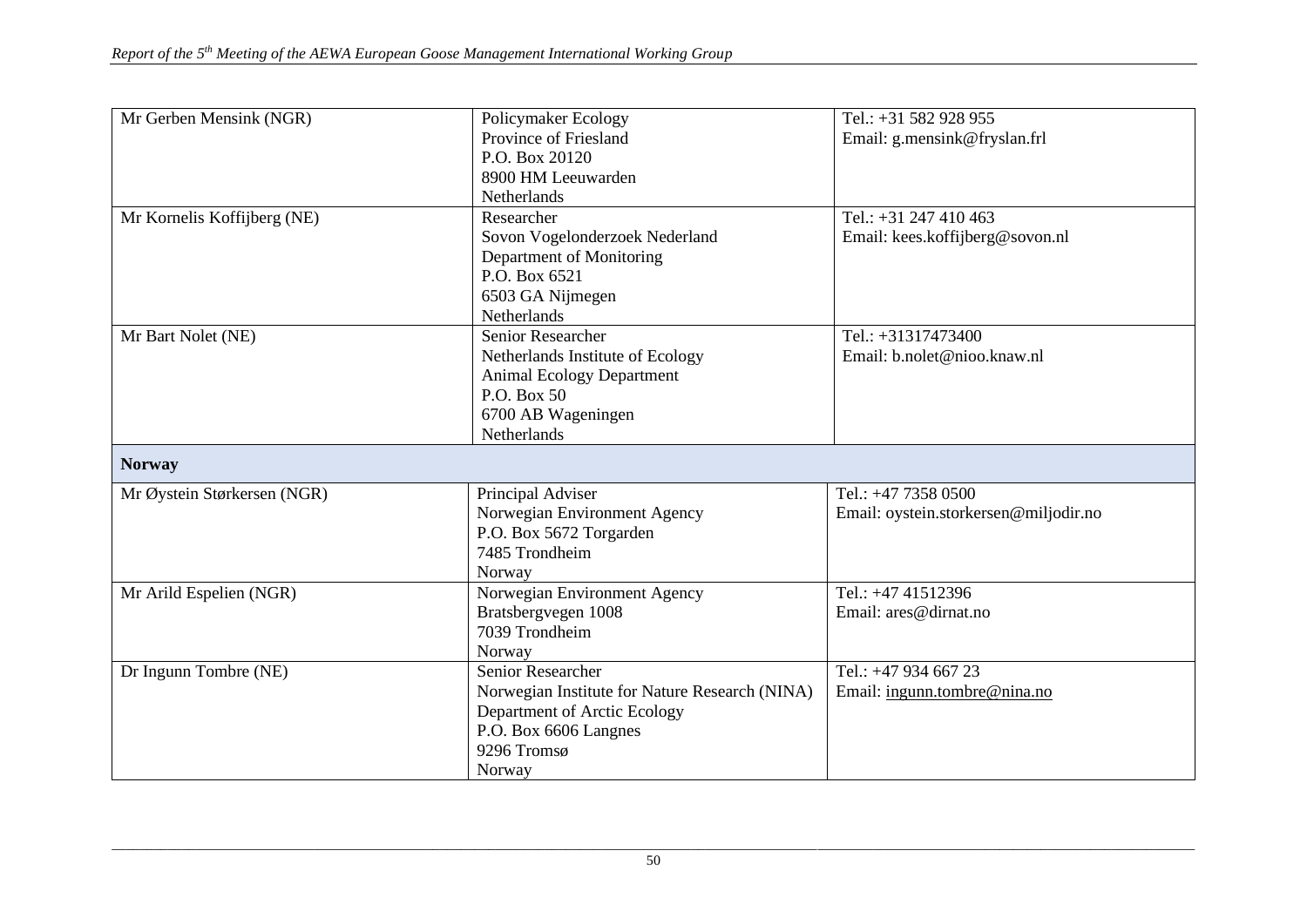| Mr Gerben Mensink (NGR)     |                                                | Tel.: +31 582 928 955                 |
|-----------------------------|------------------------------------------------|---------------------------------------|
|                             | Policymaker Ecology<br>Province of Friesland   |                                       |
|                             |                                                | Email: g.mensink@fryslan.frl          |
|                             | P.O. Box 20120                                 |                                       |
|                             | 8900 HM Leeuwarden                             |                                       |
|                             | Netherlands                                    |                                       |
| Mr Kornelis Koffijberg (NE) | Researcher                                     | Tel.: $+31$ 247 410 463               |
|                             | Sovon Vogelonderzoek Nederland                 | Email: kees.koffijberg@sovon.nl       |
|                             | Department of Monitoring                       |                                       |
|                             | P.O. Box 6521                                  |                                       |
|                             | 6503 GA Nijmegen                               |                                       |
|                             | Netherlands                                    |                                       |
| Mr Bart Nolet (NE)          | Senior Researcher                              | Tel.: $+31317473400$                  |
|                             | Netherlands Institute of Ecology               | Email: b.nolet@nioo.knaw.nl           |
|                             | <b>Animal Ecology Department</b>               |                                       |
|                             | P.O. Box 50                                    |                                       |
|                             | 6700 AB Wageningen                             |                                       |
|                             | Netherlands                                    |                                       |
| <b>Norway</b>               |                                                |                                       |
| Mr Øystein Størkersen (NGR) | Principal Adviser                              | Tel.: +47 7358 0500                   |
|                             | Norwegian Environment Agency                   | Email: oystein.storkersen@miljodir.no |
|                             | P.O. Box 5672 Torgarden                        |                                       |
|                             | 7485 Trondheim                                 |                                       |
|                             | Norway                                         |                                       |
| Mr Arild Espelien (NGR)     | Norwegian Environment Agency                   | Tel.: +47 41512396                    |
|                             | Bratsbergvegen 1008                            | Email: ares@dirnat.no                 |
|                             | 7039 Trondheim                                 |                                       |
|                             | Norway                                         |                                       |
| Dr Ingunn Tombre (NE)       | <b>Senior Researcher</b>                       | Tel.: +47 934 667 23                  |
|                             | Norwegian Institute for Nature Research (NINA) | Email: ingunn.tombre@nina.no          |
|                             | Department of Arctic Ecology                   |                                       |
|                             | P.O. Box 6606 Langnes                          |                                       |
|                             |                                                |                                       |
|                             |                                                |                                       |
|                             | 9296 Tromsø<br>Norway                          |                                       |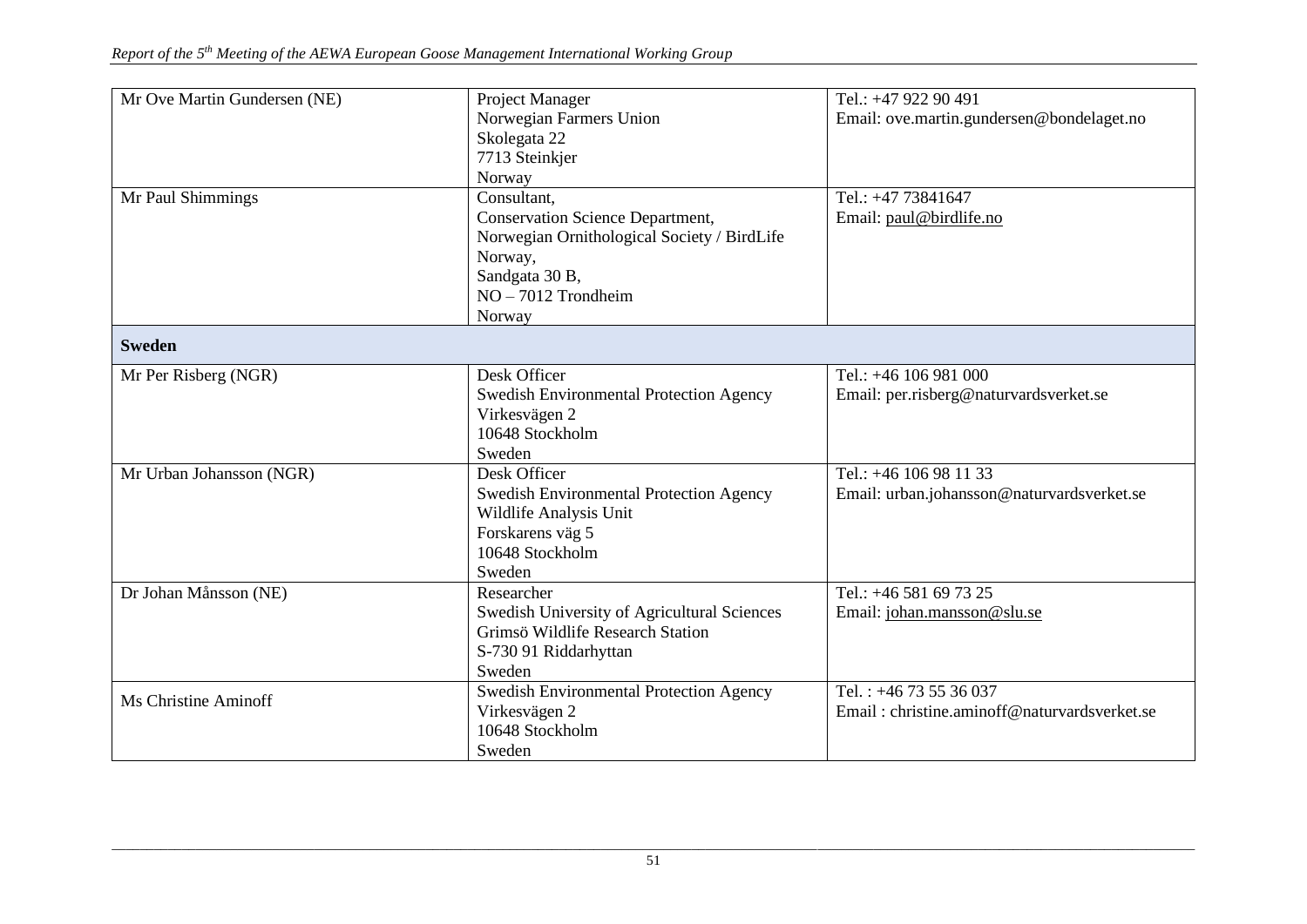| Mr Ove Martin Gundersen (NE)<br>Mr Paul Shimmings | Project Manager<br>Norwegian Farmers Union<br>Skolegata 22<br>7713 Steinkjer<br>Norway<br>Consultant,<br><b>Conservation Science Department,</b><br>Norwegian Ornithological Society / BirdLife | Tel.: +47 922 90 491<br>Email: ove.martin.gundersen@bondelaget.no<br>Tel.: +47 73841647<br>Email: paul@birdlife.no |
|---------------------------------------------------|-------------------------------------------------------------------------------------------------------------------------------------------------------------------------------------------------|--------------------------------------------------------------------------------------------------------------------|
|                                                   | Norway,<br>Sandgata 30 B,<br>$NO - 7012$ Trondheim<br>Norway                                                                                                                                    |                                                                                                                    |
| <b>Sweden</b>                                     |                                                                                                                                                                                                 |                                                                                                                    |
| Mr Per Risberg (NGR)                              | Desk Officer<br><b>Swedish Environmental Protection Agency</b><br>Virkesvägen 2<br>10648 Stockholm<br>Sweden                                                                                    | Tel.: +46 106 981 000<br>Email: per.risberg@naturvardsverket.se                                                    |
| Mr Urban Johansson (NGR)                          | Desk Officer<br><b>Swedish Environmental Protection Agency</b><br>Wildlife Analysis Unit<br>Forskarens väg 5<br>10648 Stockholm<br>Sweden                                                       | Tel.: +46 106 98 11 33<br>Email: urban.johansson@naturvardsverket.se                                               |
| Dr Johan Månsson (NE)                             | Researcher<br>Swedish University of Agricultural Sciences<br>Grimsö Wildlife Research Station<br>S-730 91 Riddarhyttan<br>Sweden                                                                | Tel.: +46 581 69 73 25<br>Email: johan.mansson@slu.se                                                              |
| Ms Christine Aminoff                              | Swedish Environmental Protection Agency<br>Virkesvägen 2<br>10648 Stockholm<br>Sweden                                                                                                           | Tel.: $+4673536037$<br>Email: christine.aminoff@naturvardsverket.se                                                |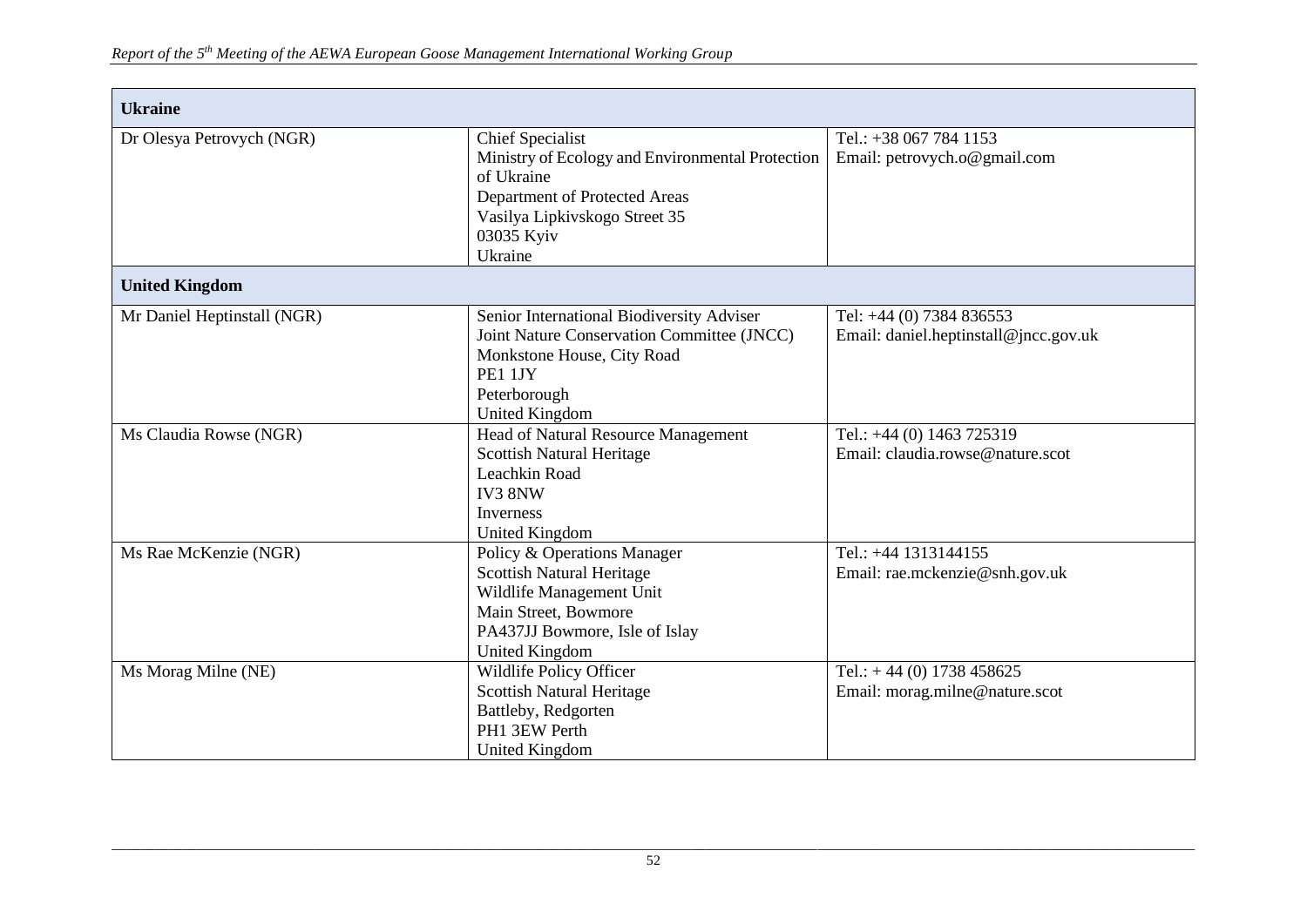| <b>Ukraine</b>              |                                                                                                                                                                                      |                                                                   |  |  |
|-----------------------------|--------------------------------------------------------------------------------------------------------------------------------------------------------------------------------------|-------------------------------------------------------------------|--|--|
| Dr Olesya Petrovych (NGR)   | <b>Chief Specialist</b><br>Ministry of Ecology and Environmental Protection<br>of Ukraine<br>Department of Protected Areas<br>Vasilya Lipkivskogo Street 35<br>03035 Kyiv<br>Ukraine | Tel.: +38 067 784 1153<br>Email: petrovych.o@gmail.com            |  |  |
| <b>United Kingdom</b>       |                                                                                                                                                                                      |                                                                   |  |  |
| Mr Daniel Heptinstall (NGR) | Senior International Biodiversity Adviser<br>Joint Nature Conservation Committee (JNCC)<br>Monkstone House, City Road<br>PE1 1JY<br>Peterborough<br><b>United Kingdom</b>            | Tel: +44 (0) 7384 836553<br>Email: daniel.heptinstall@jncc.gov.uk |  |  |
| Ms Claudia Rowse (NGR)      | Head of Natural Resource Management<br><b>Scottish Natural Heritage</b><br>Leachkin Road<br>IV3 8NW<br>Inverness<br><b>United Kingdom</b>                                            | Tel.: +44 (0) 1463 725319<br>Email: claudia.rowse@nature.scot     |  |  |
| Ms Rae McKenzie (NGR)       | Policy & Operations Manager<br>Scottish Natural Heritage<br>Wildlife Management Unit<br>Main Street, Bowmore<br>PA437JJ Bowmore, Isle of Islay<br><b>United Kingdom</b>              | Tel.: +44 1313144155<br>Email: rae.mckenzie@snh.gov.uk            |  |  |
| Ms Morag Milne (NE)         | Wildlife Policy Officer<br>Scottish Natural Heritage<br>Battleby, Redgorten<br>PH1 3EW Perth<br>United Kingdom                                                                       | Tel.: $+44(0)$ 1738 458625<br>Email: morag.milne@nature.scot      |  |  |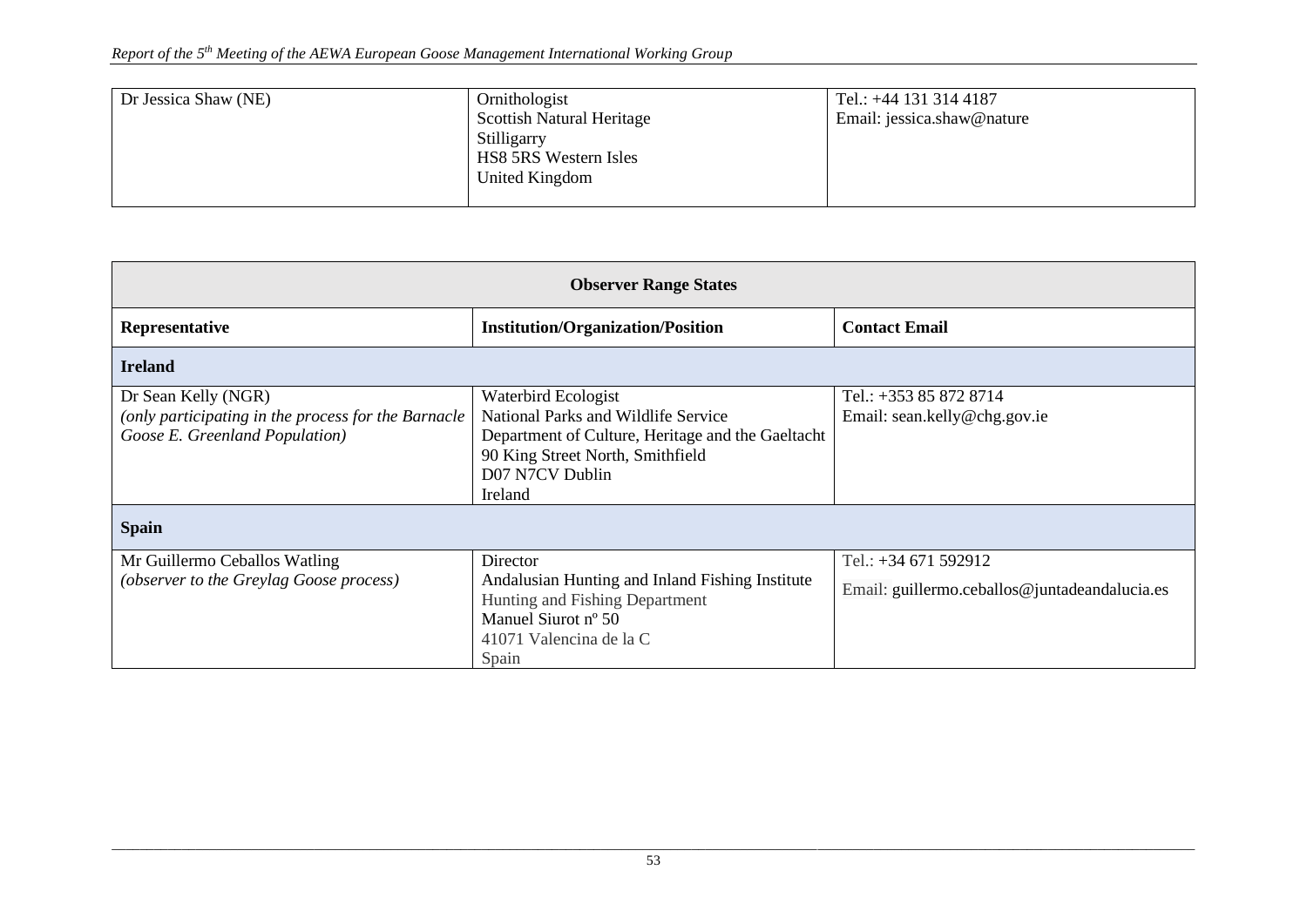| Dr Jessica Shaw (NE) | Ornithologist<br>Scottish Natural Heritage             | Tel.: +44 131 314 4187<br>Email: jessica.shaw@nature |
|----------------------|--------------------------------------------------------|------------------------------------------------------|
|                      | Stilligarry<br>HS8 5RS Western Isles<br>United Kingdom |                                                      |

| <b>Observer Range States</b>                                                                                 |                                                                                                                                                                                          |                                                                       |  |
|--------------------------------------------------------------------------------------------------------------|------------------------------------------------------------------------------------------------------------------------------------------------------------------------------------------|-----------------------------------------------------------------------|--|
| Representative                                                                                               | <b>Institution/Organization/Position</b>                                                                                                                                                 | <b>Contact Email</b>                                                  |  |
| <b>Ireland</b>                                                                                               |                                                                                                                                                                                          |                                                                       |  |
| Dr Sean Kelly (NGR)<br>(only participating in the process for the Barnacle<br>Goose E. Greenland Population) | Waterbird Ecologist<br><b>National Parks and Wildlife Service</b><br>Department of Culture, Heritage and the Gaeltacht<br>90 King Street North, Smithfield<br>D07 N7CV Dublin<br>Ireland | Tel.: +353 85 872 8714<br>Email: sean.kelly@chg.gov.ie                |  |
| <b>Spain</b>                                                                                                 |                                                                                                                                                                                          |                                                                       |  |
| Mr Guillermo Ceballos Watling<br>(observer to the Greylag Goose process)                                     | Director<br>Andalusian Hunting and Inland Fishing Institute<br>Hunting and Fishing Department<br>Manuel Siurot nº 50<br>41071 Valencina de la C<br>Spain                                 | Tel.: +34 671 592912<br>Email: guillermo.ceballos@juntadeandalucia.es |  |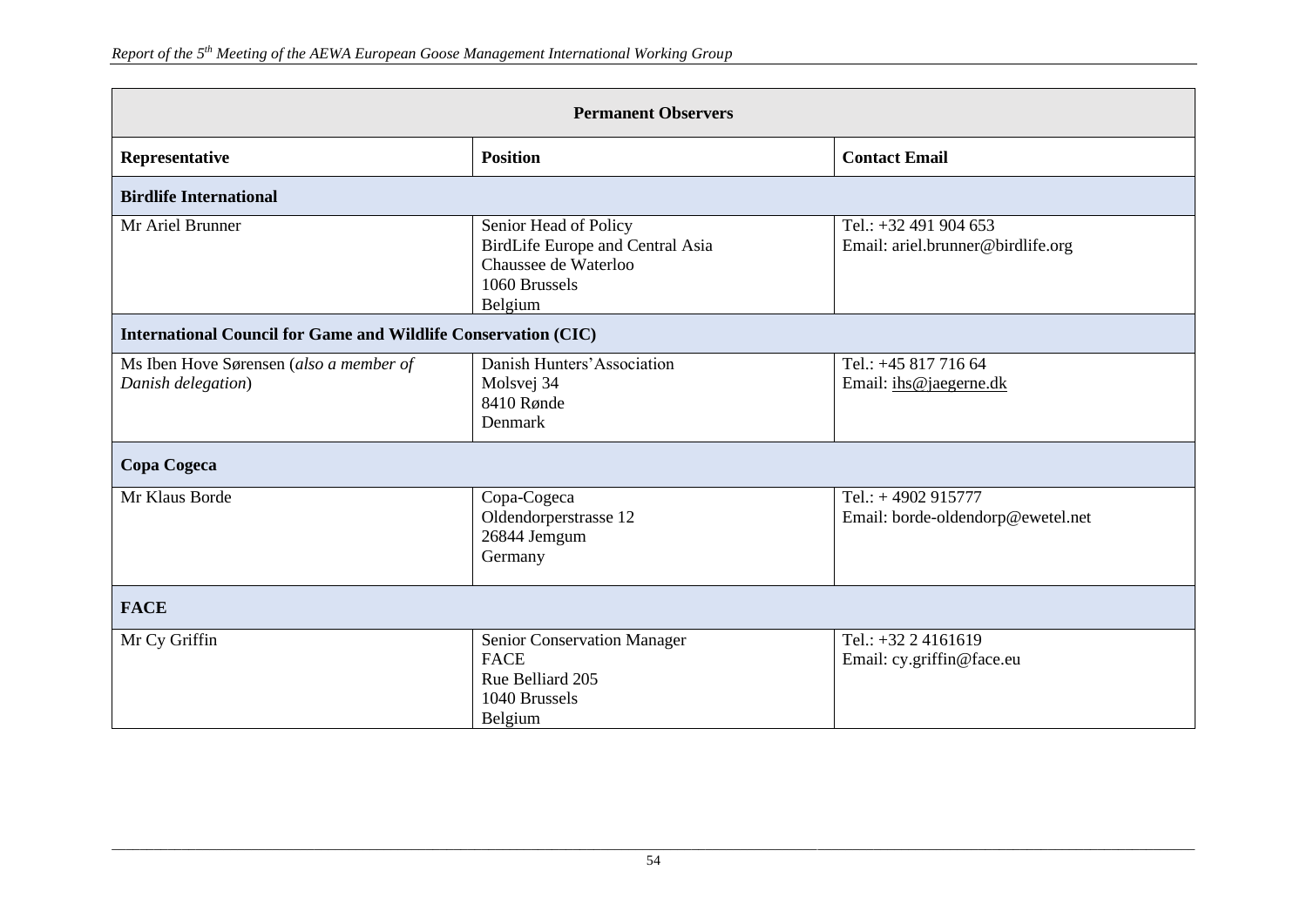| <b>Permanent Observers</b>                                            |                                                                                                               |                                                            |  |
|-----------------------------------------------------------------------|---------------------------------------------------------------------------------------------------------------|------------------------------------------------------------|--|
| Representative                                                        | <b>Position</b>                                                                                               | <b>Contact Email</b>                                       |  |
| <b>Birdlife International</b>                                         |                                                                                                               |                                                            |  |
| Mr Ariel Brunner                                                      | Senior Head of Policy<br>BirdLife Europe and Central Asia<br>Chaussee de Waterloo<br>1060 Brussels<br>Belgium | Tel.: +32 491 904 653<br>Email: ariel.brunner@birdlife.org |  |
| <b>International Council for Game and Wildlife Conservation (CIC)</b> |                                                                                                               |                                                            |  |
| Ms Iben Hove Sørensen (also a member of<br>Danish delegation)         | Danish Hunters' Association<br>Molsvej 34<br>8410 Rønde<br>Denmark                                            | Tel.: +45 817 716 64<br>Email: ihs@jaegerne.dk             |  |
| Copa Cogeca                                                           |                                                                                                               |                                                            |  |
| Mr Klaus Borde                                                        | Copa-Cogeca<br>Oldendorperstrasse 12<br>26844 Jemgum<br>Germany                                               | Tel.: $+4902915777$<br>Email: borde-oldendorp@ewetel.net   |  |
| <b>FACE</b>                                                           |                                                                                                               |                                                            |  |
| Mr Cy Griffin                                                         | Senior Conservation Manager<br><b>FACE</b><br>Rue Belliard 205<br>1040 Brussels<br>Belgium                    | Tel.: $+32$ 2 4161619<br>Email: cy.griffin@face.eu         |  |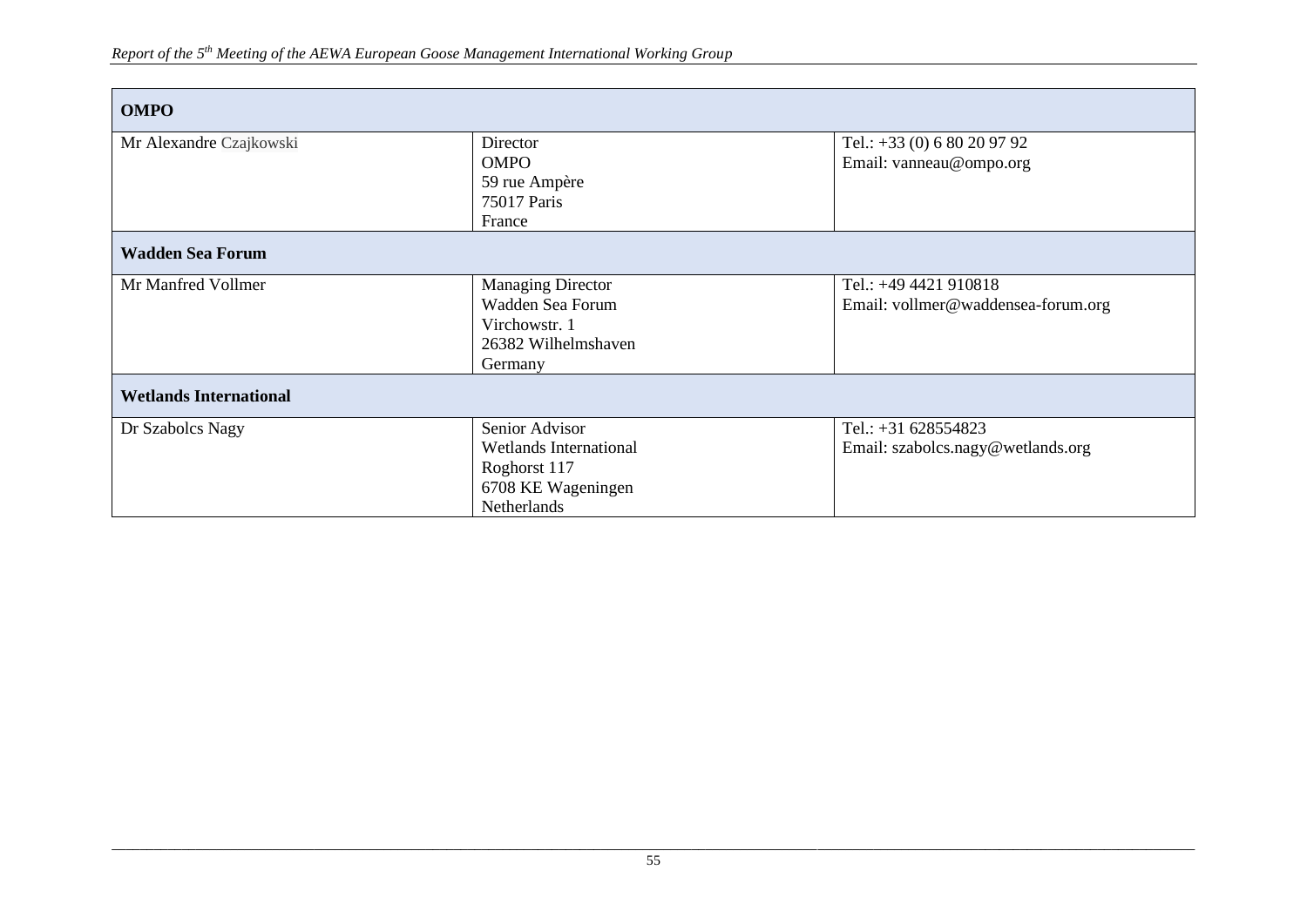| <b>OMPO</b>                   |                               |                                    |
|-------------------------------|-------------------------------|------------------------------------|
| Mr Alexandre Czajkowski       | Director                      | Tel.: $+33$ (0) 6 80 20 97 92      |
|                               | <b>OMPO</b>                   | Email: vanneau@ompo.org            |
|                               | 59 rue Ampère                 |                                    |
|                               | 75017 Paris                   |                                    |
|                               | France                        |                                    |
| <b>Wadden Sea Forum</b>       |                               |                                    |
| Mr Manfred Vollmer            | <b>Managing Director</b>      | Tel.: +49 4421 910818              |
|                               | Wadden Sea Forum              | Email: vollmer@waddensea-forum.org |
|                               | Virchowstr. 1                 |                                    |
|                               | 26382 Wilhelmshaven           |                                    |
|                               | Germany                       |                                    |
| <b>Wetlands International</b> |                               |                                    |
| Dr Szabolcs Nagy              | Senior Advisor                | Tel.: $+31$ 628554823              |
|                               | <b>Wetlands International</b> | Email: szabolcs.nagy@wetlands.org  |
|                               | Roghorst 117                  |                                    |
|                               | 6708 KE Wageningen            |                                    |
|                               | Netherlands                   |                                    |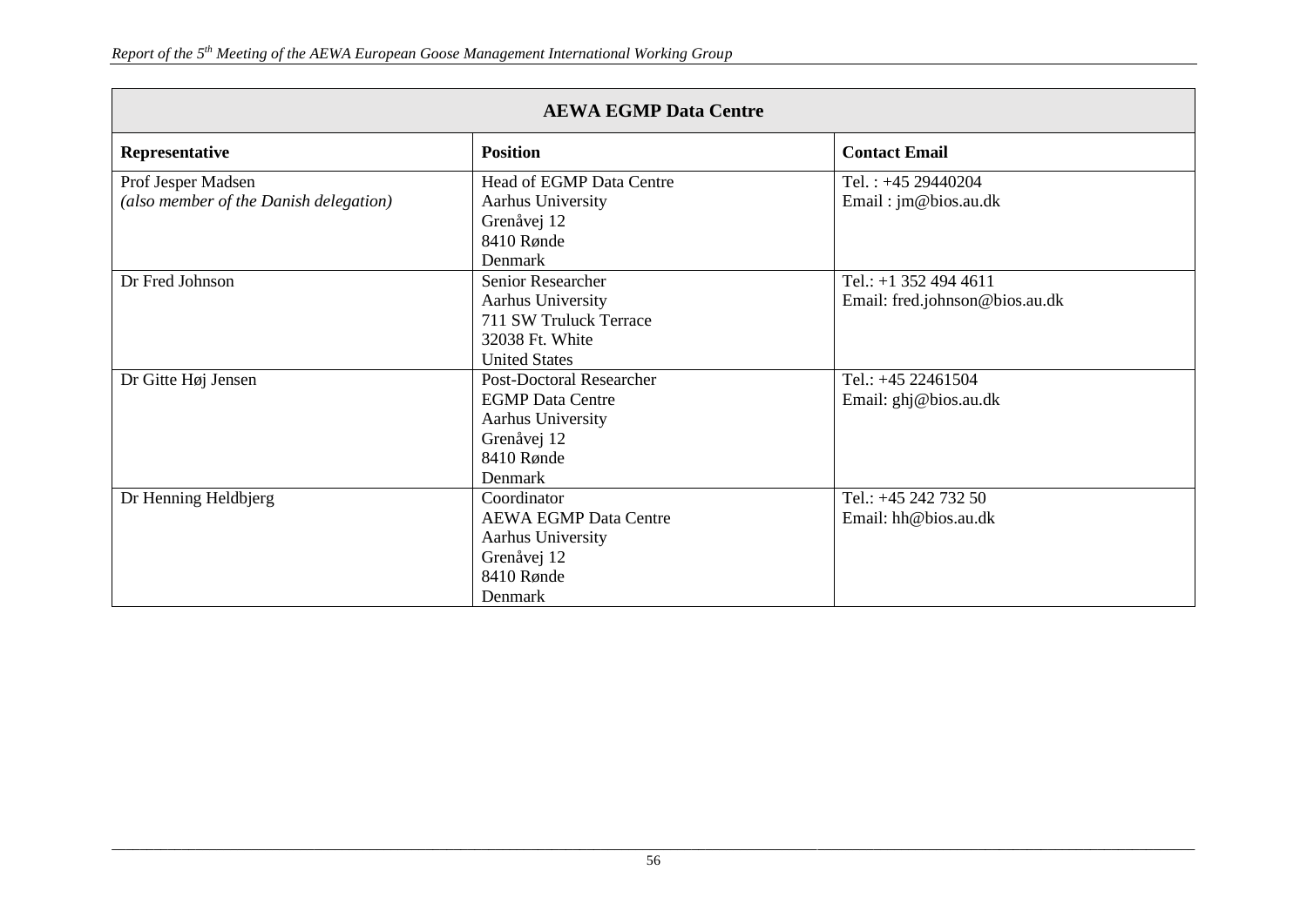| <b>AEWA EGMP Data Centre</b>                                 |                                                                                                                         |                                                           |  |
|--------------------------------------------------------------|-------------------------------------------------------------------------------------------------------------------------|-----------------------------------------------------------|--|
| Representative                                               | <b>Position</b>                                                                                                         | <b>Contact Email</b>                                      |  |
| Prof Jesper Madsen<br>(also member of the Danish delegation) | Head of EGMP Data Centre<br>Aarhus University<br>Grenåvej 12<br>8410 Rønde<br>Denmark                                   | Tel.: $+45$ 29440204<br>Email: jm@bios.au.dk              |  |
| Dr Fred Johnson                                              | Senior Researcher<br>Aarhus University<br>711 SW Truluck Terrace<br>32038 Ft. White<br><b>United States</b>             | Tel.: $+1$ 352 494 4611<br>Email: fred.johnson@bios.au.dk |  |
| Dr Gitte Høj Jensen                                          | <b>Post-Doctoral Researcher</b><br><b>EGMP</b> Data Centre<br>Aarhus University<br>Grenåvej 12<br>8410 Rønde<br>Denmark | Tel.: +45 22461504<br>Email: ghj@bios.au.dk               |  |
| Dr Henning Heldbjerg                                         | Coordinator<br><b>AEWA EGMP Data Centre</b><br>Aarhus University<br>Grenåvej 12<br>8410 Rønde<br>Denmark                | Tel.: +45 242 732 50<br>Email: $hh@bios.au.dk$            |  |